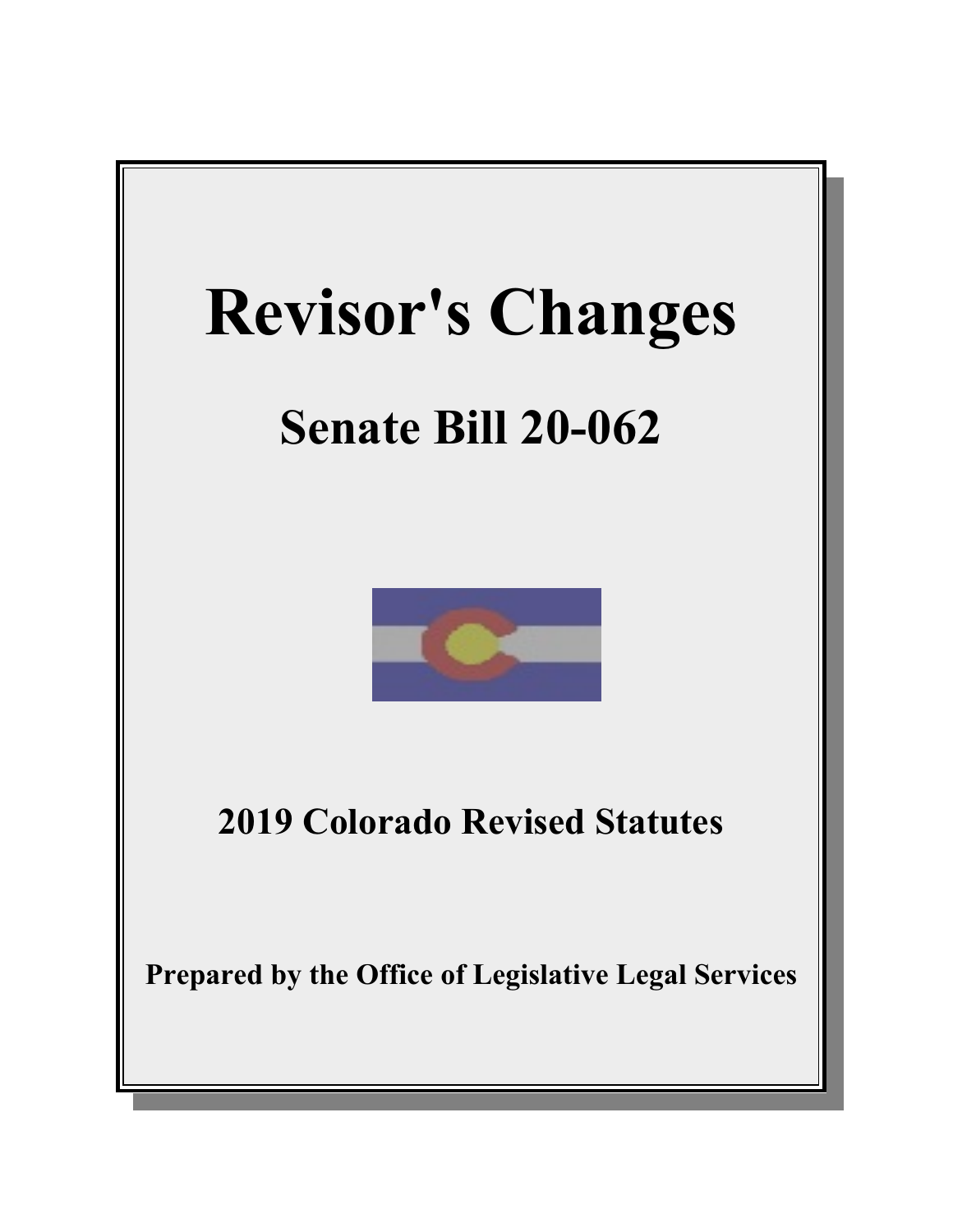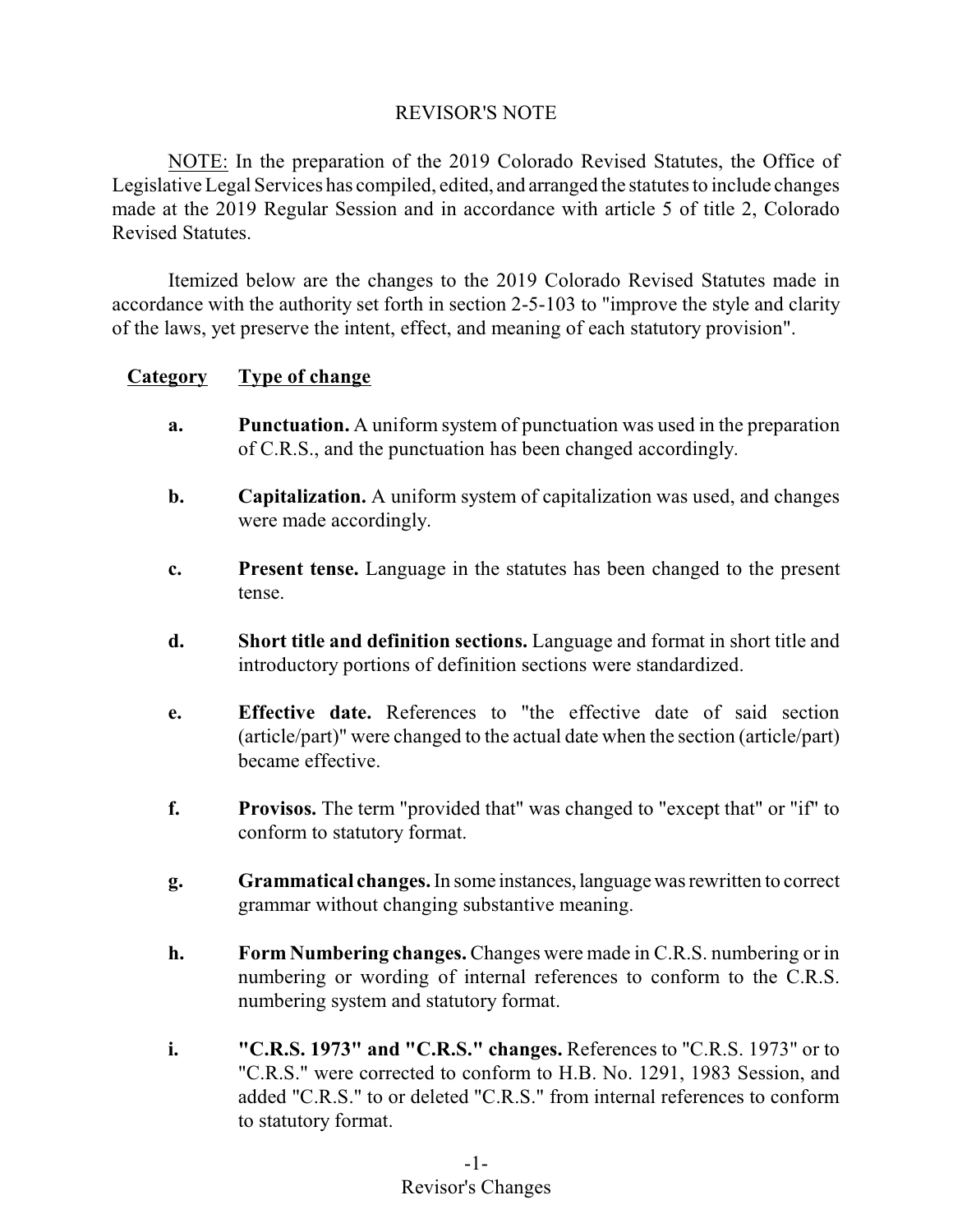# REVISOR'S NOTE

NOTE: In the preparation of the 2019 Colorado Revised Statutes, the Office of Legislative Legal Services has compiled, edited, and arranged the statutes to include changes made at the 2019 Regular Session and in accordance with article 5 of title 2, Colorado Revised Statutes.

Itemized below are the changes to the 2019 Colorado Revised Statutes made in accordance with the authority set forth in section 2-5-103 to "improve the style and clarity of the laws, yet preserve the intent, effect, and meaning of each statutory provision".

# **Category Type of change**

- **a. Punctuation.** A uniform system of punctuation was used in the preparation of C.R.S., and the punctuation has been changed accordingly.
- **b. Capitalization.** A uniform system of capitalization was used, and changes were made accordingly.
- **c. Present tense.** Language in the statutes has been changed to the present tense.
- **d. Short title and definition sections.** Language and format in short title and introductory portions of definition sections were standardized.
- **e. Effective date.** References to "the effective date of said section (article/part)" were changed to the actual date when the section (article/part) became effective.
- **f. Provisos.** The term "provided that" was changed to "except that" or "if" to conform to statutory format.
- **g. Grammatical changes.**In some instances,languagewas rewritten to correct grammar without changing substantive meaning.
- **h. Form Numbering changes.** Changes were made in C.R.S. numbering or in numbering or wording of internal references to conform to the C.R.S. numbering system and statutory format.
- **i. "C.R.S. 1973" and "C.R.S." changes.** References to "C.R.S. 1973" or to "C.R.S." were corrected to conform to H.B. No. 1291, 1983 Session, and added "C.R.S." to or deleted "C.R.S." from internal references to conform to statutory format.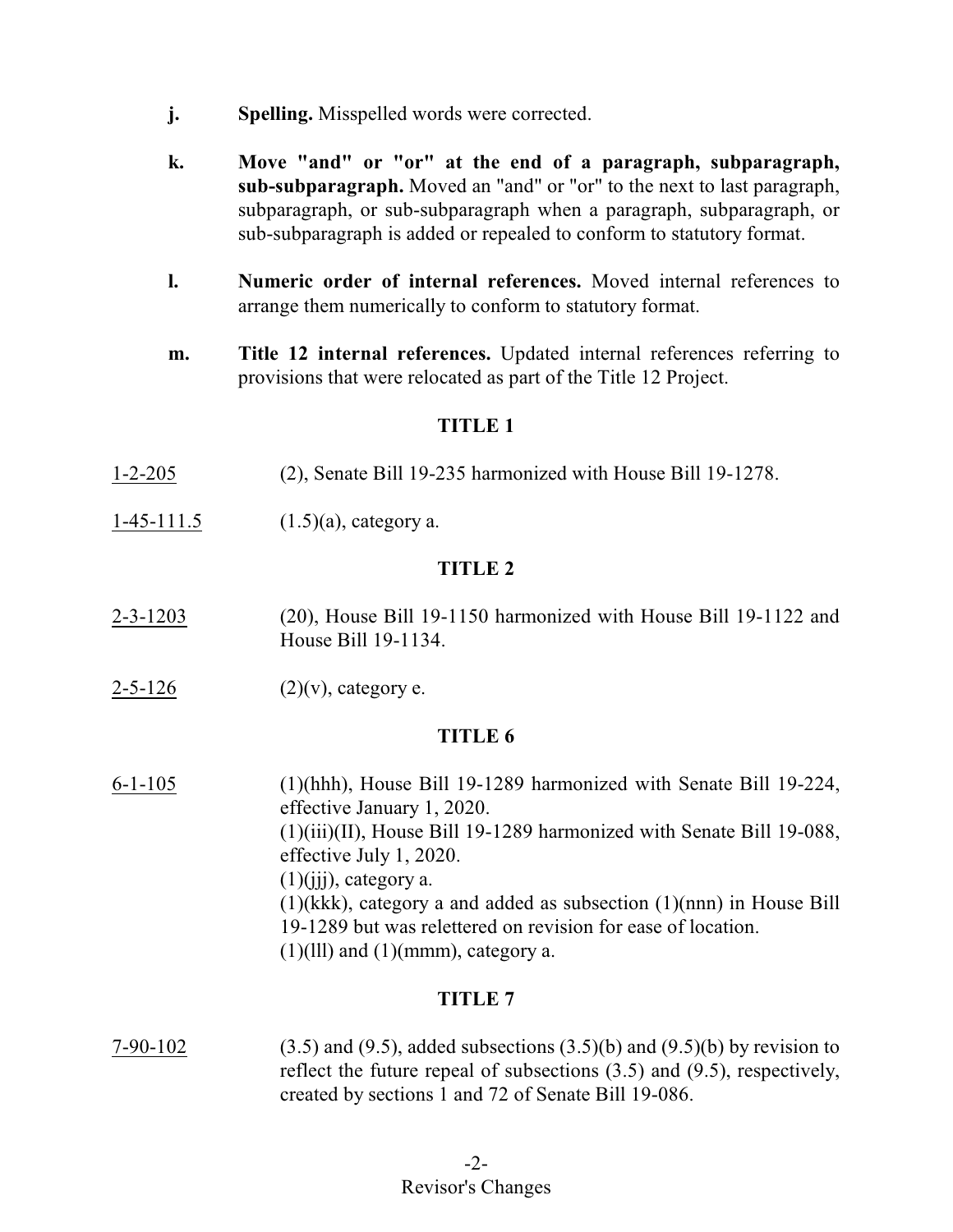- **j. Spelling.** Misspelled words were corrected.
- **k. Move "and" or "or" at the end of a paragraph, subparagraph, sub-subparagraph.** Moved an "and" or "or" to the next to last paragraph, subparagraph, or sub-subparagraph when a paragraph, subparagraph, or sub-subparagraph is added or repealed to conform to statutory format.
- **l. Numeric order of internal references.** Moved internal references to arrange them numerically to conform to statutory format.
- **m. Title 12 internal references.** Updated internal references referring to provisions that were relocated as part of the Title 12 Project.

# **TITLE 1**

- 1-2-205 (2), Senate Bill 19-235 harmonized with House Bill 19-1278.
- 1-45-111.5 (1.5)(a), category a.

## **TITLE 2**

- 2-3-1203 (20), House Bill 19-1150 harmonized with House Bill 19-1122 and House Bill 19-1134.
- 2-5-126  $(2)(v)$ , category e.

## **TITLE 6**

6-1-105 (1)(hhh), House Bill 19-1289 harmonized with Senate Bill 19-224, effective January 1, 2020. (1)(iii)(II), House Bill 19-1289 harmonized with Senate Bill 19-088, effective July 1, 2020.  $(1)(iii)$ , category a. (1)(kkk), category a and added as subsection (1)(nnn) in House Bill 19-1289 but was relettered on revision for ease of location.  $(1)(1)$  and  $(1)($ mmm), category a.

# **TITLE 7**

7-90-102 (3.5) and (9.5), added subsections  $(3.5)(b)$  and  $(9.5)(b)$  by revision to reflect the future repeal of subsections (3.5) and (9.5), respectively, created by sections 1 and 72 of Senate Bill 19-086.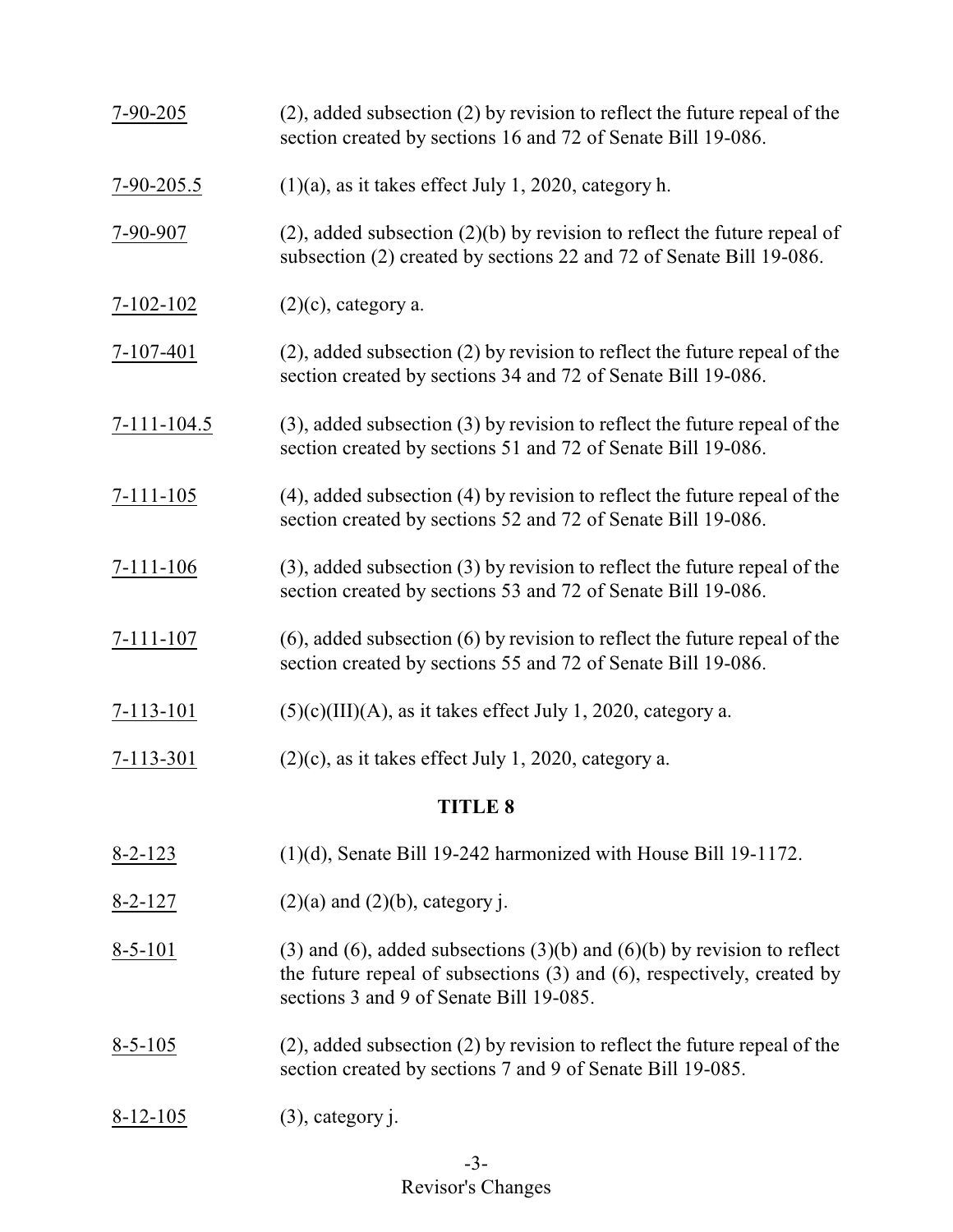| $7 - 90 - 205$    | (2), added subsection (2) by revision to reflect the future repeal of the<br>section created by sections 16 and 72 of Senate Bill 19-086.                                                             |
|-------------------|-------------------------------------------------------------------------------------------------------------------------------------------------------------------------------------------------------|
| 7-90-205.5        | $(1)(a)$ , as it takes effect July 1, 2020, category h.                                                                                                                                               |
| 7-90-907          | $(2)$ , added subsection $(2)(b)$ by revision to reflect the future repeal of<br>subsection (2) created by sections 22 and 72 of Senate Bill 19-086.                                                  |
| $7 - 102 - 102$   | $(2)(c)$ , category a.                                                                                                                                                                                |
| $7 - 107 - 401$   | $(2)$ , added subsection $(2)$ by revision to reflect the future repeal of the<br>section created by sections 34 and 72 of Senate Bill 19-086.                                                        |
| $7 - 111 - 104.5$ | $(3)$ , added subsection $(3)$ by revision to reflect the future repeal of the<br>section created by sections 51 and 72 of Senate Bill 19-086.                                                        |
| $7 - 111 - 105$   | $(4)$ , added subsection $(4)$ by revision to reflect the future repeal of the<br>section created by sections 52 and 72 of Senate Bill 19-086.                                                        |
| $7 - 111 - 106$   | $(3)$ , added subsection $(3)$ by revision to reflect the future repeal of the<br>section created by sections 53 and 72 of Senate Bill 19-086.                                                        |
| $7 - 111 - 107$   | $(6)$ , added subsection $(6)$ by revision to reflect the future repeal of the<br>section created by sections 55 and 72 of Senate Bill 19-086.                                                        |
| $7 - 113 - 101$   | $(5)(c)(III)(A)$ , as it takes effect July 1, 2020, category a.                                                                                                                                       |
| $7 - 113 - 301$   | $(2)(c)$ , as it takes effect July 1, 2020, category a.                                                                                                                                               |
|                   | <b>TITLE 8</b>                                                                                                                                                                                        |
| $8 - 2 - 123$     | $(1)(d)$ , Senate Bill 19-242 harmonized with House Bill 19-1172.                                                                                                                                     |
| $8 - 2 - 127$     | $(2)(a)$ and $(2)(b)$ , category j.                                                                                                                                                                   |
| $8 - 5 - 101$     | $(3)$ and $(6)$ , added subsections $(3)(b)$ and $(6)(b)$ by revision to reflect<br>the future repeal of subsections (3) and (6), respectively, created by<br>sections 3 and 9 of Senate Bill 19-085. |
| $8 - 5 - 105$     | (2), added subsection (2) by revision to reflect the future repeal of the<br>section created by sections 7 and 9 of Senate Bill 19-085.                                                               |
| $8 - 12 - 105$    | $(3)$ , category j.                                                                                                                                                                                   |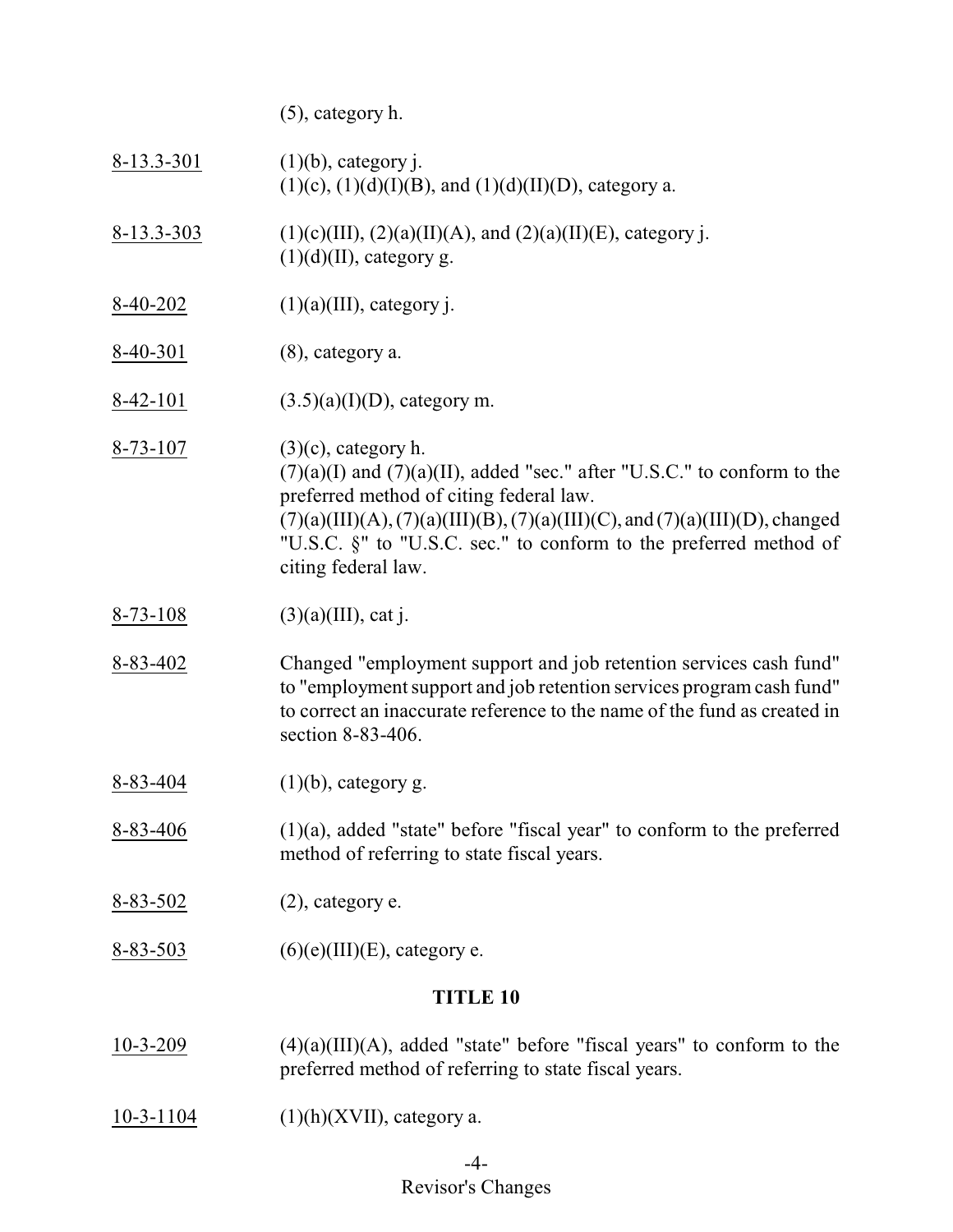(5), category h.

- 8-13.3-301 (1)(b), category j.  $(1)(c)$ ,  $(1)(d)(I)(B)$ , and  $(1)(d)(II)(D)$ , category a. 8-13.3-303 (1)(c)(III), (2)(a)(II)(A), and (2)(a)(II)(E), category j.  $(1)(d)(II)$ , category g. 8-40-202  $(1)(a)(III)$ , category j. 8-40-301 (8), category a. 8-42-101 (3.5)(a)(I)(D), category m. 8-73-107 (3)(c), category h.  $(7)(a)(I)$  and  $(7)(a)(II)$ , added "sec." after "U.S.C." to conform to the preferred method of citing federal law.  $(7)(a)(III)(A), (7)(a)(III)(B), (7)(a)(III)(C), and (7)(a)(III)(D), changed$ "U.S.C. §" to "U.S.C. sec." to conform to the preferred method of citing federal law.  $8-73-108$  (3)(a)(III), cat j. 8-83-402 Changed "employment support and job retention services cash fund" to "employment support and job retention services program cash fund" to correct an inaccurate reference to the name of the fund as created in section 8-83-406. 8-83-404 (1)(b), category g. 8-83-406 (1)(a), added "state" before "fiscal year" to conform to the preferred method of referring to state fiscal years. 8-83-502 (2), category e. 8-83-503 (6)(e)(III)(E), category e. **TITLE 10**  $10-3-209$  (4)(a)(III)(A), added "state" before "fiscal years" to conform to the preferred method of referring to state fiscal years.
- 10-3-1104 (1)(h)(XVII), category a.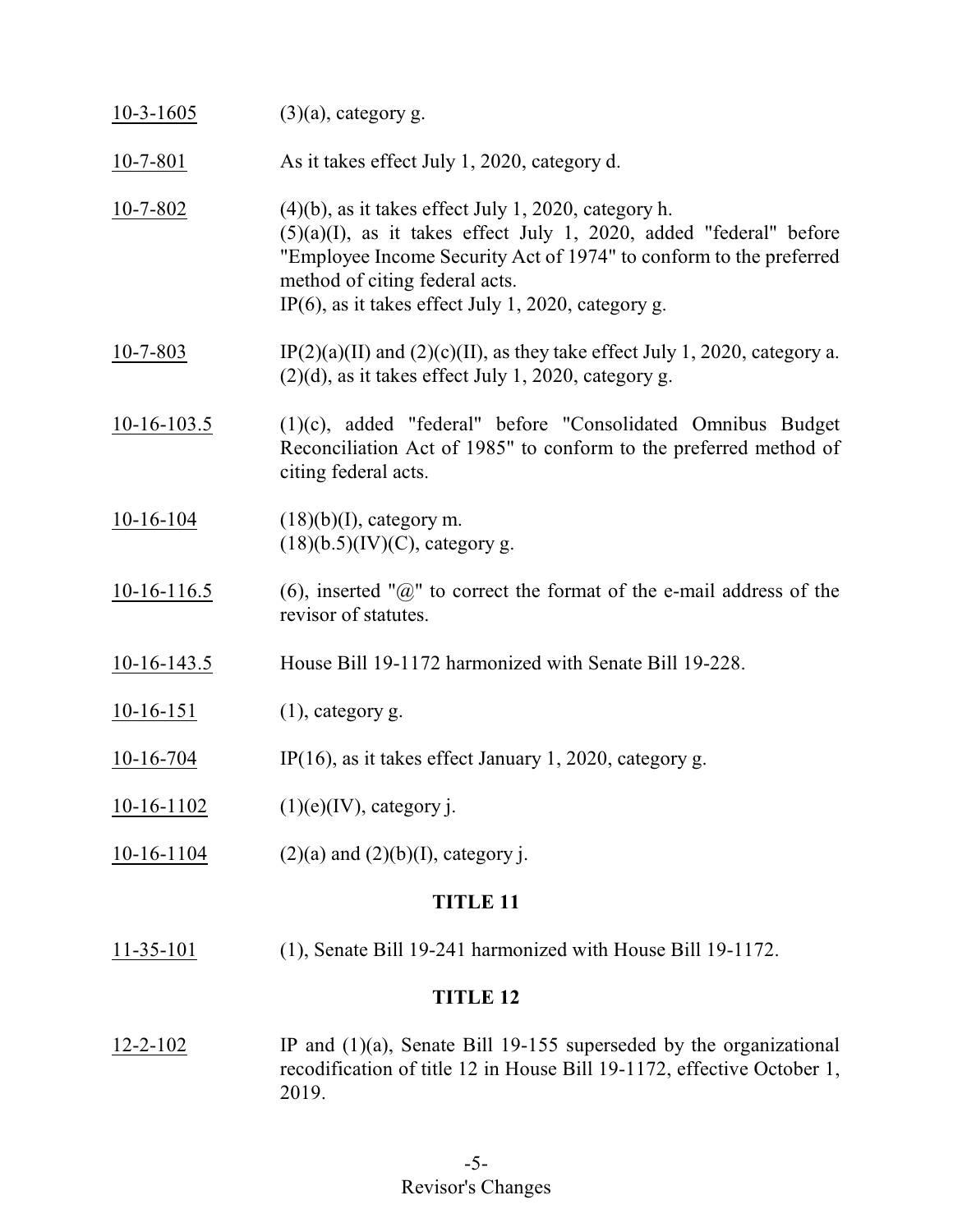| $10-3-1605$     | $(3)(a)$ , category g.                                                                                                                                                                                                                                                                          |  |
|-----------------|-------------------------------------------------------------------------------------------------------------------------------------------------------------------------------------------------------------------------------------------------------------------------------------------------|--|
| $10 - 7 - 801$  | As it takes effect July 1, 2020, category d.                                                                                                                                                                                                                                                    |  |
| $10 - 7 - 802$  | $(4)(b)$ , as it takes effect July 1, 2020, category h.<br>$(5)(a)(I)$ , as it takes effect July 1, 2020, added "federal" before<br>"Employee Income Security Act of 1974" to conform to the preferred<br>method of citing federal acts.<br>IP(6), as it takes effect July 1, 2020, category g. |  |
| $10 - 7 - 803$  | IP(2)(a)(II) and (2)(c)(II), as they take effect July 1, 2020, category a.<br>$(2)(d)$ , as it takes effect July 1, 2020, category g.                                                                                                                                                           |  |
| $10-16-103.5$   | (1)(c), added "federal" before "Consolidated Omnibus Budget<br>Reconciliation Act of 1985" to conform to the preferred method of<br>citing federal acts.                                                                                                                                        |  |
| $10-16-104$     | $(18)(b)(I)$ , category m.<br>$(18)(b.5)(IV)(C)$ , category g.                                                                                                                                                                                                                                  |  |
| $10-16-116.5$   | (6), inserted " $@$ " to correct the format of the e-mail address of the<br>revisor of statutes.                                                                                                                                                                                                |  |
| $10-16-143.5$   | House Bill 19-1172 harmonized with Senate Bill 19-228.                                                                                                                                                                                                                                          |  |
| $10-16-151$     | $(1)$ , category g.                                                                                                                                                                                                                                                                             |  |
| $10-16-704$     | IP $(16)$ , as it takes effect January 1, 2020, category g.                                                                                                                                                                                                                                     |  |
| $10-16-1102$    | $(1)(e)(IV)$ , category j.                                                                                                                                                                                                                                                                      |  |
| $10-16-1104$    | $(2)(a)$ and $(2)(b)(I)$ , category j.                                                                                                                                                                                                                                                          |  |
| <b>TITLE 11</b> |                                                                                                                                                                                                                                                                                                 |  |
| $11 - 35 - 101$ | (1), Senate Bill 19-241 harmonized with House Bill 19-1172.                                                                                                                                                                                                                                     |  |
| <b>TITLE 12</b> |                                                                                                                                                                                                                                                                                                 |  |
| $12 - 2 - 102$  | IP and $(1)(a)$ , Senate Bill 19-155 superseded by the organizational<br>recodification of title 12 in House Bill 19-1172, effective October 1,<br>2019.                                                                                                                                        |  |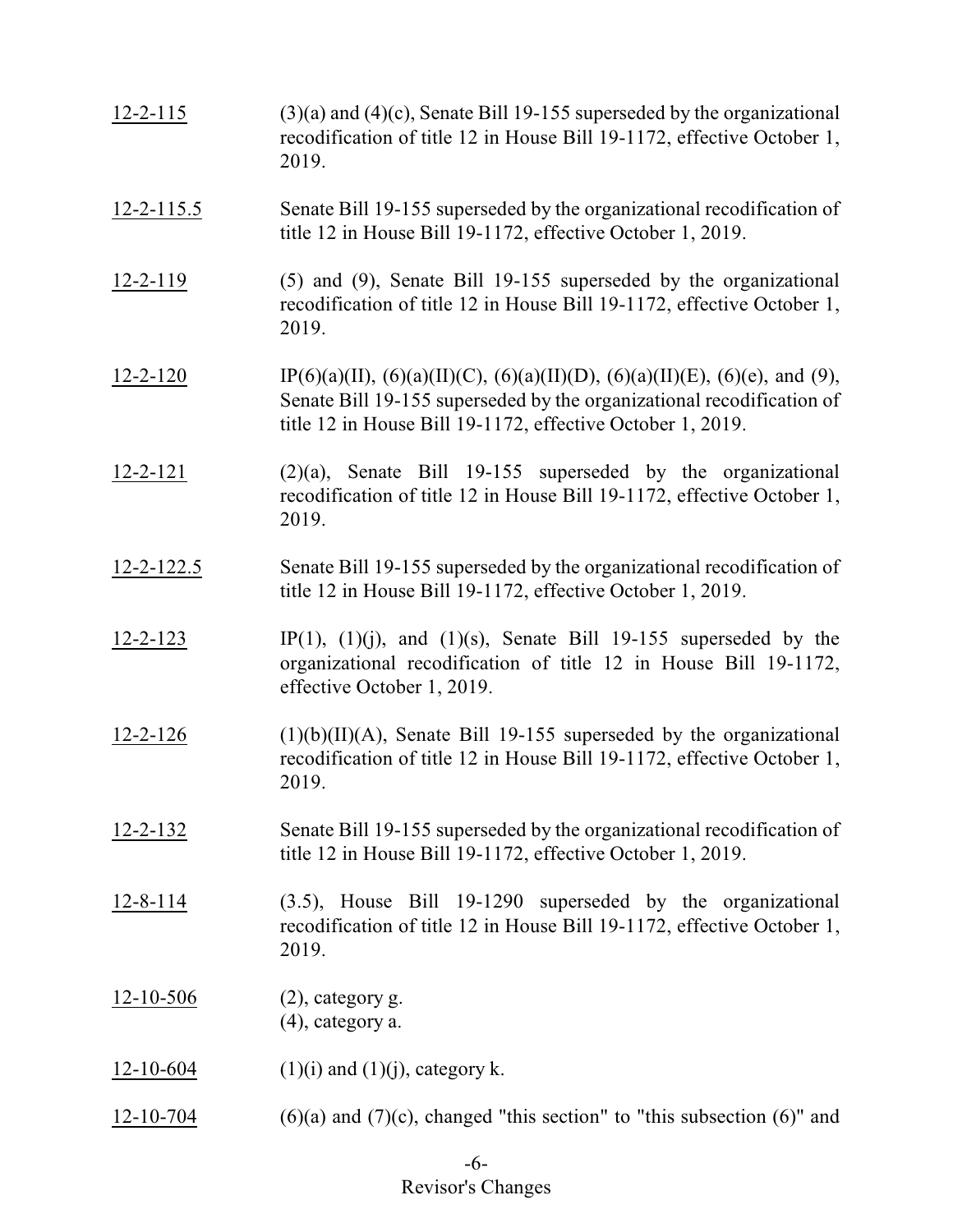| $12 - 2 - 115$   | $(3)(a)$ and $(4)(c)$ , Senate Bill 19-155 superseded by the organizational<br>recodification of title 12 in House Bill 19-1172, effective October 1,<br>2019.                                                     |
|------------------|--------------------------------------------------------------------------------------------------------------------------------------------------------------------------------------------------------------------|
| $12 - 2 - 115.5$ | Senate Bill 19-155 superseded by the organizational recodification of<br>title 12 in House Bill 19-1172, effective October 1, 2019.                                                                                |
| $12 - 2 - 119$   | $(5)$ and $(9)$ , Senate Bill 19-155 superseded by the organizational<br>recodification of title 12 in House Bill 19-1172, effective October 1,<br>2019.                                                           |
| $12 - 2 - 120$   | IP(6)(a)(II), (6)(a)(II)(C), (6)(a)(II)(D), (6)(a)(II)(E), (6)(e), and (9),<br>Senate Bill 19-155 superseded by the organizational recodification of<br>title 12 in House Bill 19-1172, effective October 1, 2019. |
| $12 - 2 - 121$   | $(2)(a)$ , Senate Bill 19-155 superseded by the organizational<br>recodification of title 12 in House Bill 19-1172, effective October 1,<br>2019.                                                                  |
| $12 - 2 - 122.5$ | Senate Bill 19-155 superseded by the organizational recodification of<br>title 12 in House Bill 19-1172, effective October 1, 2019.                                                                                |
| $12 - 2 - 123$   | IP(1), (1)(j), and (1)(s), Senate Bill 19-155 superseded by the<br>organizational recodification of title 12 in House Bill 19-1172,<br>effective October 1, 2019.                                                  |
| $12 - 2 - 126$   | $(1)(b)(II)(A)$ , Senate Bill 19-155 superseded by the organizational<br>recodification of title 12 in House Bill 19-1172, effective October 1,<br>2019.                                                           |
| $12 - 2 - 132$   | Senate Bill 19-155 superseded by the organizational recodification of<br>title 12 in House Bill 19-1172, effective October 1, 2019.                                                                                |
| $12 - 8 - 114$   | $(3.5)$ , House Bill 19-1290 superseded by the organizational<br>recodification of title 12 in House Bill 19-1172, effective October 1,<br>2019.                                                                   |
| $12 - 10 - 506$  | $(2)$ , category g.<br>$(4)$ , category a.                                                                                                                                                                         |
| $12 - 10 - 604$  | $(1)(i)$ and $(1)(j)$ , category k.                                                                                                                                                                                |
| $12 - 10 - 704$  | $(6)(a)$ and $(7)(c)$ , changed "this section" to "this subsection $(6)$ " and                                                                                                                                     |

## -6- Revisor's Changes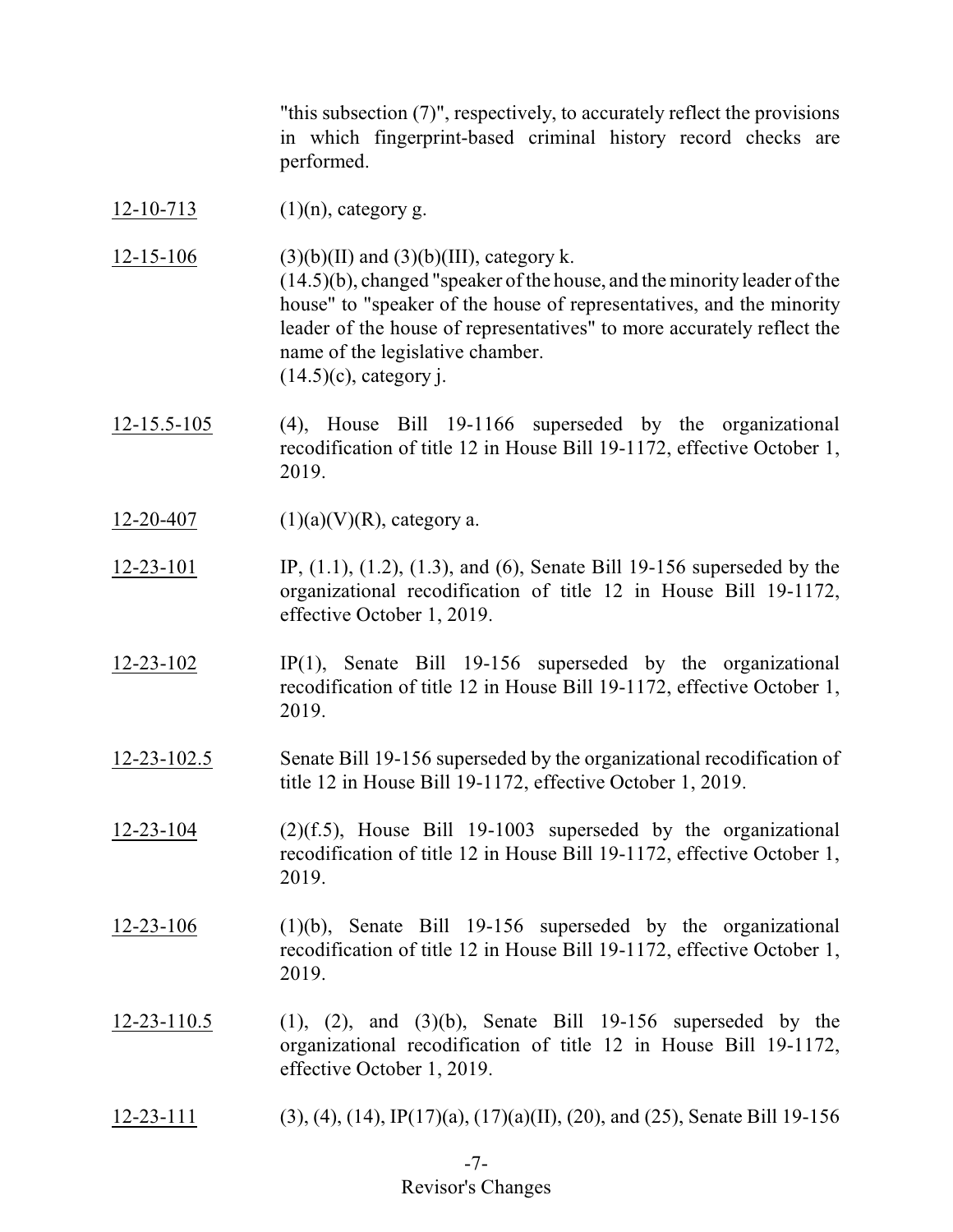"this subsection (7)", respectively, to accurately reflect the provisions in which fingerprint-based criminal history record checks are performed.

- 12-10-713  $(1)(n)$ , category g.
- 12-15-106 (3)(b)(II) and (3)(b)(III), category k. (14.5)(b), changed "speaker of the house, and the minority leader of the house" to "speaker of the house of representatives, and the minority leader of the house of representatives" to more accurately reflect the name of the legislative chamber.  $(14.5)(c)$ , category j.
- 12-15.5-105 (4), House Bill 19-1166 superseded by the organizational recodification of title 12 in House Bill 19-1172, effective October 1, 2019.
- 12-20-407 (1)(a)(V)(R), category a.
- 12-23-101 IP, (1.1), (1.2), (1.3), and (6), Senate Bill 19-156 superseded by the organizational recodification of title 12 in House Bill 19-1172, effective October 1, 2019.
- 12-23-102 IP(1), Senate Bill 19-156 superseded by the organizational recodification of title 12 in House Bill 19-1172, effective October 1, 2019.
- 12-23-102.5 Senate Bill 19-156 superseded by the organizational recodification of title 12 in House Bill 19-1172, effective October 1, 2019.
- $12-23-104$  (2)(f.5), House Bill 19-1003 superseded by the organizational recodification of title 12 in House Bill 19-1172, effective October 1, 2019.
- 12-23-106 (1)(b), Senate Bill 19-156 superseded by the organizational recodification of title 12 in House Bill 19-1172, effective October 1, 2019.
- 12-23-110.5 (1), (2), and (3)(b), Senate Bill 19-156 superseded by the organizational recodification of title 12 in House Bill 19-1172, effective October 1, 2019.
- 12-23-111 (3), (4), (14), IP(17)(a), (17)(a)(II), (20), and (25), Senate Bill 19-156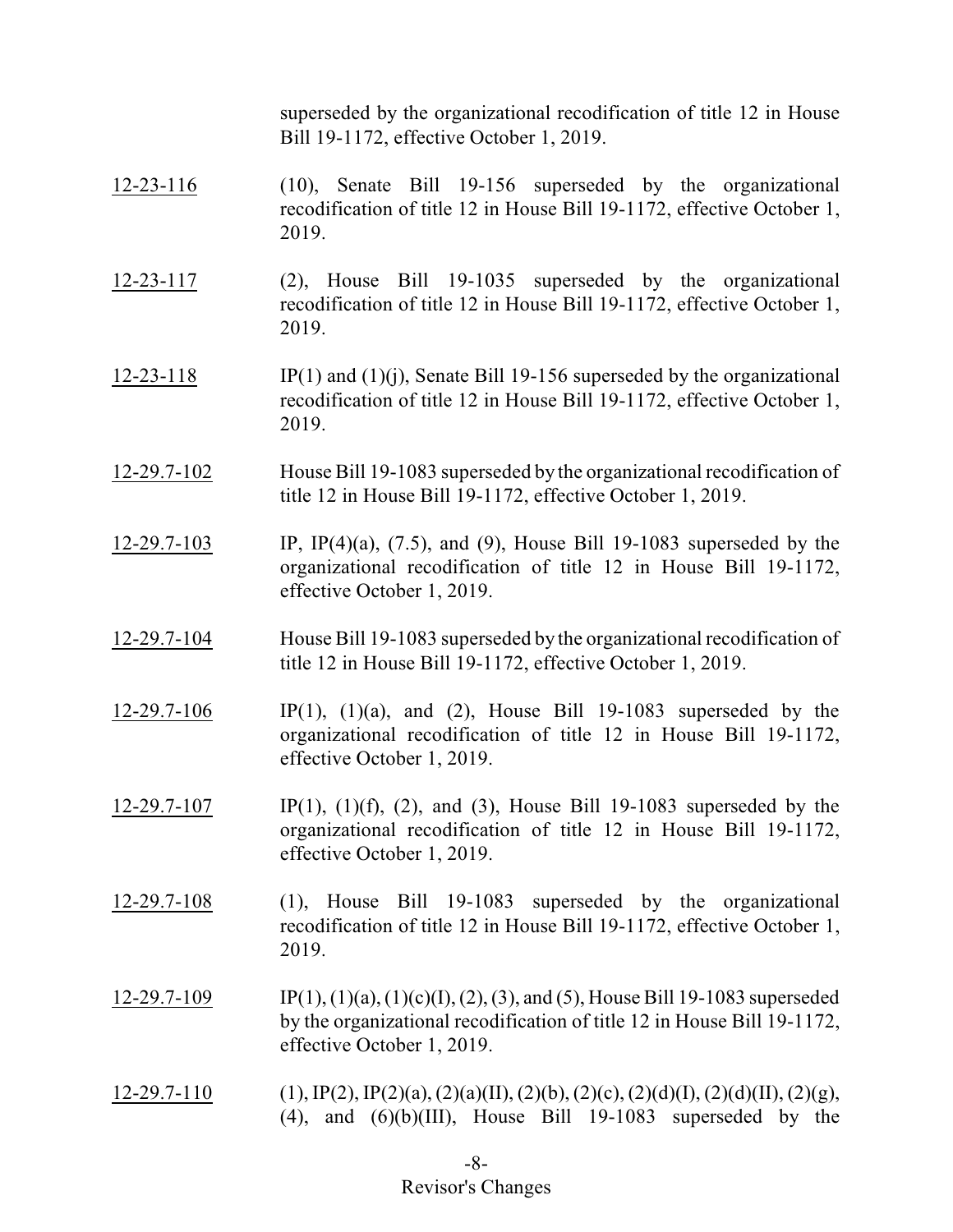superseded by the organizational recodification of title 12 in House Bill 19-1172, effective October 1, 2019.

- 12-23-116 (10), Senate Bill 19-156 superseded by the organizational recodification of title 12 in House Bill 19-1172, effective October 1, 2019.
- 12-23-117 (2), House Bill 19-1035 superseded by the organizational recodification of title 12 in House Bill 19-1172, effective October 1, 2019.
- 12-23-118 IP(1) and (1)(j), Senate Bill 19-156 superseded by the organizational recodification of title 12 in House Bill 19-1172, effective October 1, 2019.
- 12-29.7-102 House Bill 19-1083 superseded by the organizational recodification of title 12 in House Bill 19-1172, effective October 1, 2019.
- 12-29.7-103 IP, IP(4)(a), (7.5), and (9), House Bill 19-1083 superseded by the organizational recodification of title 12 in House Bill 19-1172, effective October 1, 2019.
- 12-29.7-104 House Bill 19-1083 superseded by the organizational recodification of title 12 in House Bill 19-1172, effective October 1, 2019.
- 12-29.7-106 IP(1), (1)(a), and (2), House Bill 19-1083 superseded by the organizational recodification of title 12 in House Bill 19-1172, effective October 1, 2019.
- 12-29.7-107 IP(1), (1)(f), (2), and (3), House Bill 19-1083 superseded by the organizational recodification of title 12 in House Bill 19-1172, effective October 1, 2019.
- 12-29.7-108 (1), House Bill 19-1083 superseded by the organizational recodification of title 12 in House Bill 19-1172, effective October 1, 2019.
- 12-29.7-109 IP(1), (1)(a), (1)(c)(I), (2), (3), and (5), House Bill 19-1083 superseded by the organizational recodification of title 12 in House Bill 19-1172, effective October 1, 2019.
- $12-29.7-110$  (1), IP(2), IP(2)(a), (2)(a)(II), (2)(b), (2)(c), (2)(d)(I), (2)(d)(II), (2)(g), (4), and  $(6)(b)(III)$ , House Bill 19-1083 superseded by the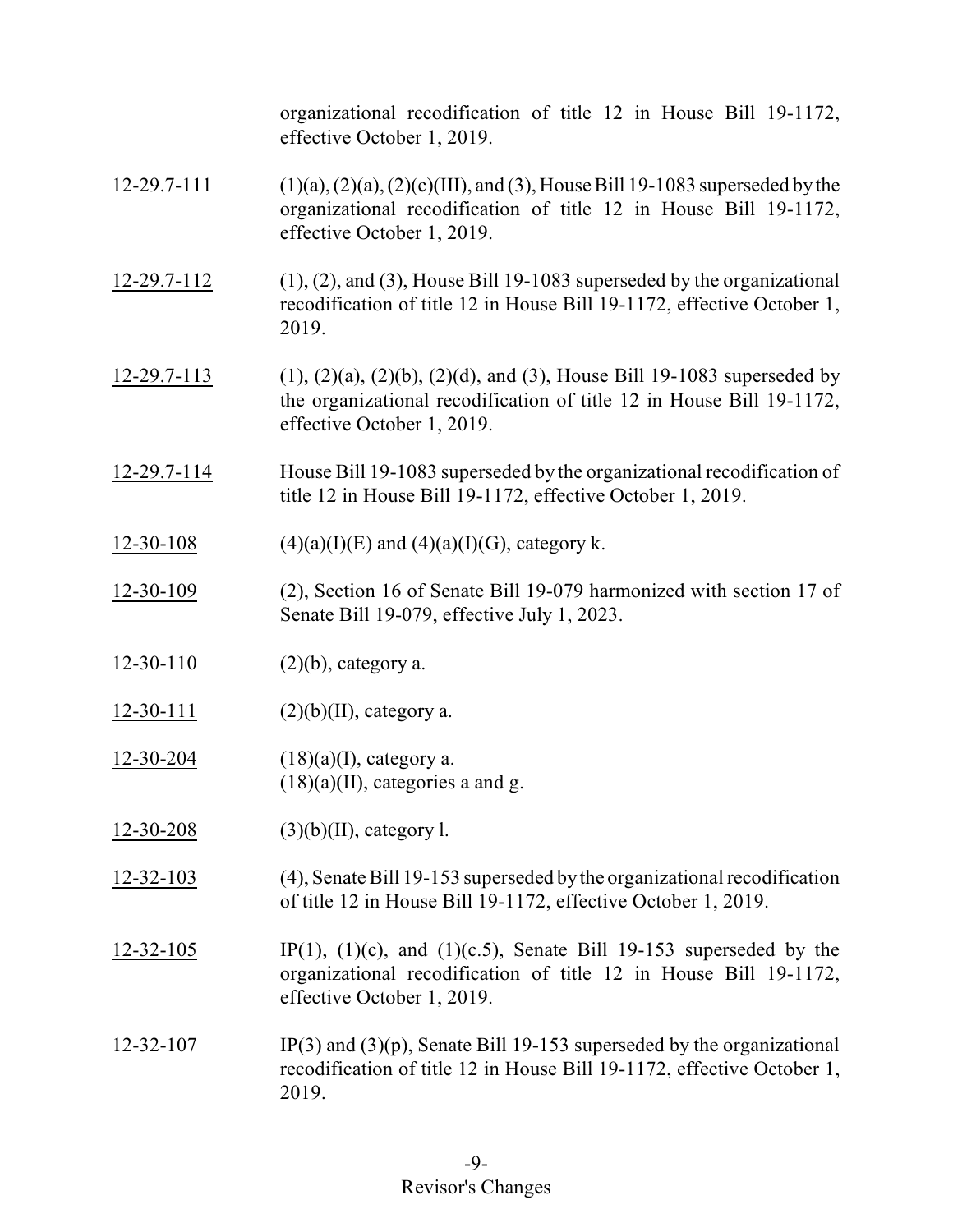organizational recodification of title 12 in House Bill 19-1172, effective October 1, 2019.

- 12-29.7-111  $(1)(a)$ ,  $(2)(a)$ ,  $(2)(c)$ (III), and (3), House Bill 19-1083 superseded by the organizational recodification of title 12 in House Bill 19-1172, effective October 1, 2019.
- 12-29.7-112 (1), (2), and (3), House Bill 19-1083 superseded by the organizational recodification of title 12 in House Bill 19-1172, effective October 1, 2019.
- 12-29.7-113 (1), (2)(a), (2)(b), (2)(d), and (3), House Bill 19-1083 superseded by the organizational recodification of title 12 in House Bill 19-1172, effective October 1, 2019.
- 12-29.7-114 House Bill 19-1083 superseded by the organizational recodification of title 12 in House Bill 19-1172, effective October 1, 2019.
- 12-30-108 (4)(a)(I)(E) and (4)(a)(I)(G), category k.
- 12-30-109 (2), Section 16 of Senate Bill 19-079 harmonized with section 17 of Senate Bill 19-079, effective July 1, 2023.
- 12-30-110  $(2)(b)$ , category a.
- 12-30-111 (2)(b)(II), category a.
- 12-30-204  $(18)(a)(I)$ , category a.  $(18)(a)(II)$ , categories a and g.
- 12-30-208 (3)(b)(II), category l.
- 12-32-103 (4), Senate Bill 19-153 superseded bythe organizational recodification of title 12 in House Bill 19-1172, effective October 1, 2019.
- 12-32-105 IP(1), (1)(c), and (1)(c.5), Senate Bill 19-153 superseded by the organizational recodification of title 12 in House Bill 19-1172, effective October 1, 2019.
- 12-32-107 IP(3) and (3)(p), Senate Bill 19-153 superseded by the organizational recodification of title 12 in House Bill 19-1172, effective October 1, 2019.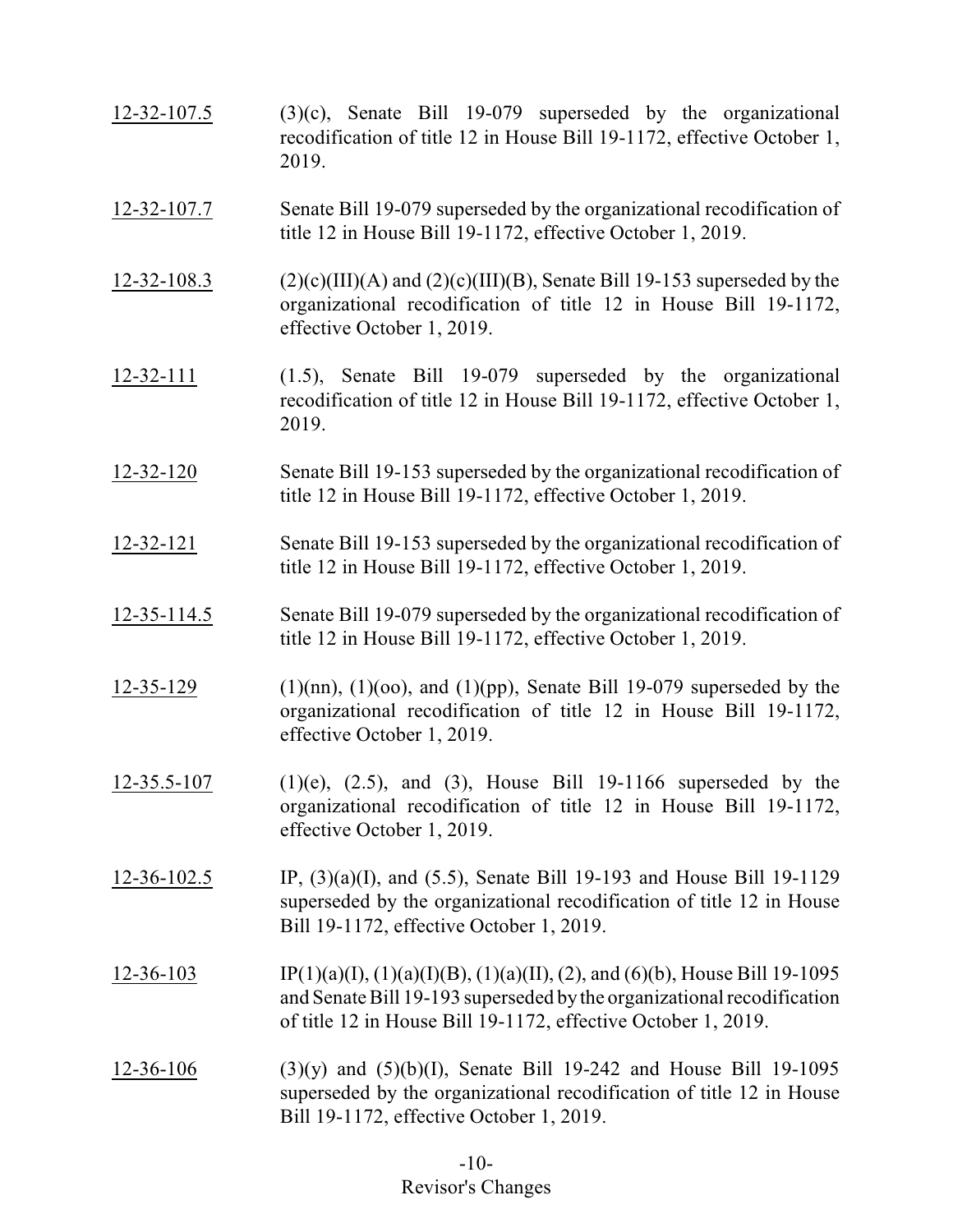- 12-32-107.5 (3)(c), Senate Bill 19-079 superseded by the organizational recodification of title 12 in House Bill 19-1172, effective October 1, 2019.
- 12-32-107.7 Senate Bill 19-079 superseded by the organizational recodification of title 12 in House Bill 19-1172, effective October 1, 2019.
- 12-32-108.3 (2)(c)(III)(A) and (2)(c)(III)(B), Senate Bill 19-153 superseded by the organizational recodification of title 12 in House Bill 19-1172, effective October 1, 2019.
- 12-32-111 (1.5), Senate Bill 19-079 superseded by the organizational recodification of title 12 in House Bill 19-1172, effective October 1, 2019.
- 12-32-120 Senate Bill 19-153 superseded by the organizational recodification of title 12 in House Bill 19-1172, effective October 1, 2019.
- 12-32-121 Senate Bill 19-153 superseded by the organizational recodification of title 12 in House Bill 19-1172, effective October 1, 2019.
- 12-35-114.5 Senate Bill 19-079 superseded by the organizational recodification of title 12 in House Bill 19-1172, effective October 1, 2019.
- 12-35-129 (1)(nn), (1)(oo), and (1)(pp), Senate Bill 19-079 superseded by the organizational recodification of title 12 in House Bill 19-1172, effective October 1, 2019.
- 12-35.5-107 (1)(e), (2.5), and (3), House Bill 19-1166 superseded by the organizational recodification of title 12 in House Bill 19-1172, effective October 1, 2019.
- 12-36-102.5 IP, (3)(a)(I), and (5.5), Senate Bill 19-193 and House Bill 19-1129 superseded by the organizational recodification of title 12 in House Bill 19-1172, effective October 1, 2019.
- 12-36-103 IP(1)(a)(I), (1)(a)(I)(B), (1)(a)(II), (2), and (6)(b), House Bill 19-1095 and Senate Bill 19-193 superseded bythe organizational recodification of title 12 in House Bill 19-1172, effective October 1, 2019.
- 12-36-106 (3)(y) and (5)(b)(I), Senate Bill 19-242 and House Bill 19-1095 superseded by the organizational recodification of title 12 in House Bill 19-1172, effective October 1, 2019.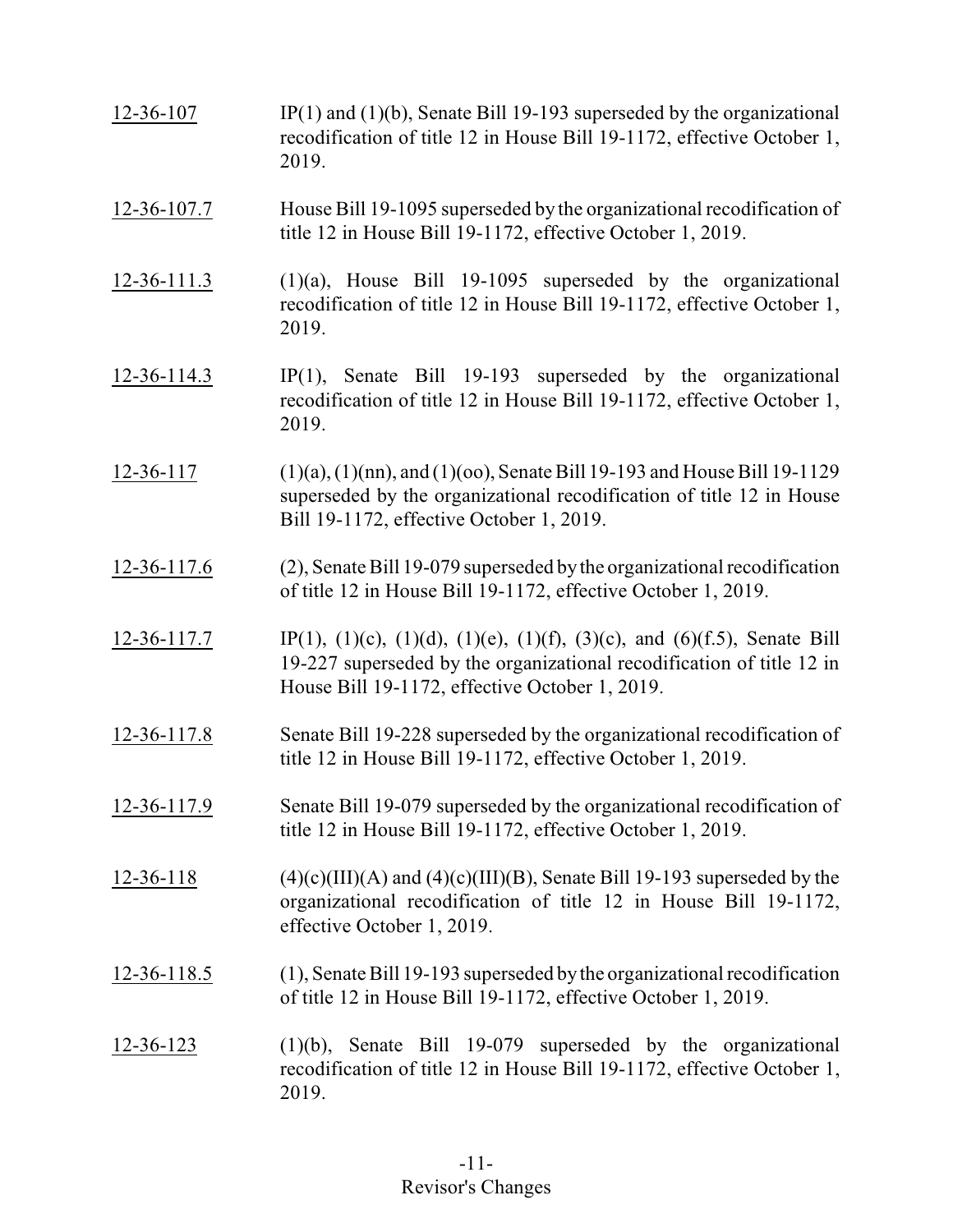12-36-107 IP(1) and (1)(b), Senate Bill 19-193 superseded by the organizational recodification of title 12 in House Bill 19-1172, effective October 1, 2019.

# 12-36-107.7 House Bill 19-1095 superseded by the organizational recodification of title 12 in House Bill 19-1172, effective October 1, 2019.

- $12-36-111.3$  (1)(a), House Bill 19-1095 superseded by the organizational recodification of title 12 in House Bill 19-1172, effective October 1, 2019.
- 12-36-114.3 IP(1), Senate Bill 19-193 superseded by the organizational recodification of title 12 in House Bill 19-1172, effective October 1, 2019.
- 12-36-117 (1)(a), (1)(nn), and (1)(oo), Senate Bill 19-193 and House Bill 19-1129 superseded by the organizational recodification of title 12 in House Bill 19-1172, effective October 1, 2019.
- 12-36-117.6 (2), Senate Bill 19-079 superseded bythe organizational recodification of title 12 in House Bill 19-1172, effective October 1, 2019.
- 12-36-117.7 IP(1), (1)(c), (1)(d), (1)(e), (1)(f), (3)(c), and (6)(f.5), Senate Bill 19-227 superseded by the organizational recodification of title 12 in House Bill 19-1172, effective October 1, 2019.
- 12-36-117.8 Senate Bill 19-228 superseded by the organizational recodification of title 12 in House Bill 19-1172, effective October 1, 2019.
- 12-36-117.9 Senate Bill 19-079 superseded by the organizational recodification of title 12 in House Bill 19-1172, effective October 1, 2019.
- 12-36-118  $(4)(c)(III)(A)$  and  $(4)(c)(III)(B)$ , Senate Bill 19-193 superseded by the organizational recodification of title 12 in House Bill 19-1172, effective October 1, 2019.
- 12-36-118.5 (1), Senate Bill 19-193 superseded bythe organizational recodification of title 12 in House Bill 19-1172, effective October 1, 2019.
- 12-36-123 (1)(b), Senate Bill 19-079 superseded by the organizational recodification of title 12 in House Bill 19-1172, effective October 1, 2019.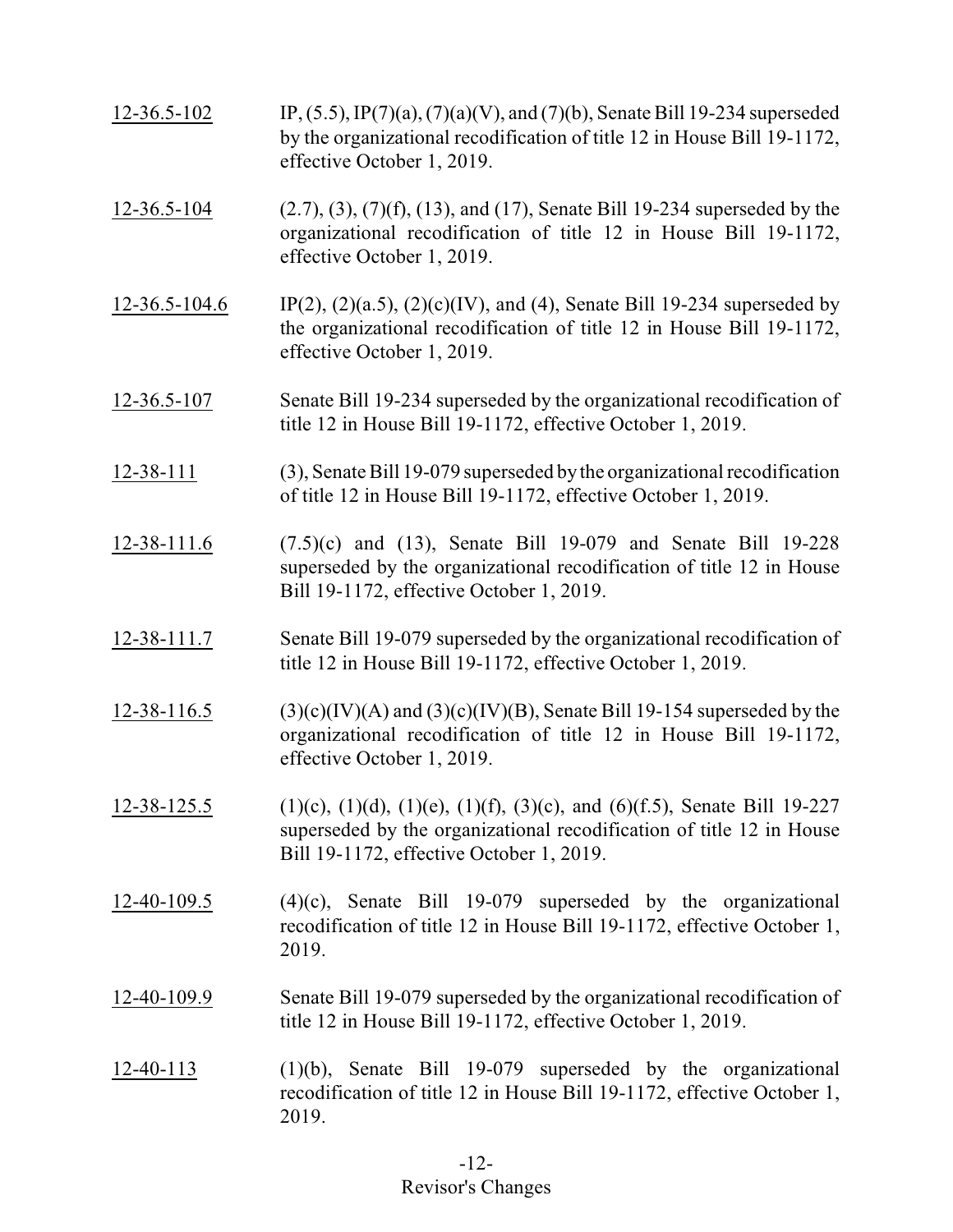| $12 - 36.5 - 102$   | IP, (5.5), IP(7)(a), (7)(a)(V), and (7)(b), Senate Bill 19-234 superseded<br>by the organizational recodification of title 12 in House Bill 19-1172,<br>effective October 1, 2019.                             |
|---------------------|----------------------------------------------------------------------------------------------------------------------------------------------------------------------------------------------------------------|
| $12 - 36.5 - 104$   | $(2.7), (3), (7)(f), (13),$ and $(17),$ Senate Bill 19-234 superseded by the<br>organizational recodification of title 12 in House Bill 19-1172,<br>effective October 1, 2019.                                 |
| $12 - 36.5 - 104.6$ | IP(2), (2)(a.5), (2)(c)(IV), and (4), Senate Bill 19-234 superseded by<br>the organizational recodification of title 12 in House Bill 19-1172,<br>effective October 1, 2019.                                   |
| $12 - 36.5 - 107$   | Senate Bill 19-234 superseded by the organizational recodification of<br>title 12 in House Bill 19-1172, effective October 1, 2019.                                                                            |
| $12 - 38 - 111$     | (3), Senate Bill 19-079 superseded by the organizational recodification<br>of title 12 in House Bill 19-1172, effective October 1, 2019.                                                                       |
| $12 - 38 - 111.6$   | $(7.5)(c)$ and $(13)$ , Senate Bill 19-079 and Senate Bill 19-228<br>superseded by the organizational recodification of title 12 in House<br>Bill 19-1172, effective October 1, 2019.                          |
| $12 - 38 - 111.7$   | Senate Bill 19-079 superseded by the organizational recodification of<br>title 12 in House Bill 19-1172, effective October 1, 2019.                                                                            |
| 12-38-116.5         | $(3)(c)(IV)(A)$ and $(3)(c)(IV)(B)$ , Senate Bill 19-154 superseded by the<br>organizational recodification of title 12 in House Bill 19-1172,<br>effective October 1, 2019.                                   |
| $12 - 38 - 125.5$   | $(1)(c)$ , $(1)(d)$ , $(1)(e)$ , $(1)(f)$ , $(3)(c)$ , and $(6)(f.5)$ , Senate Bill 19-227<br>superseded by the organizational recodification of title 12 in House<br>Bill 19-1172, effective October 1, 2019. |
| 12-40-109.5         | $(4)(c)$ , Senate Bill 19-079 superseded by the organizational<br>recodification of title 12 in House Bill 19-1172, effective October 1,<br>2019.                                                              |
| 12-40-109.9         | Senate Bill 19-079 superseded by the organizational recodification of<br>title 12 in House Bill 19-1172, effective October 1, 2019.                                                                            |
| $12 - 40 - 113$     | $(1)(b)$ , Senate Bill 19-079 superseded by the organizational<br>recodification of title 12 in House Bill 19-1172, effective October 1,<br>2019.                                                              |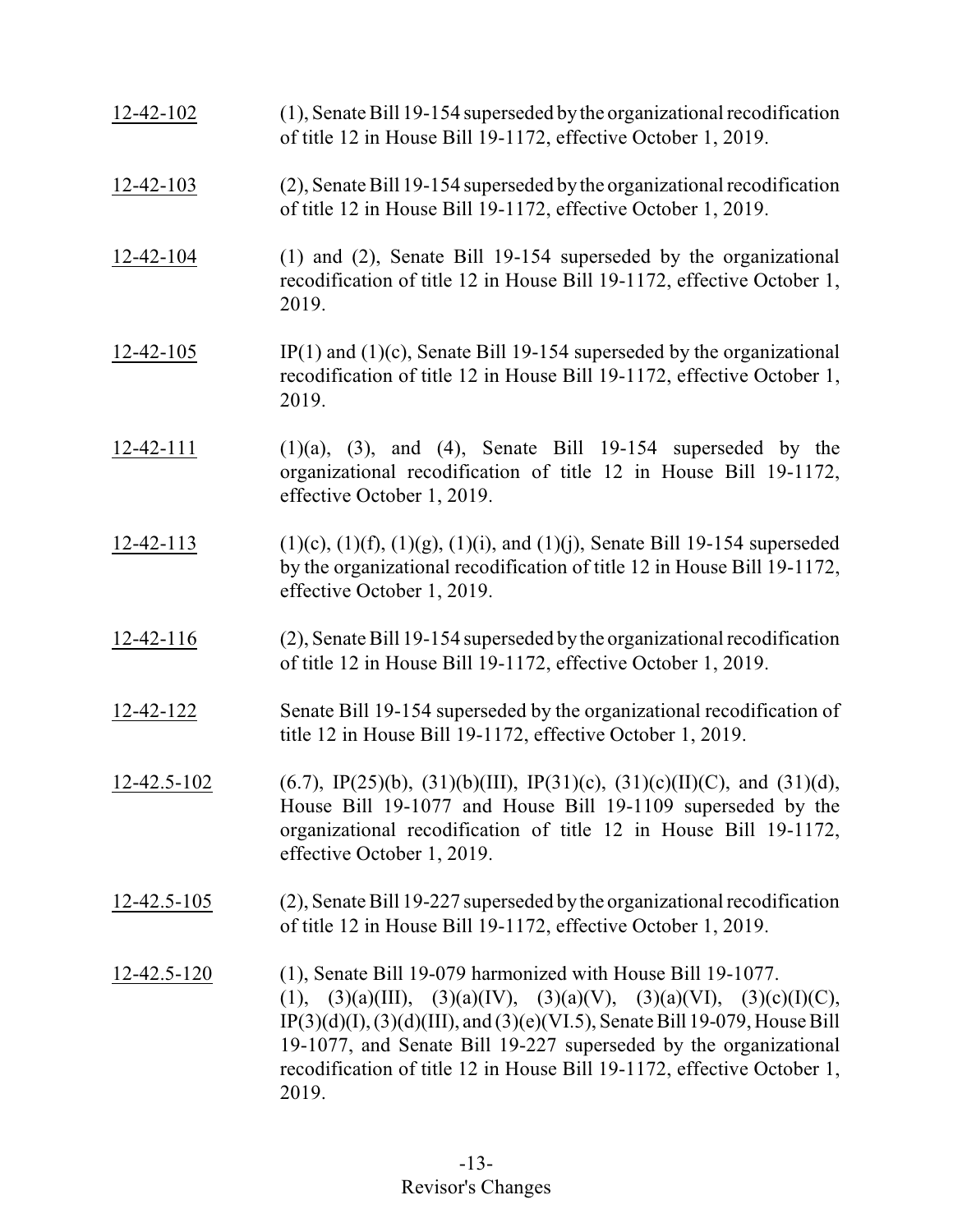| 12-42-102         | (1), Senate Bill 19-154 superseded by the organizational recodification<br>of title 12 in House Bill 19-1172, effective October 1, 2019.                                                                                                                                                                                                                                 |
|-------------------|--------------------------------------------------------------------------------------------------------------------------------------------------------------------------------------------------------------------------------------------------------------------------------------------------------------------------------------------------------------------------|
| $12 - 42 - 103$   | (2), Senate Bill 19-154 superseded by the organizational recodification<br>of title 12 in House Bill 19-1172, effective October 1, 2019.                                                                                                                                                                                                                                 |
| $12 - 42 - 104$   | $(1)$ and $(2)$ , Senate Bill 19-154 superseded by the organizational<br>recodification of title 12 in House Bill 19-1172, effective October 1,<br>2019.                                                                                                                                                                                                                 |
| 12-42-105         | IP(1) and (1)(c), Senate Bill 19-154 superseded by the organizational<br>recodification of title 12 in House Bill 19-1172, effective October 1,<br>2019.                                                                                                                                                                                                                 |
| $12 - 42 - 111$   | $(1)(a)$ , $(3)$ , and $(4)$ , Senate Bill 19-154 superseded by the<br>organizational recodification of title 12 in House Bill 19-1172,<br>effective October 1, 2019.                                                                                                                                                                                                    |
| $12 - 42 - 113$   | $(1)(c)$ , $(1)(f)$ , $(1)(g)$ , $(1)(i)$ , and $(1)(j)$ , Senate Bill 19-154 superseded<br>by the organizational recodification of title 12 in House Bill 19-1172,<br>effective October 1, 2019.                                                                                                                                                                        |
| $12 - 42 - 116$   | (2), Senate Bill 19-154 superseded by the organizational recodification<br>of title 12 in House Bill 19-1172, effective October 1, 2019.                                                                                                                                                                                                                                 |
| 12-42-122         | Senate Bill 19-154 superseded by the organizational recodification of<br>title 12 in House Bill 19-1172, effective October 1, 2019.                                                                                                                                                                                                                                      |
| 12-42.5-102       | $(6.7)$ , IP(25)(b), (31)(b)(III), IP(31)(c), (31)(c)(II)(C), and (31)(d),<br>House Bill 19-1077 and House Bill 19-1109 superseded by the<br>organizational recodification of title 12 in House Bill 19-1172,<br>effective October 1, 2019.                                                                                                                              |
| $12 - 42.5 - 105$ | (2), Senate Bill 19-227 superseded by the organizational recodification<br>of title 12 in House Bill 19-1172, effective October 1, 2019.                                                                                                                                                                                                                                 |
| 12-42.5-120       | (1), Senate Bill 19-079 harmonized with House Bill 19-1077.<br>(1), (3)(a)(III), (3)(a)(IV), (3)(a)(V), (3)(a)(VI), (3)(c)(I)(C),<br>$IP(3)(d)(I), (3)(d)(III), and (3)(e)(VI.5),$ Senate Bill 19-079, House Bill<br>19-1077, and Senate Bill 19-227 superseded by the organizational<br>recodification of title 12 in House Bill 19-1172, effective October 1,<br>2019. |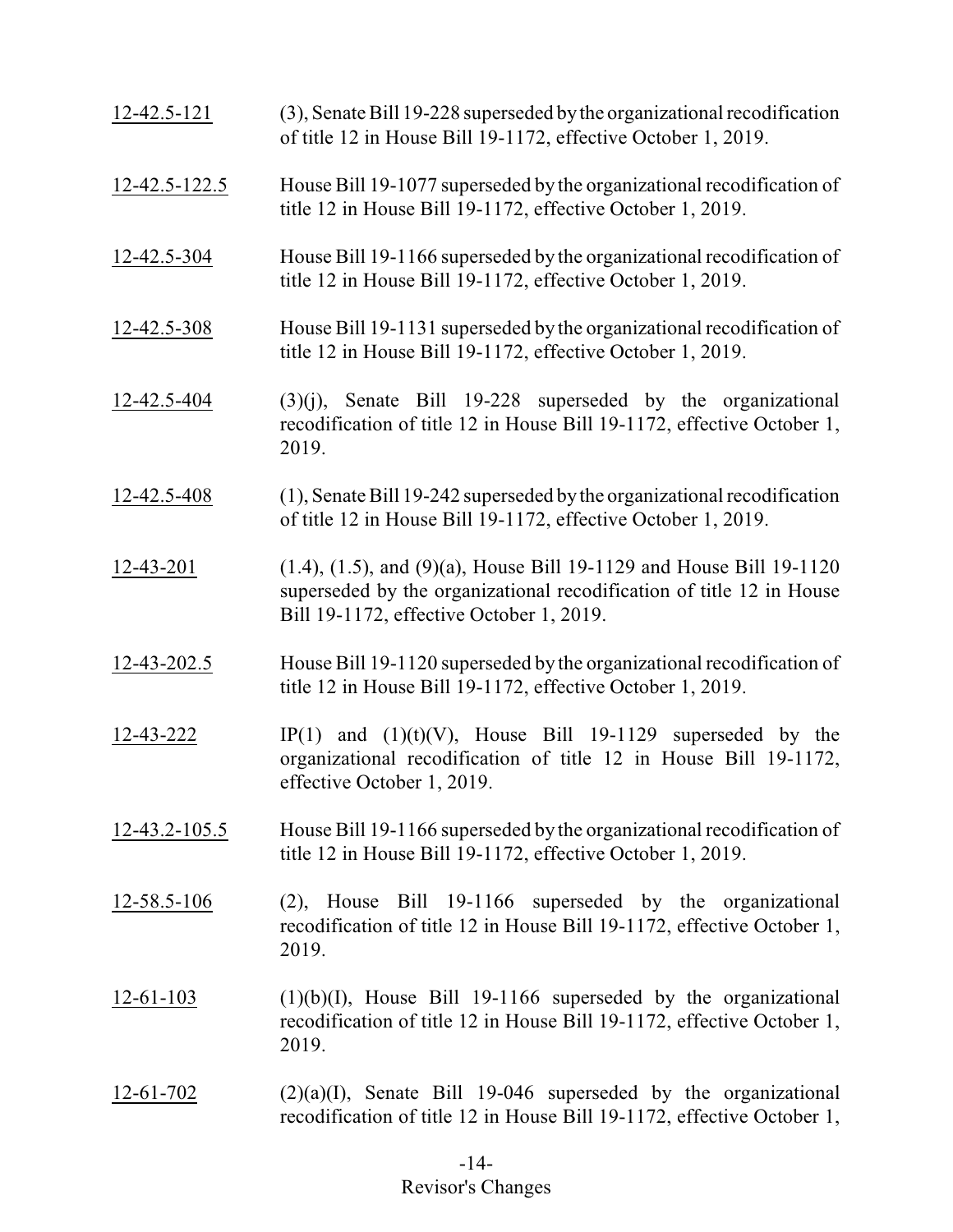| 12-42.5-121         | (3), Senate Bill 19-228 superseded by the organizational recodification<br>of title 12 in House Bill 19-1172, effective October 1, 2019.                                                         |
|---------------------|--------------------------------------------------------------------------------------------------------------------------------------------------------------------------------------------------|
| $12 - 42.5 - 122.5$ | House Bill 19-1077 superseded by the organizational recodification of<br>title 12 in House Bill 19-1172, effective October 1, 2019.                                                              |
| 12-42.5-304         | House Bill 19-1166 superseded by the organizational recodification of<br>title 12 in House Bill 19-1172, effective October 1, 2019.                                                              |
| $12 - 42.5 - 308$   | House Bill 19-1131 superseded by the organizational recodification of<br>title 12 in House Bill 19-1172, effective October 1, 2019.                                                              |
| $12 - 42.5 - 404$   | $(3)(j)$ , Senate Bill 19-228 superseded by the organizational<br>recodification of title 12 in House Bill 19-1172, effective October 1,<br>2019.                                                |
| $12 - 42.5 - 408$   | (1), Senate Bill 19-242 superseded by the organizational recodification<br>of title 12 in House Bill 19-1172, effective October 1, 2019.                                                         |
| $12 - 43 - 201$     | $(1.4)$ , $(1.5)$ , and $(9)(a)$ , House Bill 19-1129 and House Bill 19-1120<br>superseded by the organizational recodification of title 12 in House<br>Bill 19-1172, effective October 1, 2019. |
| $12 - 43 - 202.5$   | House Bill 19-1120 superseded by the organizational recodification of<br>title 12 in House Bill 19-1172, effective October 1, 2019.                                                              |
| 12-43-222           | IP(1) and $(1)(t)(V)$ , House Bill 19-1129 superseded by the<br>organizational recodification of title 12 in House Bill 19-1172,<br>effective October 1, 2019.                                   |
| 12-43.2-105.5       | House Bill 19-1166 superseded by the organizational recodification of<br>title 12 in House Bill 19-1172, effective October 1, 2019.                                                              |
| 12-58.5-106         | (2), House Bill 19-1166 superseded by the organizational<br>recodification of title 12 in House Bill 19-1172, effective October 1,<br>2019.                                                      |
| $12 - 61 - 103$     | $(1)(b)(I)$ , House Bill 19-1166 superseded by the organizational<br>recodification of title 12 in House Bill 19-1172, effective October 1,<br>2019.                                             |
| $12 - 61 - 702$     | $(2)(a)(I)$ , Senate Bill 19-046 superseded by the organizational<br>recodification of title 12 in House Bill 19-1172, effective October 1,                                                      |

# -14- Revisor's Changes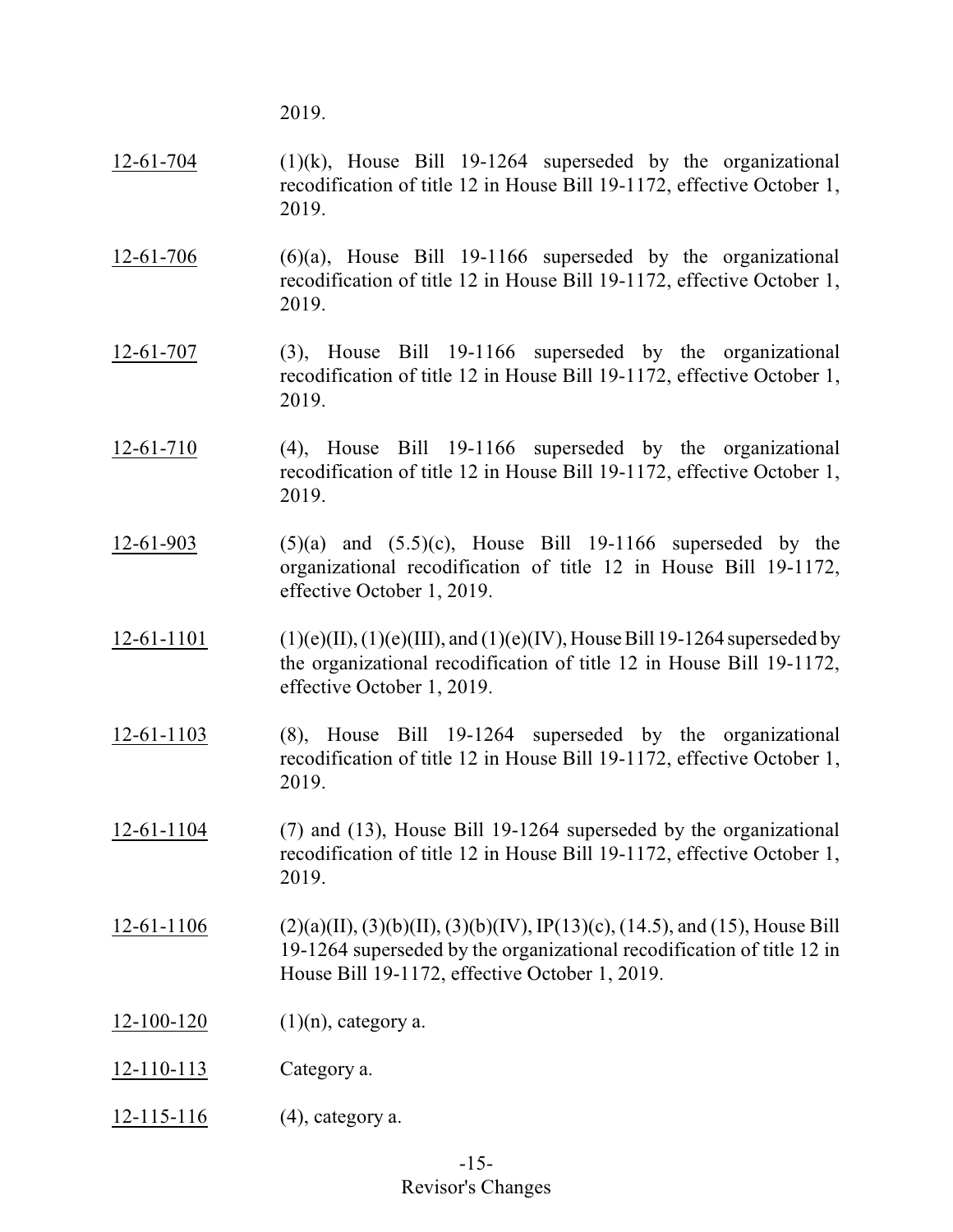2019.

- 12-61-704  $(1)(k)$ , House Bill 19-1264 superseded by the organizational recodification of title 12 in House Bill 19-1172, effective October 1, 2019.
- $12-61-706$  (6)(a), House Bill 19-1166 superseded by the organizational recodification of title 12 in House Bill 19-1172, effective October 1, 2019.
- 12-61-707 (3), House Bill 19-1166 superseded by the organizational recodification of title 12 in House Bill 19-1172, effective October 1, 2019.
- 12-61-710 (4), House Bill 19-1166 superseded by the organizational recodification of title 12 in House Bill 19-1172, effective October 1, 2019.
- 12-61-903 (5)(a) and  $(5.5)(c)$ , House Bill 19-1166 superseded by the organizational recodification of title 12 in House Bill 19-1172, effective October 1, 2019.
- 12-61-1101 (1)(e)(II), (1)(e)(III), and (1)(e)(IV), House Bill 19-1264 superseded by the organizational recodification of title 12 in House Bill 19-1172, effective October 1, 2019.
- 12-61-1103 (8), House Bill 19-1264 superseded by the organizational recodification of title 12 in House Bill 19-1172, effective October 1, 2019.
- 12-61-1104 (7) and (13), House Bill 19-1264 superseded by the organizational recodification of title 12 in House Bill 19-1172, effective October 1, 2019.
- 12-61-1106 (2)(a)(II), (3)(b)(II), (3)(b)(IV), IP(13)(c), (14.5), and (15), House Bill 19-1264 superseded by the organizational recodification of title 12 in House Bill 19-1172, effective October 1, 2019.
- 12-100-120  $(1)(n)$ , category a.
- 12-110-113 Category a.
- 12-115-116 (4), category a.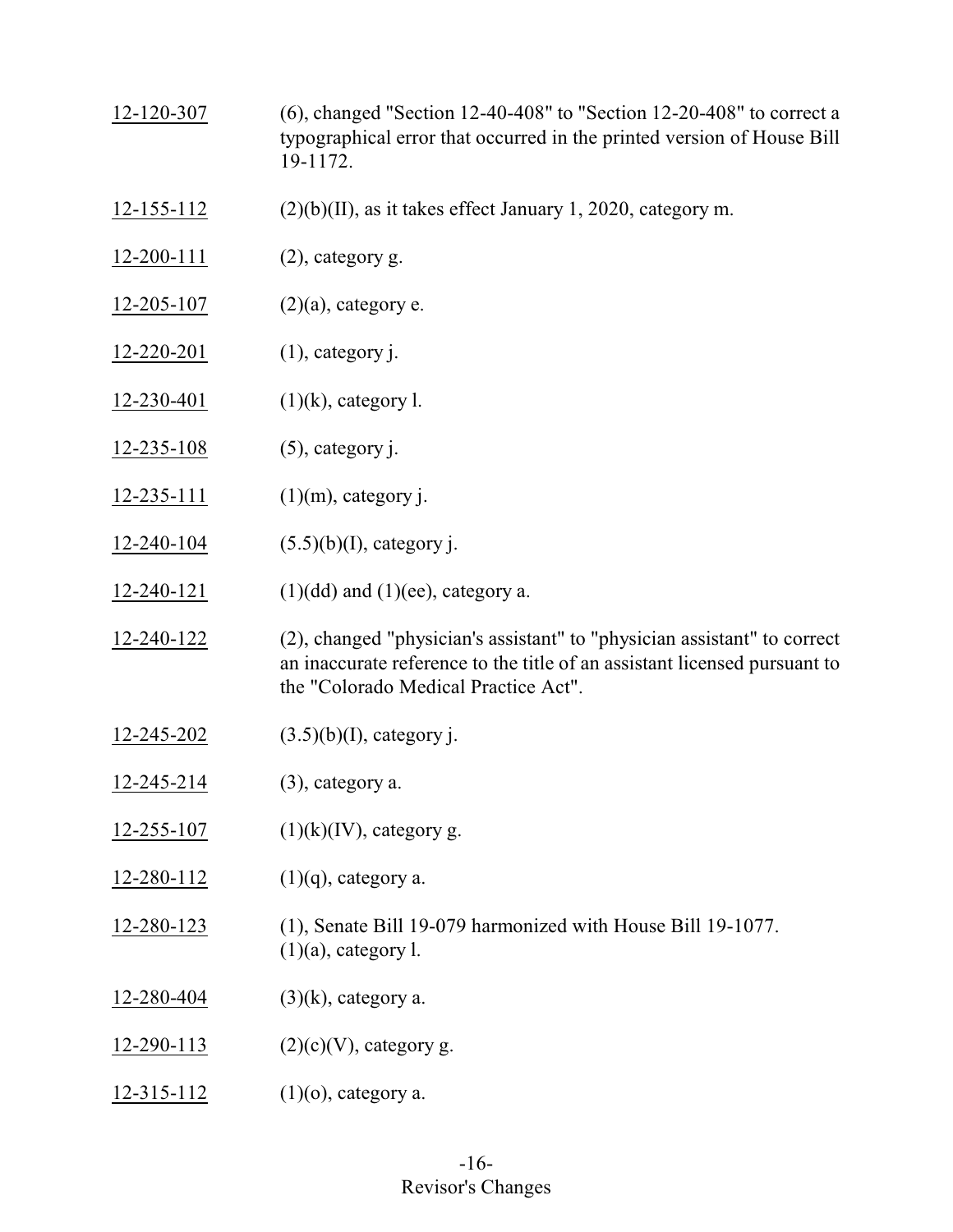- 12-120-307 (6), changed "Section 12-40-408" to "Section 12-20-408" to correct a typographical error that occurred in the printed version of House Bill 19-1172.
- 12-155-112  $(2)(b)(II)$ , as it takes effect January 1, 2020, category m.
- 12-200-111 (2), category g.
- $12-205-107$  (2)(a), category e.
- 12-220-201 (1), category j.
- 12-230-401 (1)(k), category l.
- 12-235-108 (5), category j.
- 12-235-111 (1)(m), category j.
- $12-240-104$  (5.5)(b)(I), category j.
- 12-240-121 (1)(dd) and (1)(ee), category a.
- 12-240-122 (2), changed "physician's assistant" to "physician assistant" to correct an inaccurate reference to the title of an assistant licensed pursuant to the "Colorado Medical Practice Act".
- $12-245-202$   $(3.5)(b)(I)$ , category j.
- $12 245 214$  (3), category a.
- 12-255-107 (1)(k)(IV), category g.
- $12-280-112$  (1)(q), category a.
- 12-280-123 (1), Senate Bill 19-079 harmonized with House Bill 19-1077.  $(1)(a)$ , category l.
- $12-280-404$  (3)(k), category a.
- 12-290-113 (2)(c)(V), category g.
- $12-315-112$  (1)(o), category a.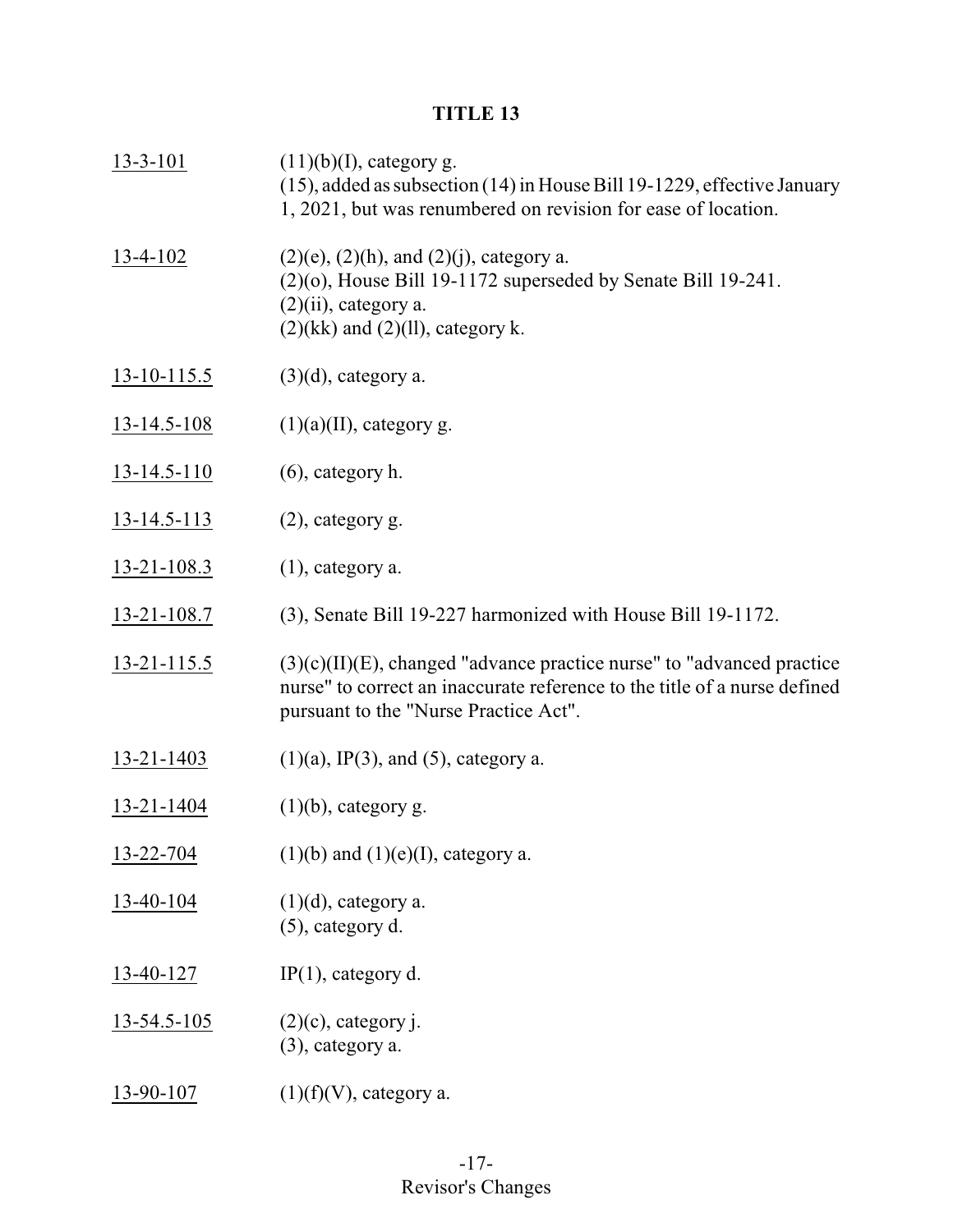| $13 - 3 - 101$    | $(11)(b)(I)$ , category g.<br>(15), added as subsection (14) in House Bill 19-1229, effective January<br>1, 2021, but was renumbered on revision for ease of location.                          |
|-------------------|-------------------------------------------------------------------------------------------------------------------------------------------------------------------------------------------------|
| $13 - 4 - 102$    | $(2)(e)$ , $(2)(h)$ , and $(2)(j)$ , category a.<br>$(2)(o)$ , House Bill 19-1172 superseded by Senate Bill 19-241.<br>$(2)(ii)$ , category a.<br>$(2)(kk)$ and $(2)(ll)$ , category k.         |
| $13 - 10 - 115.5$ | $(3)(d)$ , category a.                                                                                                                                                                          |
| $13 - 14.5 - 108$ | $(1)(a)(II)$ , category g.                                                                                                                                                                      |
| $13 - 14.5 - 110$ | $(6)$ , category h.                                                                                                                                                                             |
| $13 - 14.5 - 113$ | $(2)$ , category g.                                                                                                                                                                             |
| $13 - 21 - 108.3$ | $(1)$ , category a.                                                                                                                                                                             |
| $13 - 21 - 108.7$ | (3), Senate Bill 19-227 harmonized with House Bill 19-1172.                                                                                                                                     |
| $13 - 21 - 115.5$ | $(3)(c)(II)(E)$ , changed "advance practice nurse" to "advanced practice"<br>nurse" to correct an inaccurate reference to the title of a nurse defined<br>pursuant to the "Nurse Practice Act". |
| $13 - 21 - 1403$  | $(1)(a)$ , IP(3), and (5), category a.                                                                                                                                                          |
| $13 - 21 - 1404$  | $(1)(b)$ , category g.                                                                                                                                                                          |
| 13-22-704         | $(1)(b)$ and $(1)(e)(I)$ , category a.                                                                                                                                                          |
| 13-40-104         | $(1)(d)$ , category a.<br>$(5)$ , category d.                                                                                                                                                   |
| <u>13-40-127</u>  | $IP(1)$ , category d.                                                                                                                                                                           |
| $13 - 54.5 - 105$ | $(2)(c)$ , category j.<br>$(3)$ , category a.                                                                                                                                                   |
| <u>13-90-107</u>  | $(1)(f)(V)$ , category a.                                                                                                                                                                       |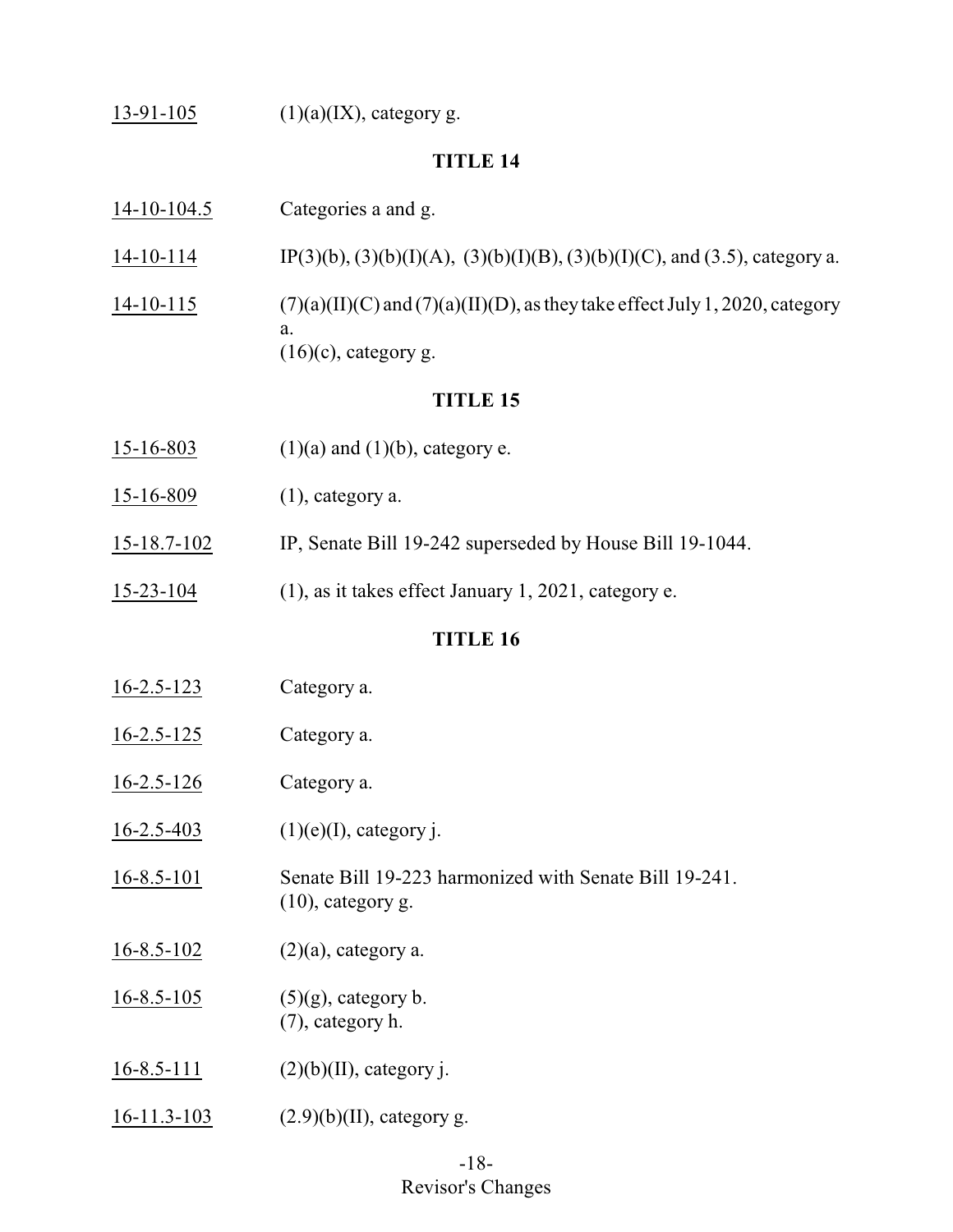$13-91-105$  (1)(a)(IX), category g.

### **TITLE 14**

- 14-10-104.5 Categories a and g.
- 14-10-114 IP(3)(b), (3)(b)(I)(A), (3)(b)(I)(B), (3)(b)(I)(C), and (3.5), category a.
- $14-10-115$  (7)(a)(II)(C) and (7)(a)(II)(D), as they take effect July 1, 2020, category a.  $(16)(c)$ , category g.

#### **TITLE 15**

- 15-16-803 (1)(a) and (1)(b), category e.
- 15-16-809 (1), category a.
- 15-18.7-102 IP, Senate Bill 19-242 superseded by House Bill 19-1044.
- 15-23-104 (1), as it takes effect January 1, 2021, category e.

- 16-2.5-123 Category a.
- 16-2.5-125 Category a.
- 16-2.5-126 Category a.
- 16-2.5-403 (1)(e)(I), category j.
- 16-8.5-101 Senate Bill 19-223 harmonized with Senate Bill 19-241. (10), category g.
- $16-8.5-102$  (2)(a), category a.
- $16-8.5-105$  (5)(g), category b. (7), category h.
- $16-8.5-111$  (2)(b)(II), category j.
- 16-11.3-103 (2.9)(b)(II), category g.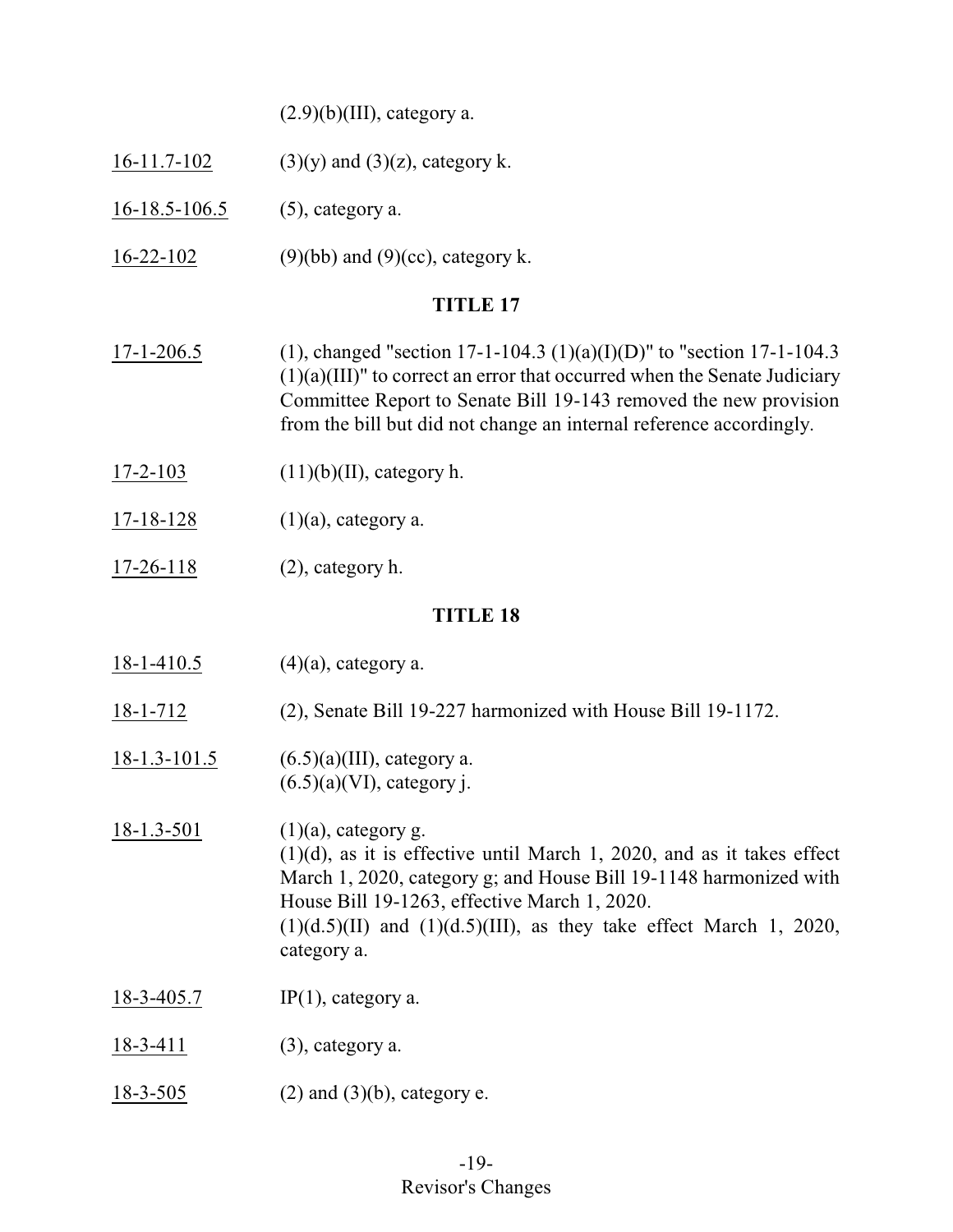$(2.9)(b)(III)$ , category a.

- 16-11.7-102 (3)(y) and (3)(z), category k.
- 16-18.5-106.5 (5), category a.
- 16-22-102 (9)(bb) and (9)(cc), category k.

### **TITLE 17**

- 17-1-206.5 (1), changed "section 17-1-104.3 (1)(a)(I)(D)" to "section 17-1-104.3  $(1)(a)(III)$ " to correct an error that occurred when the Senate Judiciary Committee Report to Senate Bill 19-143 removed the new provision from the bill but did not change an internal reference accordingly.
- $17-2-103$  (11)(b)(II), category h.
- $17-18-128$  (1)(a), category a.
- 17-26-118 (2), category h.

- 18-1-410.5 (4)(a), category a.
- 18-1-712 (2), Senate Bill 19-227 harmonized with House Bill 19-1172.
- $18-1.3-101.5$  (6.5)(a)(III), category a.  $(6.5)(a)(VI)$ , category j.
- 18-1.3-501 (1)(a), category g. (1)(d), as it is effective until March 1, 2020, and as it takes effect March 1, 2020, category g; and House Bill 19-1148 harmonized with House Bill 19-1263, effective March 1, 2020.  $(1)(d.5)(II)$  and  $(1)(d.5)(III)$ , as they take effect March 1, 2020, category a.
- 18-3-405.7 IP(1), category a.
- 18-3-411 (3), category a.
- 18-3-505 (2) and (3)(b), category e.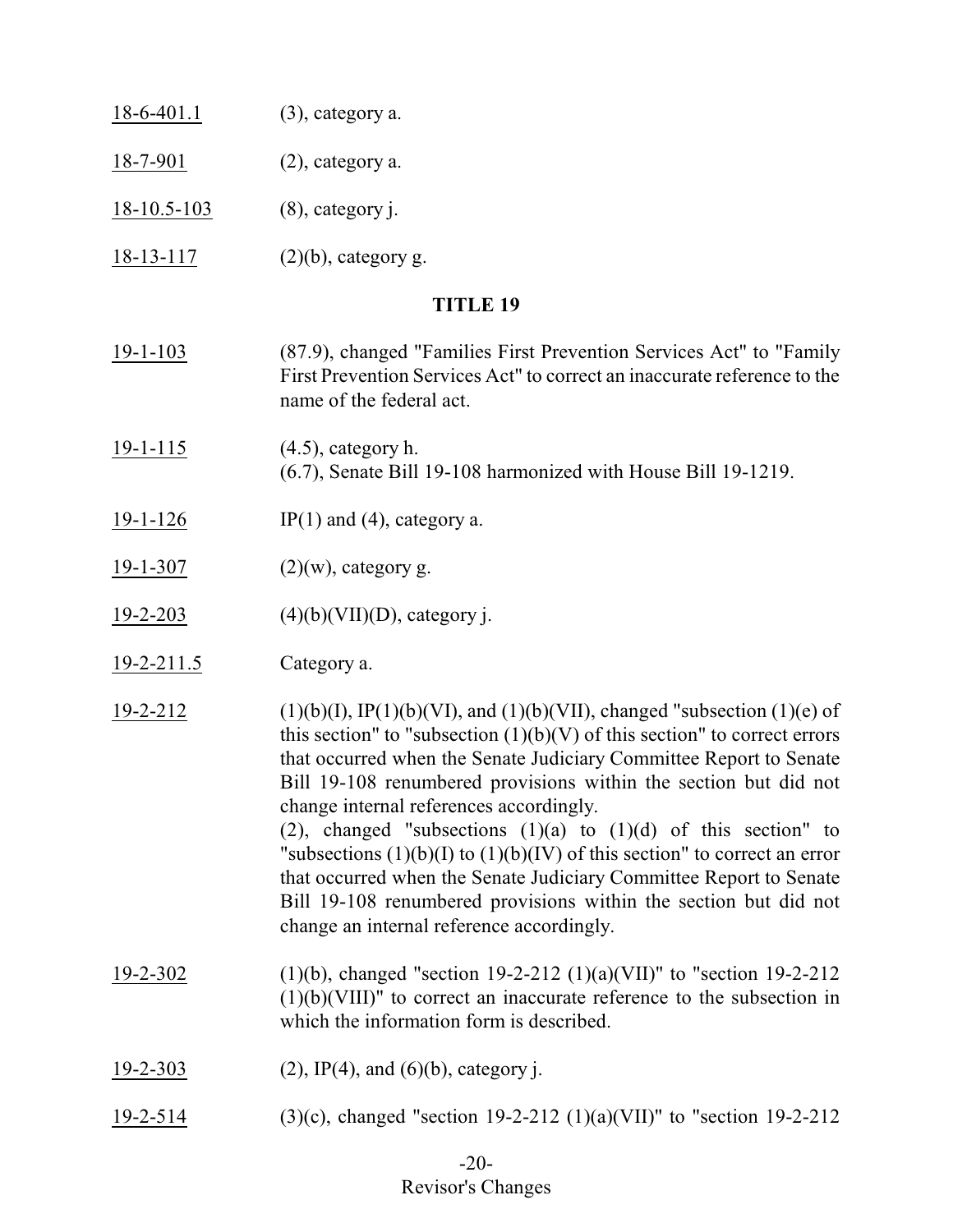| 18-6-401.1        | $(3)$ , category a.                                                                                                                                                                                                                                                                                                                                                                                                                                                                                                                                                                                                                                                                                   |
|-------------------|-------------------------------------------------------------------------------------------------------------------------------------------------------------------------------------------------------------------------------------------------------------------------------------------------------------------------------------------------------------------------------------------------------------------------------------------------------------------------------------------------------------------------------------------------------------------------------------------------------------------------------------------------------------------------------------------------------|
| $18 - 7 - 901$    | $(2)$ , category a.                                                                                                                                                                                                                                                                                                                                                                                                                                                                                                                                                                                                                                                                                   |
| $18 - 10.5 - 103$ | $(8)$ , category j.                                                                                                                                                                                                                                                                                                                                                                                                                                                                                                                                                                                                                                                                                   |
| $18 - 13 - 117$   | $(2)(b)$ , category g.                                                                                                                                                                                                                                                                                                                                                                                                                                                                                                                                                                                                                                                                                |
|                   | <b>TITLE 19</b>                                                                                                                                                                                                                                                                                                                                                                                                                                                                                                                                                                                                                                                                                       |
| $19 - 1 - 103$    | (87.9), changed "Families First Prevention Services Act" to "Family<br>First Prevention Services Act" to correct an inaccurate reference to the<br>name of the federal act.                                                                                                                                                                                                                                                                                                                                                                                                                                                                                                                           |
| $19 - 1 - 115$    | $(4.5)$ , category h.<br>(6.7), Senate Bill 19-108 harmonized with House Bill 19-1219.                                                                                                                                                                                                                                                                                                                                                                                                                                                                                                                                                                                                                |
| $19 - 1 - 126$    | IP(1) and (4), category a.                                                                                                                                                                                                                                                                                                                                                                                                                                                                                                                                                                                                                                                                            |
| $19 - 1 - 307$    | $(2)(w)$ , category g.                                                                                                                                                                                                                                                                                                                                                                                                                                                                                                                                                                                                                                                                                |
| $19 - 2 - 203$    | $(4)(b)(VII)(D)$ , category j.                                                                                                                                                                                                                                                                                                                                                                                                                                                                                                                                                                                                                                                                        |
| $19 - 2 - 211.5$  | Category a.                                                                                                                                                                                                                                                                                                                                                                                                                                                                                                                                                                                                                                                                                           |
| $19 - 2 - 212$    | $(1)(b)(I)$ , IP $(1)(b)(VI)$ , and $(1)(b)(VII)$ , changed "subsection $(1)(e)$ of<br>this section" to "subsection $(1)(b)(V)$ of this section" to correct errors<br>that occurred when the Senate Judiciary Committee Report to Senate<br>Bill 19-108 renumbered provisions within the section but did not<br>change internal references accordingly.<br>(2), changed "subsections $(1)(a)$ to $(1)(d)$ of this section" to<br>"subsections $(1)(b)(I)$ to $(1)(b)(IV)$ of this section" to correct an error<br>that occurred when the Senate Judiciary Committee Report to Senate<br>Bill 19-108 renumbered provisions within the section but did not<br>change an internal reference accordingly. |
| $19 - 2 - 302$    | (1)(b), changed "section 19-2-212 (1)(a)(VII)" to "section 19-2-212<br>$(1)(b)(VIII)$ " to correct an inaccurate reference to the subsection in<br>which the information form is described.                                                                                                                                                                                                                                                                                                                                                                                                                                                                                                           |
| $19 - 2 - 303$    | $(2)$ , IP(4), and $(6)(b)$ , category j.                                                                                                                                                                                                                                                                                                                                                                                                                                                                                                                                                                                                                                                             |
| $19 - 2 - 514$    | $(3)(c)$ , changed "section 19-2-212 $(1)(a)(VII)$ " to "section 19-2-212                                                                                                                                                                                                                                                                                                                                                                                                                                                                                                                                                                                                                             |

# -20- Revisor's Changes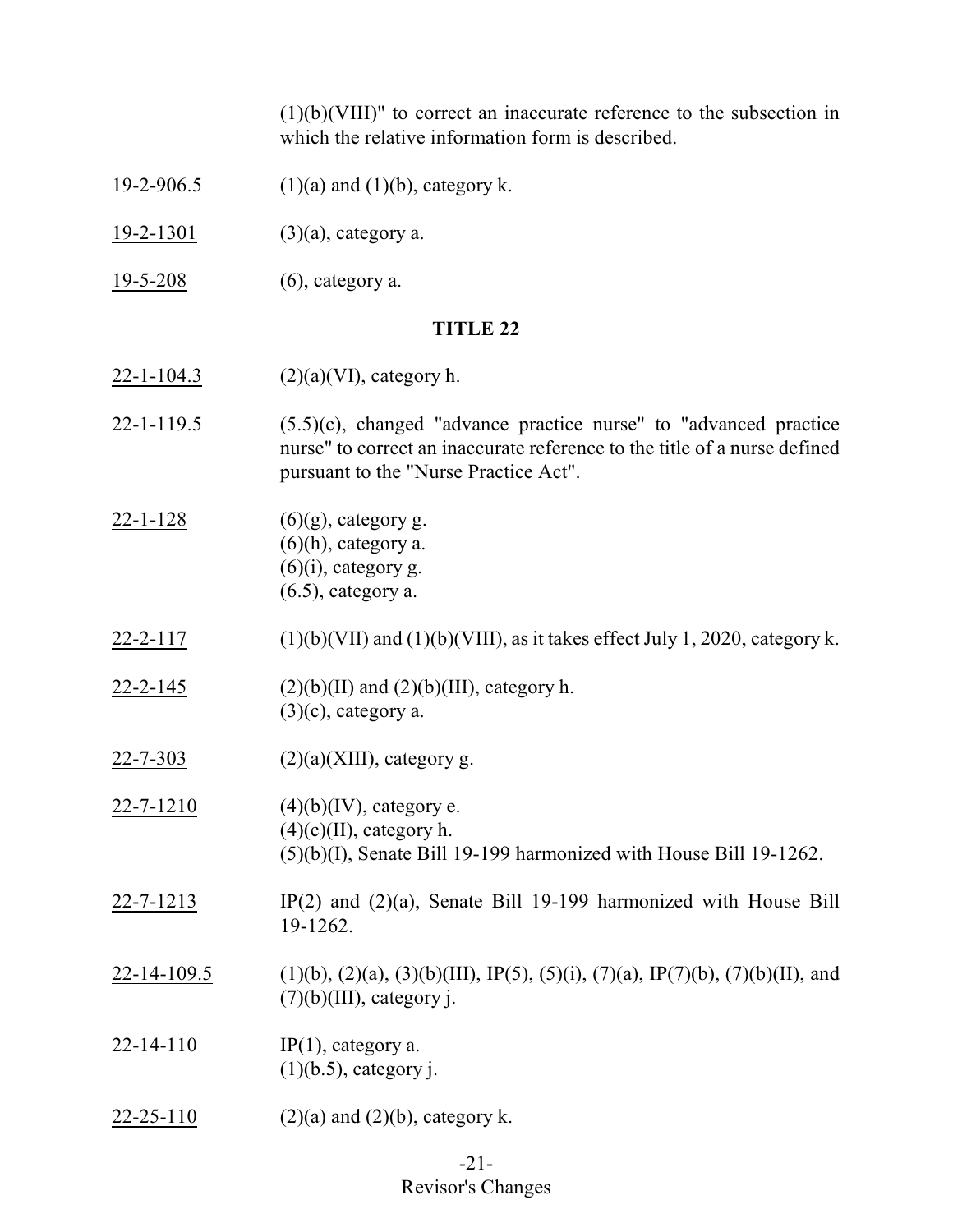(1)(b)(VIII)" to correct an inaccurate reference to the subsection in which the relative information form is described.

- 19-2-906.5 (1)(a) and (1)(b), category k.
- 19-2-1301 (3)(a), category a.
- 19-5-208 (6), category a.

- 22-1-104.3 (2)(a)(VI), category h.
- $22-1-119.5$  (5.5)(c), changed "advance practice nurse" to "advanced practice nurse" to correct an inaccurate reference to the title of a nurse defined pursuant to the "Nurse Practice Act".
- 22-1-128 (6)(g), category g.  $(6)$ (h), category a.  $(6)(i)$ , category g. (6.5), category a.
- $22-2-117$  (1)(b)(VII) and (1)(b)(VIII), as it takes effect July 1, 2020, category k.
- 22-2-145 (2)(b)(II) and (2)(b)(III), category h.  $(3)(c)$ , category a.
- $22 7 303$  (2)(a)(XIII), category g.
- 22-7-1210 (4)(b)(IV), category e.  $(4)(c)(II)$ , category h. (5)(b)(I), Senate Bill 19-199 harmonized with House Bill 19-1262.
- 22-7-1213 IP(2) and (2)(a), Senate Bill 19-199 harmonized with House Bill 19-1262.
- $22-14-109.5$  (1)(b), (2)(a), (3)(b)(III), IP(5), (5)(i), (7)(a), IP(7)(b), (7)(b)(II), and  $(7)(b)(III)$ , category j.
- 22-14-110 IP(1), category a. (1)(b.5), category j.
- 22-25-110 (2)(a) and (2)(b), category k.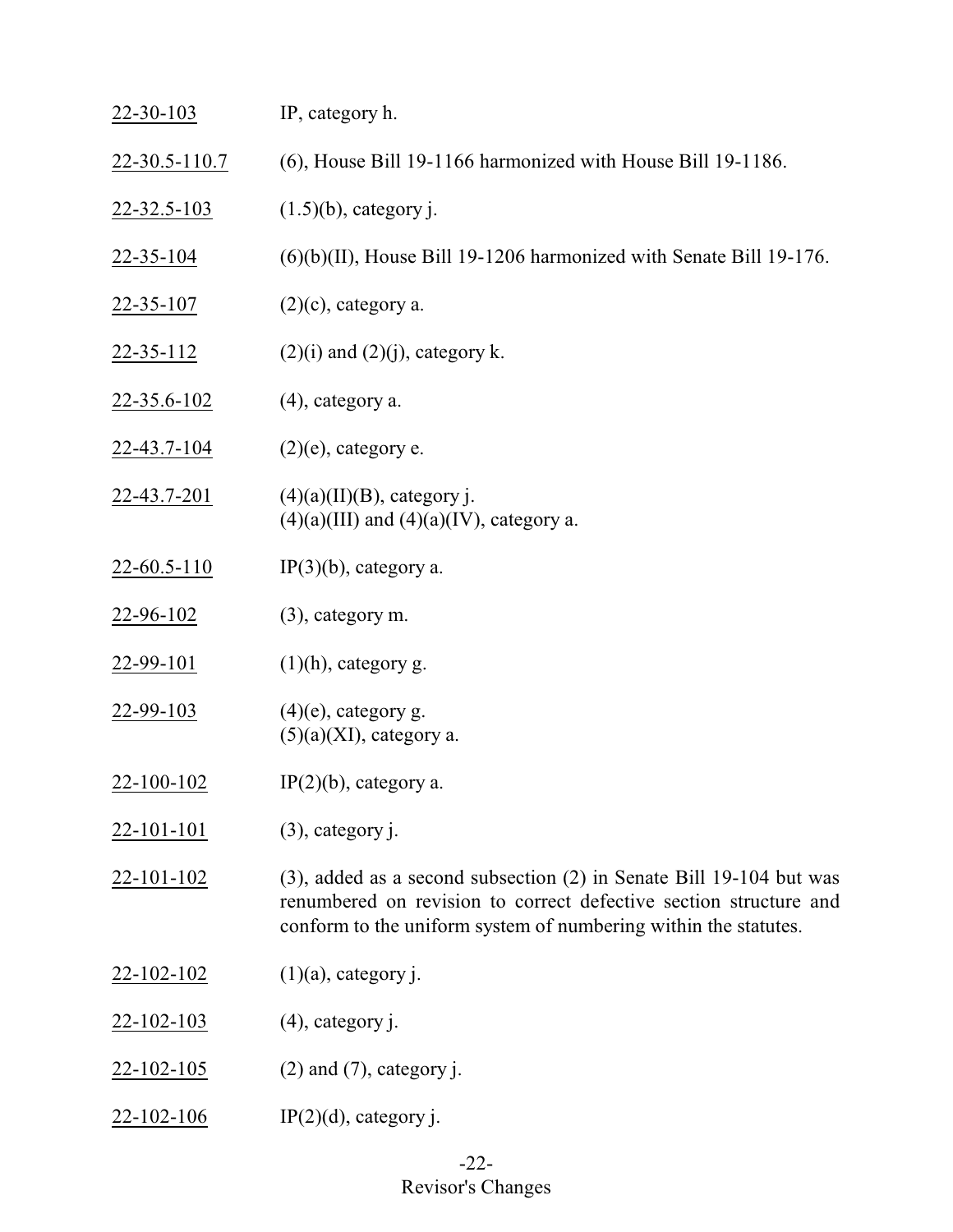| $22 - 30 - 103$     | IP, category h.                                                                                                                                                                                                  |
|---------------------|------------------------------------------------------------------------------------------------------------------------------------------------------------------------------------------------------------------|
| $22 - 30.5 - 110.7$ | (6), House Bill 19-1166 harmonized with House Bill 19-1186.                                                                                                                                                      |
| $22 - 32.5 - 103$   | $(1.5)(b)$ , category j.                                                                                                                                                                                         |
| 22-35-104           | $(6)(b)(II)$ , House Bill 19-1206 harmonized with Senate Bill 19-176.                                                                                                                                            |
| $22 - 35 - 107$     | $(2)(c)$ , category a.                                                                                                                                                                                           |
| <u>22-35-112</u>    | $(2)(i)$ and $(2)(j)$ , category k.                                                                                                                                                                              |
| <u>22-35.6-102</u>  | $(4)$ , category a.                                                                                                                                                                                              |
| 22-43.7-104         | $(2)(e)$ , category e.                                                                                                                                                                                           |
| 22-43.7-201         | $(4)(a)(II)(B)$ , category j.<br>$(4)(a)(III)$ and $(4)(a)(IV)$ , category a.                                                                                                                                    |
| $22 - 60.5 - 110$   | $IP(3)(b)$ , category a.                                                                                                                                                                                         |
| <u>22-96-102</u>    | $(3)$ , category m.                                                                                                                                                                                              |
| <u>22-99-101</u>    | $(1)(h)$ , category g.                                                                                                                                                                                           |
| 22-99-103           | $(4)$ (e), category g.<br>$(5)(a)(XI)$ , category a.                                                                                                                                                             |
| 22-100-102          | $IP(2)(b)$ , category a.                                                                                                                                                                                         |
| $22 - 101 - 101$    | $(3)$ , category j.                                                                                                                                                                                              |
| $22 - 101 - 102$    | $(3)$ , added as a second subsection $(2)$ in Senate Bill 19-104 but was<br>renumbered on revision to correct defective section structure and<br>conform to the uniform system of numbering within the statutes. |
| 22-102-102          | $(1)(a)$ , category j.                                                                                                                                                                                           |
| $22 - 102 - 103$    | $(4)$ , category j.                                                                                                                                                                                              |
| $22 - 102 - 105$    | $(2)$ and $(7)$ , category j.                                                                                                                                                                                    |
| $22 - 102 - 106$    | $IP(2)(d)$ , category j.                                                                                                                                                                                         |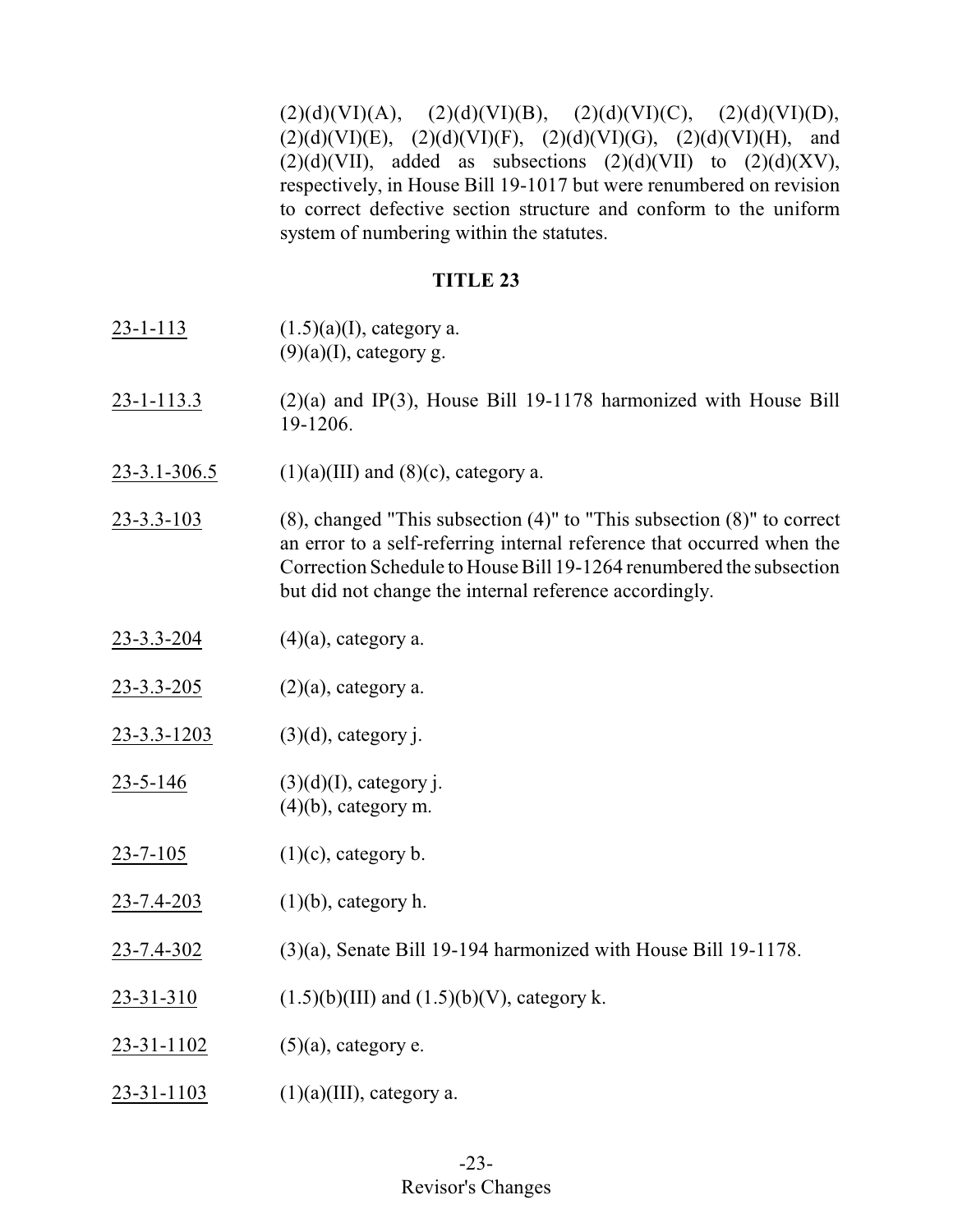$(2)(d)(VI)(A), (2)(d)(VI)(B), (2)(d)(VI)(C), (2)(d)(VI)(D),$  $(2)(d)(VI)(E)$ ,  $(2)(d)(VI)(F)$ ,  $(2)(d)(VI)(G)$ ,  $(2)(d)(VI)(H)$ , and  $(2)(d)(VII)$ , added as subsections  $(2)(d)(VII)$  to  $(2)(d)(XV)$ , respectively, in House Bill 19-1017 but were renumbered on revision to correct defective section structure and conform to the uniform system of numbering within the statutes.

- 23-1-113  $(1.5)(a)(I)$ , category a.  $(9)(a)(I)$ , category g.
- $23-1-113.3$  (2)(a) and IP(3), House Bill 19-1178 harmonized with House Bill 19-1206.
- 23-3.1-306.5 (1)(a)(III) and (8)(c), category a.
- $23-3.3-103$  (8), changed "This subsection (4)" to "This subsection (8)" to correct an error to a self-referring internal reference that occurred when the Correction Schedule to House Bill 19-1264 renumbered the subsection but did not change the internal reference accordingly.
- 23-3.3-204  $(4)(a)$ , category a.
- 23-3.3-205 (2)(a), category a.
- 23-3.3-1203 (3)(d), category j.
- 23-5-146 (3)(d)(I), category j.  $(4)(b)$ , category m.
- 23-7-105 (1)(c), category b.
- $23 7.4 203$  (1)(b), category h.
- 23-7.4-302 (3)(a), Senate Bill 19-194 harmonized with House Bill 19-1178.
- 23-31-310 (1.5)(b)(III) and  $(1.5)(b)(V)$ , category k.
- 23-31-1102 (5)(a), category e.
- 23-31-1103 (1)(a)(III), category a.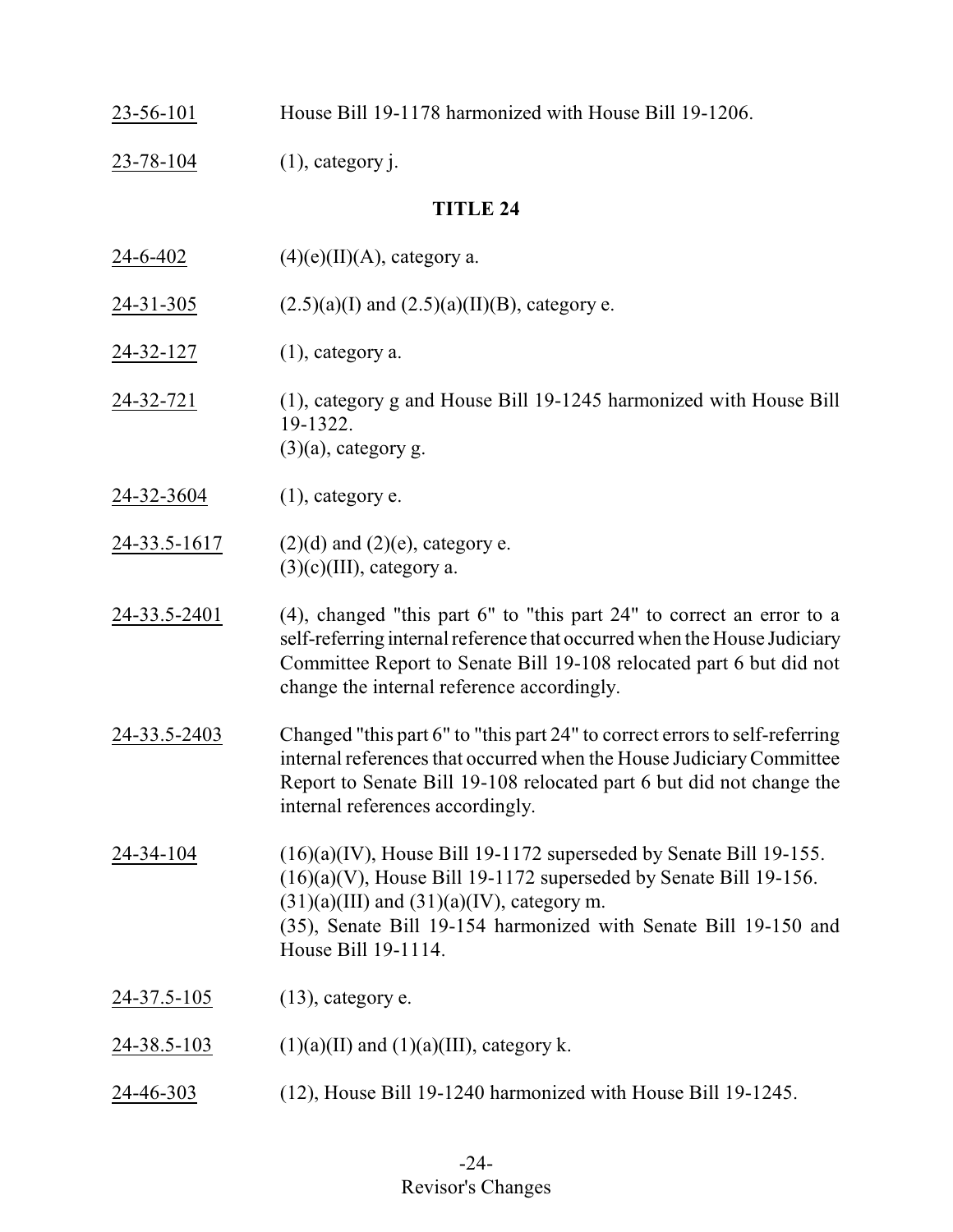| 23-56-101          | House Bill 19-1178 harmonized with House Bill 19-1206.                                                                                                                                                                                                                                  |
|--------------------|-----------------------------------------------------------------------------------------------------------------------------------------------------------------------------------------------------------------------------------------------------------------------------------------|
| $23 - 78 - 104$    | $(1)$ , category j.                                                                                                                                                                                                                                                                     |
|                    | <b>TITLE 24</b>                                                                                                                                                                                                                                                                         |
| <u>24-6-402</u>    | $(4)(e)(II)(A)$ , category a.                                                                                                                                                                                                                                                           |
| $24 - 31 - 305$    | $(2.5)(a)(I)$ and $(2.5)(a)(II)(B)$ , category e.                                                                                                                                                                                                                                       |
| $24 - 32 - 127$    | $(1)$ , category a.                                                                                                                                                                                                                                                                     |
| 24-32-721          | (1), category g and House Bill 19-1245 harmonized with House Bill<br>19-1322.<br>$(3)(a)$ , category g.                                                                                                                                                                                 |
| 24-32-3604         | $(1)$ , category e.                                                                                                                                                                                                                                                                     |
| 24-33.5-1617       | $(2)(d)$ and $(2)(e)$ , category e.<br>$(3)(c)(III)$ , category a.                                                                                                                                                                                                                      |
| 24-33.5-2401       | (4), changed "this part 6" to "this part 24" to correct an error to a<br>self-referring internal reference that occurred when the House Judiciary<br>Committee Report to Senate Bill 19-108 relocated part 6 but did not<br>change the internal reference accordingly.                  |
| 24-33.5-2403       | Changed "this part 6" to "this part 24" to correct errors to self-referring<br>internal references that occurred when the House Judiciary Committee<br>Report to Senate Bill 19-108 relocated part 6 but did not change the<br>internal references accordingly.                         |
| 24-34-104          | $(16)(a)(IV)$ , House Bill 19-1172 superseded by Senate Bill 19-155.<br>$(16)(a)(V)$ , House Bill 19-1172 superseded by Senate Bill 19-156.<br>$(31)(a)(III)$ and $(31)(a)(IV)$ , category m.<br>(35), Senate Bill 19-154 harmonized with Senate Bill 19-150 and<br>House Bill 19-1114. |
| 24-37.5-105        | $(13)$ , category e.                                                                                                                                                                                                                                                                    |
| <u>24-38.5-103</u> | $(1)(a)(II)$ and $(1)(a)(III)$ , category k.                                                                                                                                                                                                                                            |
| 24-46-303          | (12), House Bill 19-1240 harmonized with House Bill 19-1245.                                                                                                                                                                                                                            |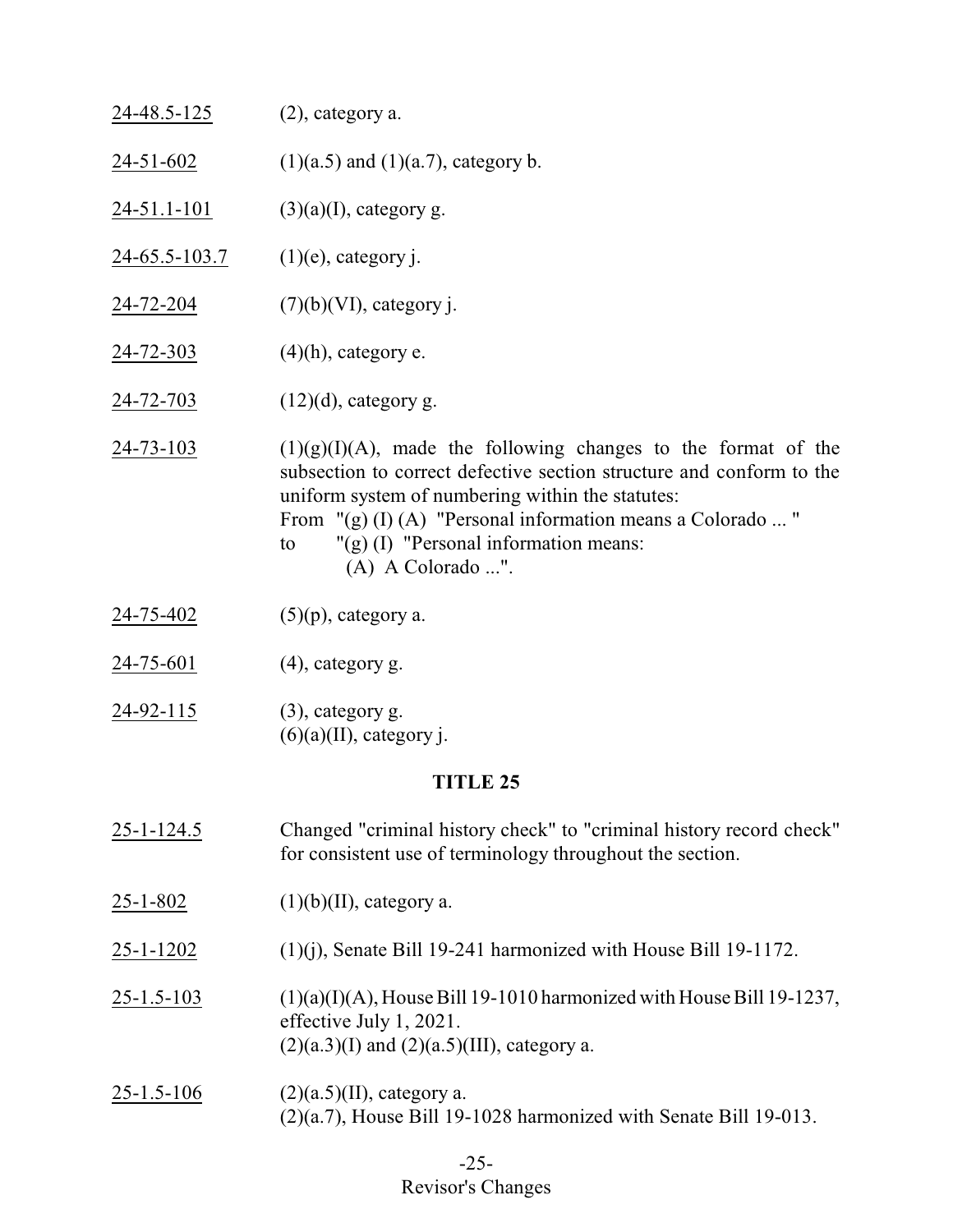| 24-48.5-125         | $(2)$ , category a.                                                                                                                                                                                                                                                                                                                    |
|---------------------|----------------------------------------------------------------------------------------------------------------------------------------------------------------------------------------------------------------------------------------------------------------------------------------------------------------------------------------|
| $24 - 51 - 602$     | $(1)(a.5)$ and $(1)(a.7)$ , category b.                                                                                                                                                                                                                                                                                                |
| $24 - 51.1 - 101$   | $(3)(a)(I)$ , category g.                                                                                                                                                                                                                                                                                                              |
| $24 - 65.5 - 103.7$ | $(1)(e)$ , category j.                                                                                                                                                                                                                                                                                                                 |
| <u>24-72-204</u>    | $(7)(b)(VI)$ , category j.                                                                                                                                                                                                                                                                                                             |
| 24-72-303           | $(4)$ (h), category e.                                                                                                                                                                                                                                                                                                                 |
| 24-72-703           | $(12)(d)$ , category g.                                                                                                                                                                                                                                                                                                                |
| $24 - 73 - 103$     | $(1)(g)(I)(A)$ , made the following changes to the format of the<br>subsection to correct defective section structure and conform to the<br>uniform system of numbering within the statutes:<br>From $''(g) (I) (A)$ "Personal information means a Colorado "<br>$"$ (g) (I) "Personal information means:<br>to<br>$(A)$ A Colorado ". |
| <u>24-75-402</u>    | $(5)(p)$ , category a.                                                                                                                                                                                                                                                                                                                 |
| 24-75-601           | $(4)$ , category g.                                                                                                                                                                                                                                                                                                                    |
| 24-92-115           | $(3)$ , category g.<br>$(6)(a)(II)$ , category j.                                                                                                                                                                                                                                                                                      |
|                     | <b>TITLE 25</b>                                                                                                                                                                                                                                                                                                                        |
| $25 - 1 - 124.5$    | Changed "criminal history check" to "criminal history record check"<br>for consistent use of terminology throughout the section.                                                                                                                                                                                                       |
| $25 - 1 - 802$      | $(1)(b)(II)$ , category a.                                                                                                                                                                                                                                                                                                             |
| <u>25-1-1202</u>    | $(1)(i)$ , Senate Bill 19-241 harmonized with House Bill 19-1172.                                                                                                                                                                                                                                                                      |
| $25 - 1.5 - 103$    | $(1)(a)(I)(A)$ , House Bill 19-1010 harmonized with House Bill 19-1237,<br>effective July 1, 2021.<br>$(2)(a.3)(I)$ and $(2)(a.5)(III)$ , category a.                                                                                                                                                                                  |
| $25 - 1.5 - 106$    | $(2)(a.5)(II)$ , category a.<br>$(2)(a.7)$ , House Bill 19-1028 harmonized with Senate Bill 19-013.                                                                                                                                                                                                                                    |

# -25- Revisor's Changes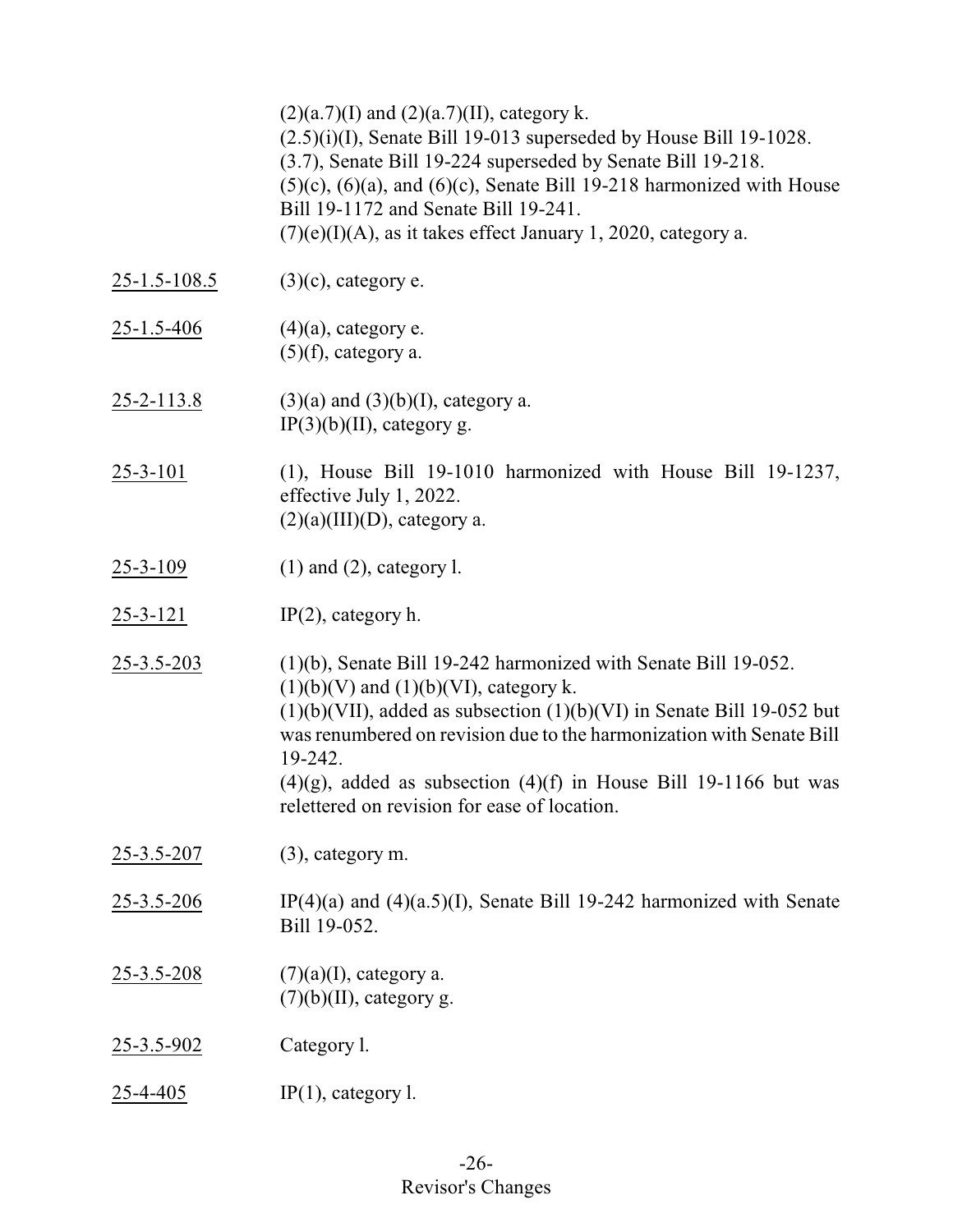$(2)(a.7)(I)$  and  $(2)(a.7)(II)$ , category k.  $(2.5)(i)(I)$ , Senate Bill 19-013 superseded by House Bill 19-1028. (3.7), Senate Bill 19-224 superseded by Senate Bill 19-218.  $(5)(c)$ ,  $(6)(a)$ , and  $(6)(c)$ , Senate Bill 19-218 harmonized with House Bill 19-1172 and Senate Bill 19-241.  $(7)(e)(I)(A)$ , as it takes effect January 1, 2020, category a.

- $25-1.5-108.5$  (3)(c), category e.
- 25-1.5-406 (4)(a), category e.  $(5)(f)$ , category a.
- $25-2-113.8$  (3)(a) and (3)(b)(I), category a. IP $(3)(b)(II)$ , category g.
- 25-3-101 (1), House Bill 19-1010 harmonized with House Bill 19-1237, effective July 1, 2022.  $(2)(a)(III)(D)$ , category a.
- 25-3-109 (1) and (2), category l.
- 25-3-121 IP(2), category h.
- 25-3.5-203 (1)(b), Senate Bill 19-242 harmonized with Senate Bill 19-052.  $(1)(b)(V)$  and  $(1)(b)(VI)$ , category k.  $(1)(b)(VII)$ , added as subsection  $(1)(b)(VI)$  in Senate Bill 19-052 but was renumbered on revision due to the harmonization with Senate Bill 19-242.  $(4)(g)$ , added as subsection  $(4)(f)$  in House Bill 19-1166 but was relettered on revision for ease of location.
- 25-3.5-207 (3), category m.
- 25-3.5-206 IP(4)(a) and (4)(a.5)(I), Senate Bill 19-242 harmonized with Senate Bill 19-052.
- 25-3.5-208  $(7)(a)(I)$ , category a.  $(7)(b)(II)$ , category g.
- 25-3.5-902 Category l.
- 25-4-405 IP(1), category l.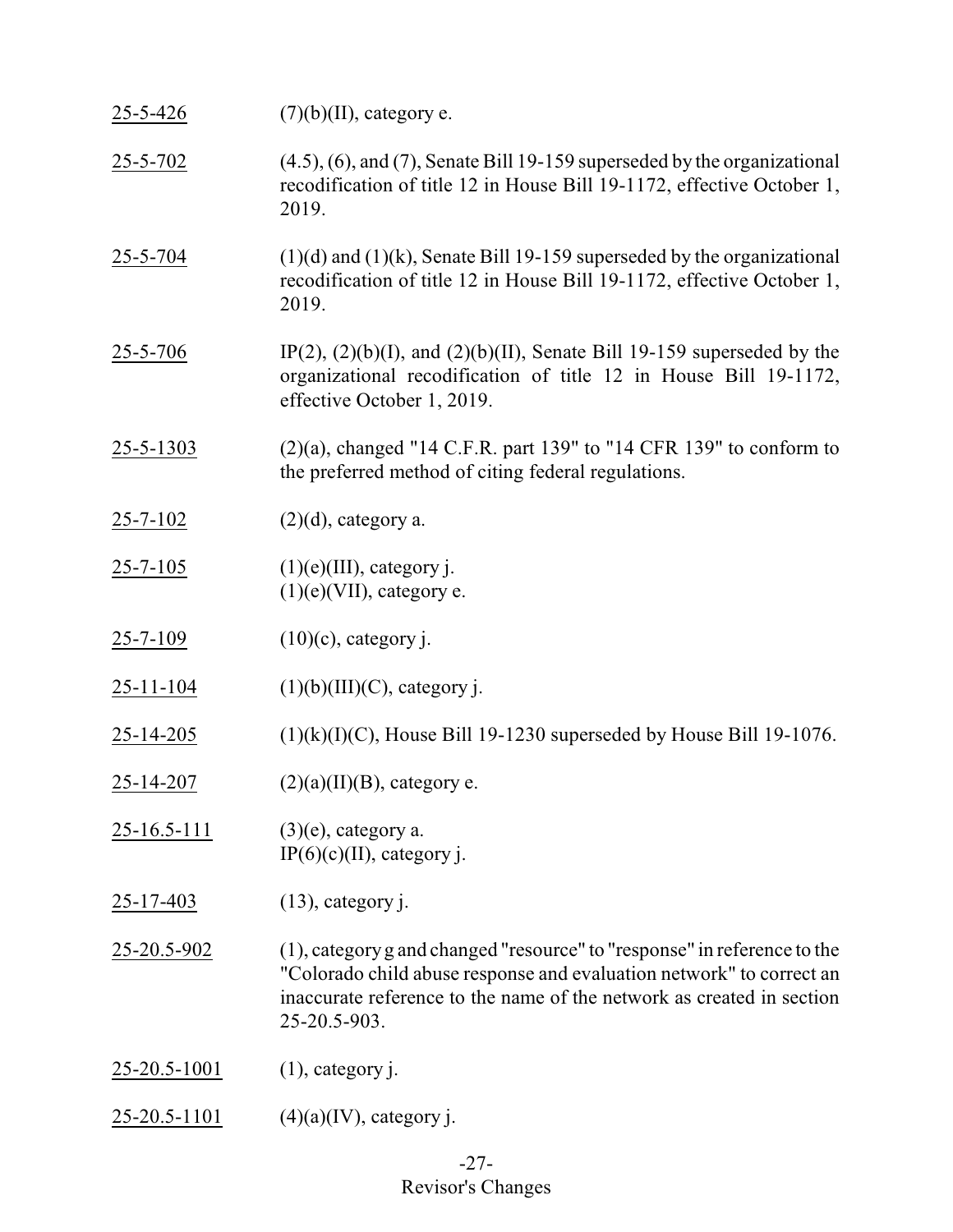| $25 - 5 - 426$    | $(7)(b)(II)$ , category e.                                                                                                                                                                                                                |
|-------------------|-------------------------------------------------------------------------------------------------------------------------------------------------------------------------------------------------------------------------------------------|
| $25 - 5 - 702$    | $(4.5)$ , $(6)$ , and $(7)$ , Senate Bill 19-159 superseded by the organizational<br>recodification of title 12 in House Bill 19-1172, effective October 1,<br>2019.                                                                      |
| $25 - 5 - 704$    | $(1)(d)$ and $(1)(k)$ , Senate Bill 19-159 superseded by the organizational<br>recodification of title 12 in House Bill 19-1172, effective October 1,<br>2019.                                                                            |
| $25 - 5 - 706$    | IP(2), (2)(b)(I), and (2)(b)(II), Senate Bill 19-159 superseded by the<br>organizational recodification of title 12 in House Bill 19-1172,<br>effective October 1, 2019.                                                                  |
| $25 - 5 - 1303$   | $(2)(a)$ , changed "14 C.F.R. part 139" to "14 CFR 139" to conform to<br>the preferred method of citing federal regulations.                                                                                                              |
| $25 - 7 - 102$    | $(2)(d)$ , category a.                                                                                                                                                                                                                    |
| $25 - 7 - 105$    | $(1)(e)(III)$ , category j.<br>$(1)(e)(VII)$ , category e.                                                                                                                                                                                |
| $25 - 7 - 109$    | $(10)(c)$ , category j.                                                                                                                                                                                                                   |
| $25 - 11 - 104$   | $(1)(b)(III)(C)$ , category j.                                                                                                                                                                                                            |
| $25 - 14 - 205$   | $(1)(k)(I)(C)$ , House Bill 19-1230 superseded by House Bill 19-1076.                                                                                                                                                                     |
| 25-14-207         | $(2)(a)(II)(B)$ , category e.                                                                                                                                                                                                             |
| $25 - 16.5 - 111$ | $(3)(e)$ , category a.<br>IP $(6)(c)(II)$ , category j.                                                                                                                                                                                   |
| $25 - 17 - 403$   | $(13)$ , category j.                                                                                                                                                                                                                      |
| 25-20.5-902       | (1), category g and changed "resource" to "response" in reference to the<br>"Colorado child abuse response and evaluation network" to correct an<br>inaccurate reference to the name of the network as created in section<br>25-20.5-903. |
| 25-20.5-1001      | $(1)$ , category j.                                                                                                                                                                                                                       |
| 25-20.5-1101      | $(4)(a)(IV)$ , category j.                                                                                                                                                                                                                |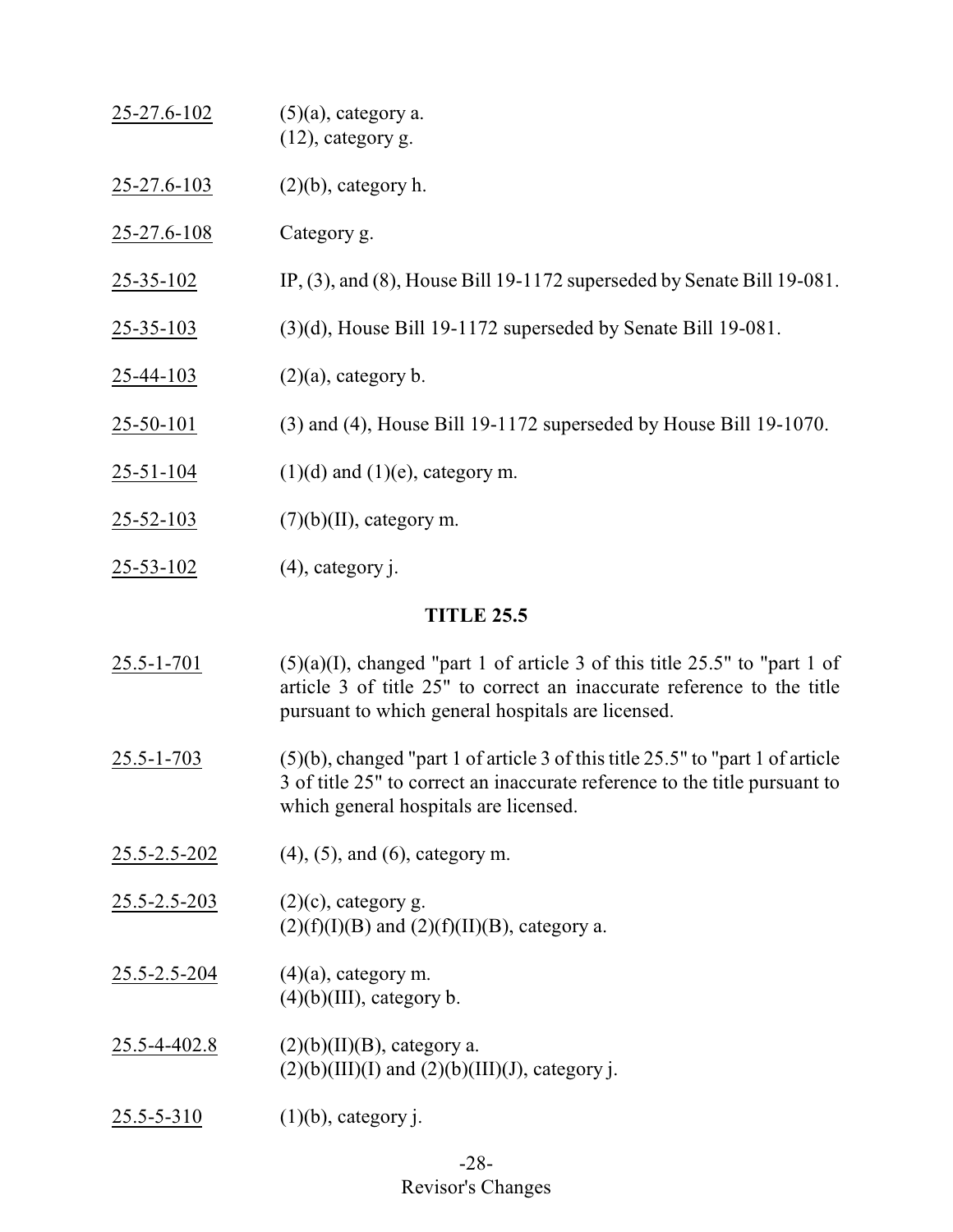| 25-27.6-102       | $(5)(a)$ , category a.<br>$(12)$ , category g.                               |
|-------------------|------------------------------------------------------------------------------|
| 25-27.6-103       | $(2)(b)$ , category h.                                                       |
| $25 - 27.6 - 108$ | Category g.                                                                  |
| $25 - 35 - 102$   | IP, $(3)$ , and $(8)$ , House Bill 19-1172 superseded by Senate Bill 19-081. |
| $25 - 35 - 103$   | $(3)(d)$ , House Bill 19-1172 superseded by Senate Bill 19-081.              |
| 25-44-103         | $(2)(a)$ , category b.                                                       |
| $25 - 50 - 101$   | $(3)$ and $(4)$ , House Bill 19-1172 superseded by House Bill 19-1070.       |
| $25 - 51 - 104$   | $(1)(d)$ and $(1)(e)$ , category m.                                          |
| $25 - 52 - 103$   | $(7)(b)(II)$ , category m.                                                   |
| $25 - 53 - 102$   | $(4)$ , category j.                                                          |

# **TITLE 25.5**

- $25.5 1 701$  (5)(a)(I), changed "part 1 of article 3 of this title 25.5" to "part 1 of article 3 of title 25" to correct an inaccurate reference to the title pursuant to which general hospitals are licensed.
- $25.5 1 703$  (5)(b), changed "part 1 of article 3 of this title 25.5" to "part 1 of article 3 of title 25" to correct an inaccurate reference to the title pursuant to which general hospitals are licensed.
- 25.5-2.5-202 (4), (5), and (6), category m.
- 25.5-2.5-203 (2)(c), category g.  $(2)(f)(I)(B)$  and  $(2)(f)(II)(B)$ , category a.
- $25.5 2.5 204$  (4)(a), category m.  $(4)(b)(III)$ , category b.
- $25.5-4-402.8$  (2)(b)(II)(B), category a.  $(2)(b)(III)(I)$  and  $(2)(b)(III)(J)$ , category j.
- $25.5 5 310$  (1)(b), category j.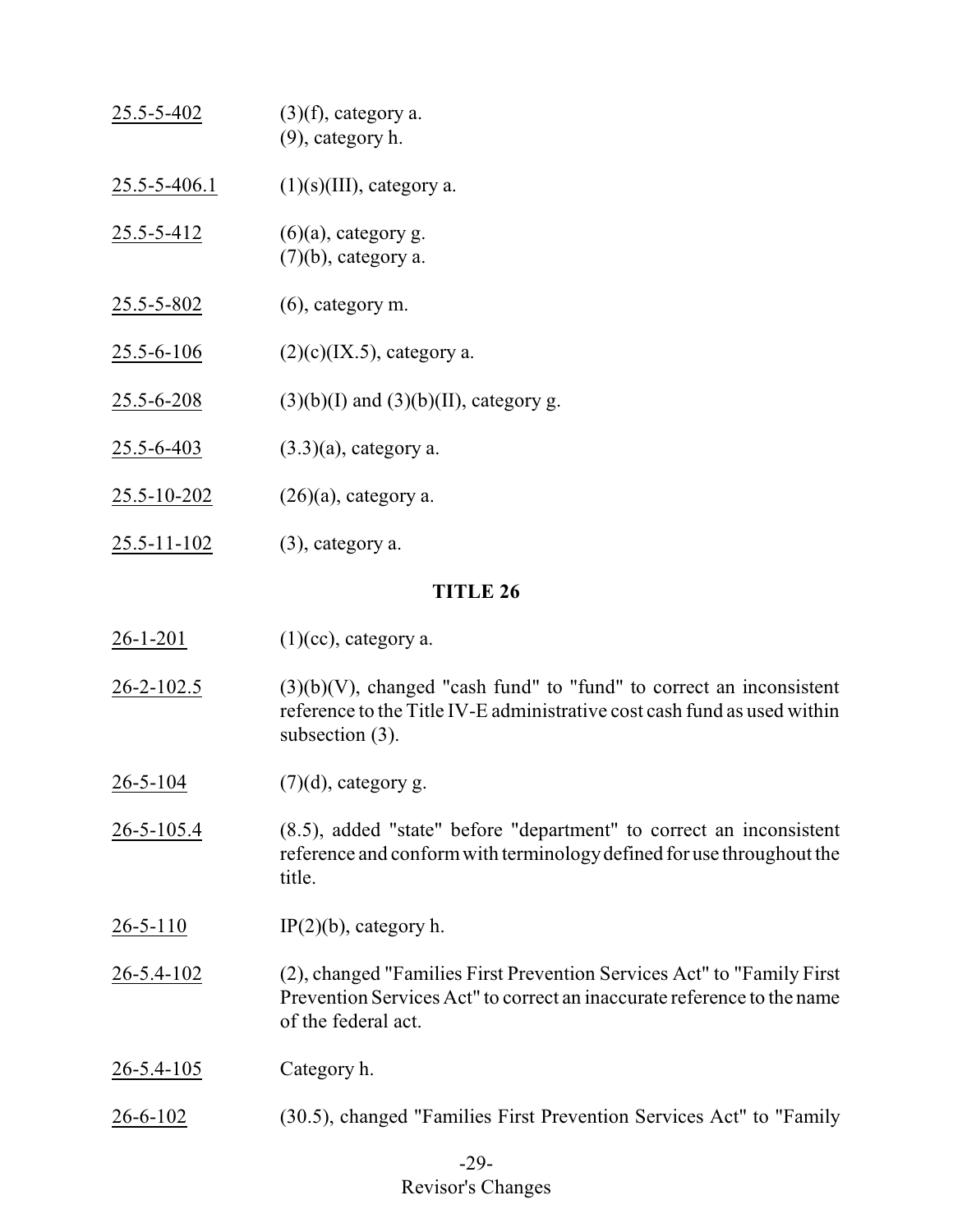| 25.5-5-402        | $(3)(f)$ , category a.<br>$(9)$ , category h.    |
|-------------------|--------------------------------------------------|
| 25.5-5-406.1      | $(1)(s)(III)$ , category a.                      |
| 25.5-5-412        | $(6)(a)$ , category g.<br>$(7)(b)$ , category a. |
| 25.5-5-802        | $(6)$ , category m.                              |
| $25.5 - 6 - 106$  | $(2)(c)(IX.5)$ , category a.                     |
| $25.5 - 6 - 208$  | $(3)(b)(I)$ and $(3)(b)(II)$ , category g.       |
| 25.5-6-403        | $(3.3)(a)$ , category a.                         |
| $25.5 - 10 - 202$ | $(26)(a)$ , category a.                          |
| $25.5 - 11 - 102$ | $(3)$ , category a.                              |

#### **TITLE 26**

- $26-1-201$  (1)(cc), category a.
- $26-2-102.5$  (3)(b)(V), changed "cash fund" to "fund" to correct an inconsistent reference to the Title IV-E administrative cost cash fund as used within subsection (3).
- $26 5 104$  (7)(d), category g.
- 26-5-105.4 (8.5), added "state" before "department" to correct an inconsistent reference and conformwith terminologydefined for use throughout the title.
- $26 5 110$  IP(2)(b), category h.
- 26-5.4-102 (2), changed "Families First Prevention Services Act" to "Family First Prevention Services Act" to correct an inaccurate reference to the name of the federal act.
- 26-5.4-105 Category h.
- 26-6-102 (30.5), changed "Families First Prevention Services Act" to "Family

## -29- Revisor's Changes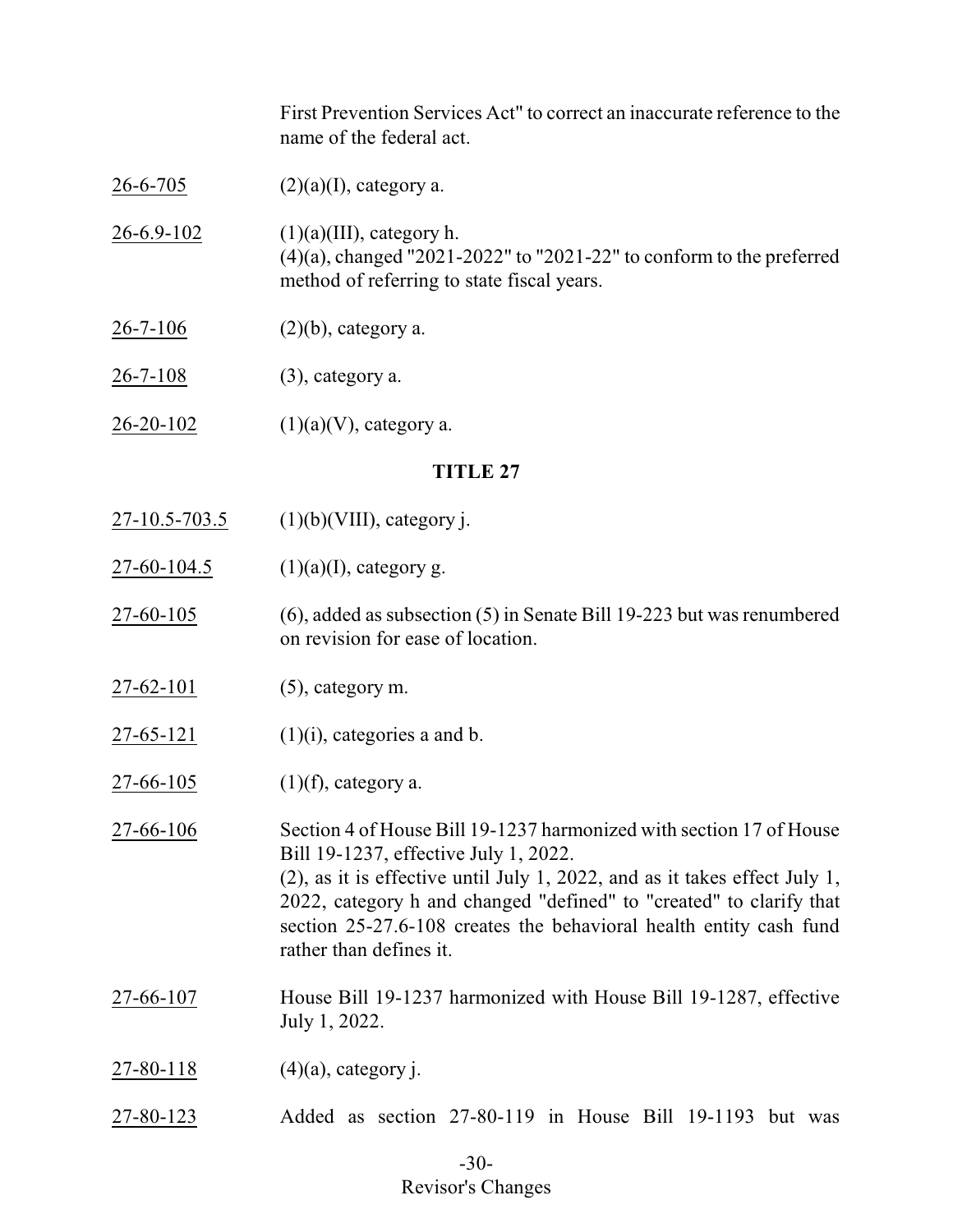First Prevention Services Act" to correct an inaccurate reference to the name of the federal act.

- 26-6-705 (2)(a)(I), category a.
- 26-6.9-102 (1)(a)(III), category h. (4)(a), changed "2021-2022" to "2021-22" to conform to the preferred method of referring to state fiscal years.
- 26-7-106 (2)(b), category a.
- 26-7-108 (3), category a.
- 26-20-102  $(1)(a)(V)$ , category a.

## **TITLE 27**

- $27-10.5-703.5$  (1)(b)(VIII), category j.
- 27-60-104.5  $(1)(a)(I)$ , category g.
- 27-60-105 (6), added as subsection (5) in Senate Bill 19-223 but was renumbered on revision for ease of location.
- 27-62-101 (5), category m.
- $27-65-121$  (1)(i), categories a and b.
- 27-66-105 (1)(f), category a.

27-66-106 Section 4 of House Bill 19-1237 harmonized with section 17 of House Bill 19-1237, effective July 1, 2022. (2), as it is effective until July 1, 2022, and as it takes effect July 1, 2022, category h and changed "defined" to "created" to clarify that section 25-27.6-108 creates the behavioral health entity cash fund rather than defines it.

- 27-66-107 House Bill 19-1237 harmonized with House Bill 19-1287, effective July 1, 2022.
- 27-80-118 (4)(a), category j.
- 27-80-123 Added as section 27-80-119 in House Bill 19-1193 but was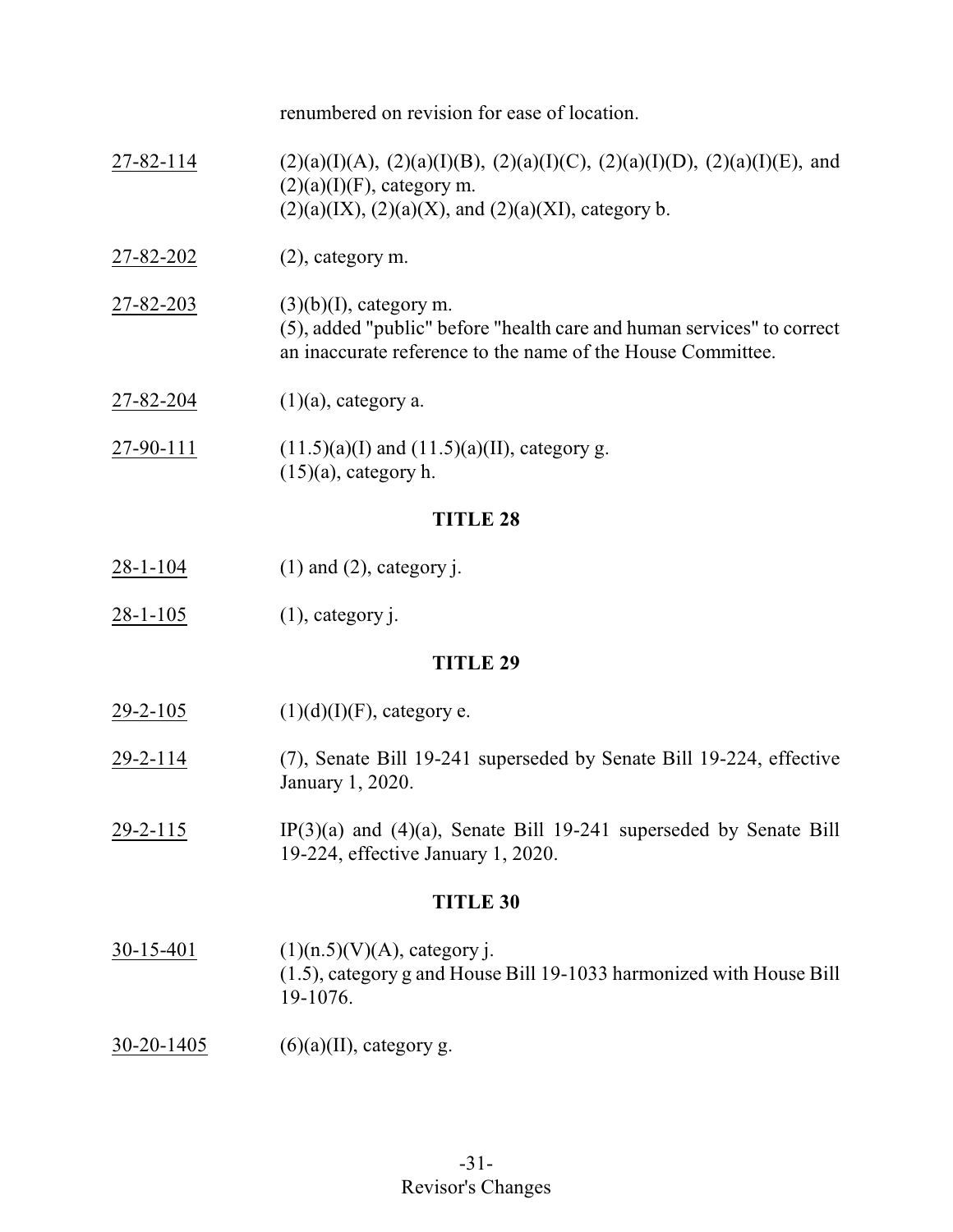renumbered on revision for ease of location.

- 27-82-114 (2)(a)(I)(A), (2)(a)(I)(B), (2)(a)(I)(C), (2)(a)(I)(D), (2)(a)(I)(E), and  $(2)(a)(I)(F)$ , category m.  $(2)(a)(IX), (2)(a)(X), and (2)(a)(XI), category b.$
- 27-82-202 (2), category m.

27-82-203 (3)(b)(I), category m. (5), added "public" before "health care and human services" to correct an inaccurate reference to the name of the House Committee.

- $27 82 204$  (1)(a), category a.
- 27-90-111  $(11.5)(a)(I)$  and  $(11.5)(a)(II)$ , category g.  $(15)(a)$ , category h.

#### **TITLE 28**

- 28-1-104 (1) and (2), category j.
- 28-1-105 (1), category j.

#### **TITLE 29**

- 29-2-105 (1)(d)(I)(F), category e.
- 29-2-114 (7), Senate Bill 19-241 superseded by Senate Bill 19-224, effective January 1, 2020.
- $29-2-115$  IP(3)(a) and (4)(a), Senate Bill 19-241 superseded by Senate Bill 19-224, effective January 1, 2020.

- 30-15-401 (1)(n.5)(V)(A), category j. (1.5), category g and House Bill 19-1033 harmonized with House Bill 19-1076.
- 30-20-1405 (6)(a)(II), category g.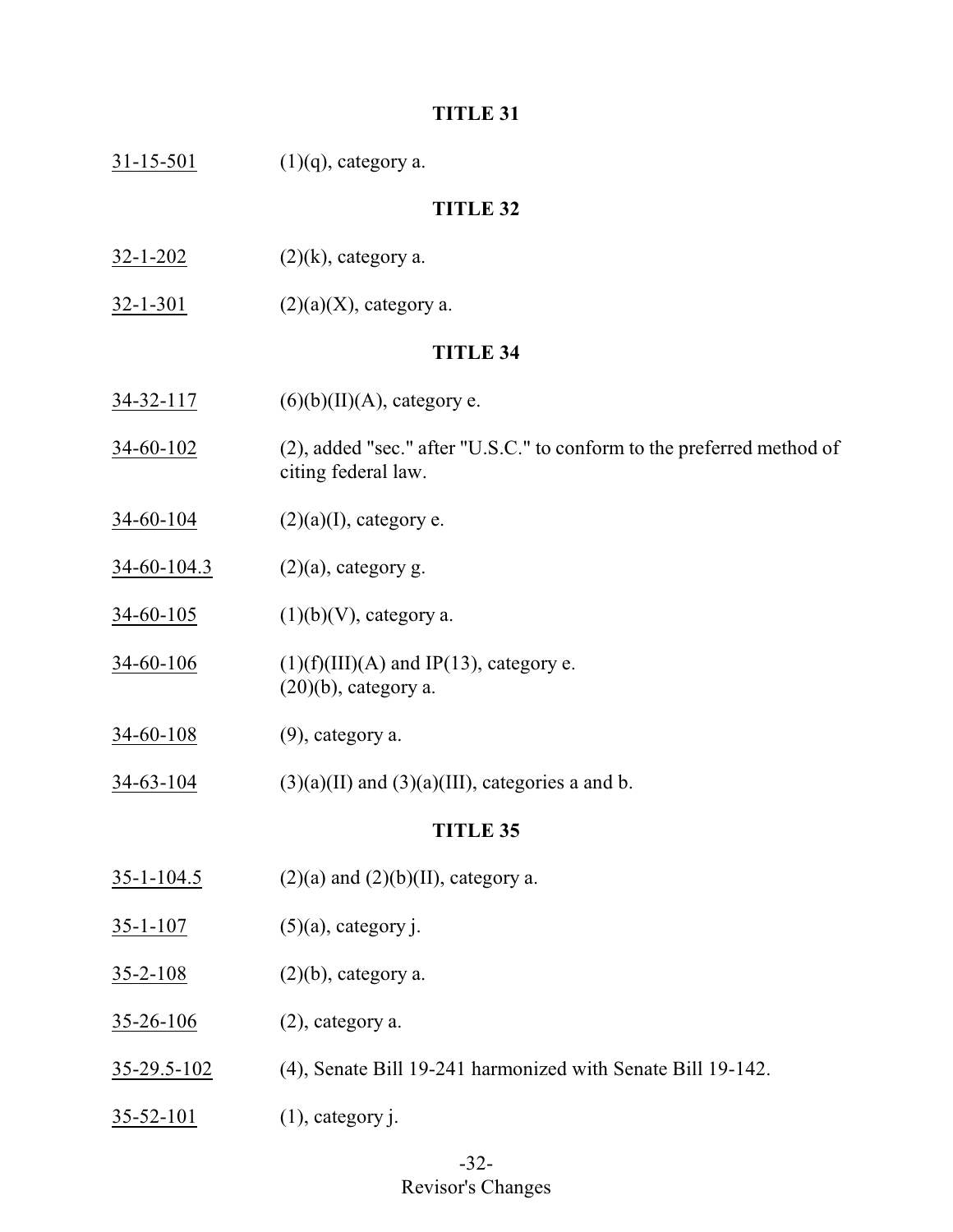# **TITLE 31**

 $31-15-501$  (1)(q), category a.

| <b>TITLE 32</b>    |                                                                                               |  |
|--------------------|-----------------------------------------------------------------------------------------------|--|
| $32 - 1 - 202$     | $(2)(k)$ , category a.                                                                        |  |
| $32 - 1 - 301$     | $(2)(a)(X)$ , category a.                                                                     |  |
| <b>TITLE 34</b>    |                                                                                               |  |
| 34-32-117          | $(6)(b)(II)(A)$ , category e.                                                                 |  |
| $34 - 60 - 102$    | (2), added "sec." after "U.S.C." to conform to the preferred method of<br>citing federal law. |  |
| 34-60-104          | $(2)(a)(I)$ , category e.                                                                     |  |
| 34-60-104.3        | $(2)(a)$ , category g.                                                                        |  |
| $34 - 60 - 105$    | $(1)(b)(V)$ , category a.                                                                     |  |
| 34-60-106          | $(1)(f)(III)(A)$ and IP(13), category e.<br>$(20)(b)$ , category a.                           |  |
| $34 - 60 - 108$    | $(9)$ , category a.                                                                           |  |
| $34 - 63 - 104$    | $(3)(a)(II)$ and $(3)(a)(III)$ , categories a and b.                                          |  |
|                    | <b>TITLE 35</b>                                                                               |  |
| $35 - 1 - 104.5$   | $(2)(a)$ and $(2)(b)(II)$ , category a.                                                       |  |
| $35 - 1 - 107$     | $(5)(a)$ , category j.                                                                        |  |
| $35 - 2 - 108$     | $(2)(b)$ , category a.                                                                        |  |
| $35 - 26 - 106$    | $(2)$ , category a.                                                                           |  |
| <u>35-29.5-102</u> | (4), Senate Bill 19-241 harmonized with Senate Bill 19-142.                                   |  |
| $35 - 52 - 101$    | $(1)$ , category j.                                                                           |  |

-32-

# Revisor's Changes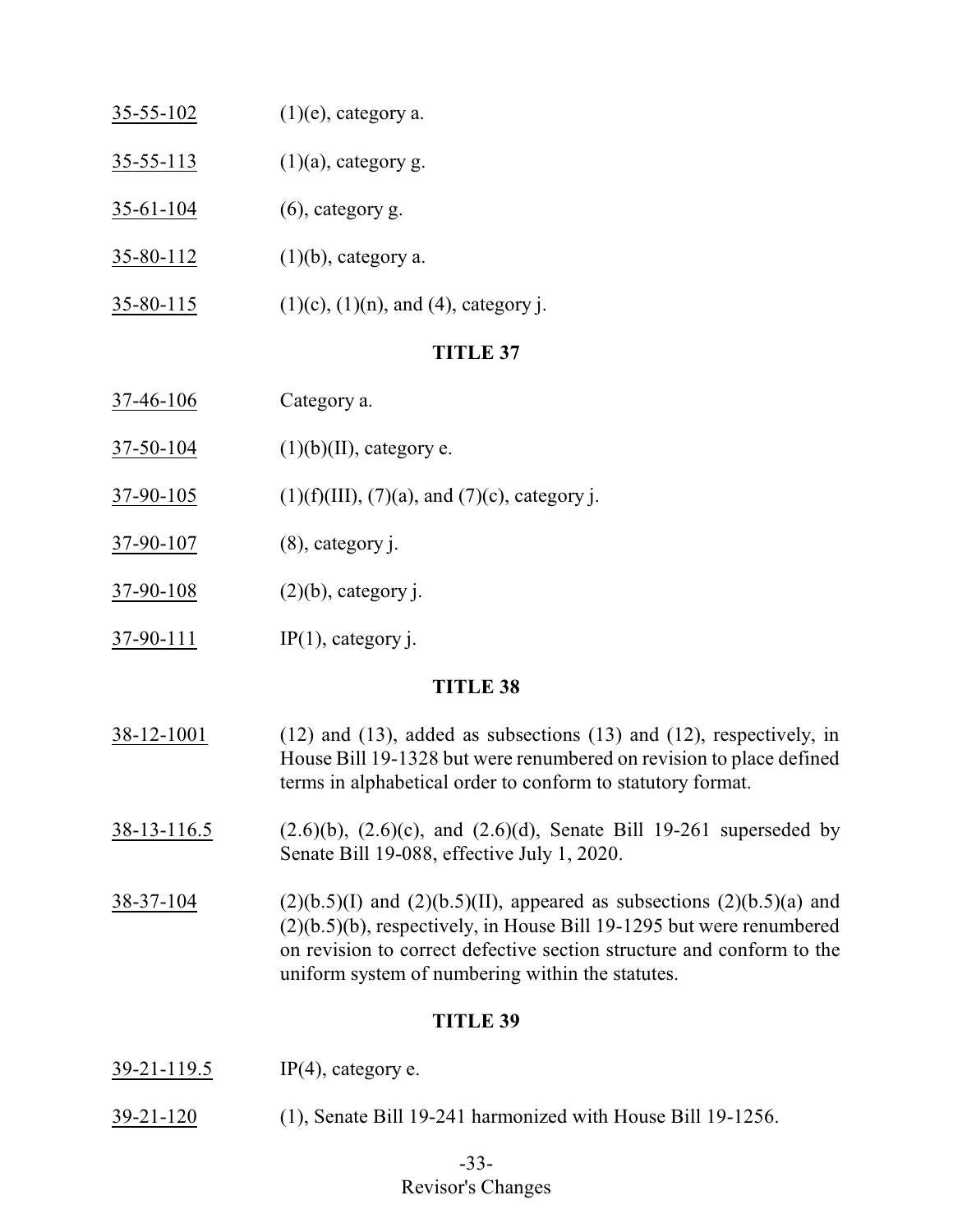35-55-113 (1)(a), category g.

- 35-61-104 (6), category g.
- 35-80-112 (1)(b), category a.
- $35-80-115$  (1)(c), (1)(n), and (4), category j.

#### **TITLE 37**

- 37-46-106 Category a.
- $37-50-104$  (1)(b)(II), category e.
- 37-90-105 (1)(f)(III), (7)(a), and (7)(c), category j.
- 37-90-107 (8), category j.
- 37-90-108 (2)(b), category j.
- $37-90-111$  IP(1), category j.

#### **TITLE 38**

- 38-12-1001 (12) and (13), added as subsections (13) and (12), respectively, in House Bill 19-1328 but were renumbered on revision to place defined terms in alphabetical order to conform to statutory format.
- 38-13-116.5 (2.6)(b), (2.6)(c), and (2.6)(d), Senate Bill 19-261 superseded by Senate Bill 19-088, effective July 1, 2020.
- 38-37-104 (2)(b.5)(I) and (2)(b.5)(II), appeared as subsections (2)(b.5)(a) and (2)(b.5)(b), respectively, in House Bill 19-1295 but were renumbered on revision to correct defective section structure and conform to the uniform system of numbering within the statutes.

## **TITLE 39**

- 39-21-119.5 IP(4), category e.
- 39-21-120 (1), Senate Bill 19-241 harmonized with House Bill 19-1256.

## -33- Revisor's Changes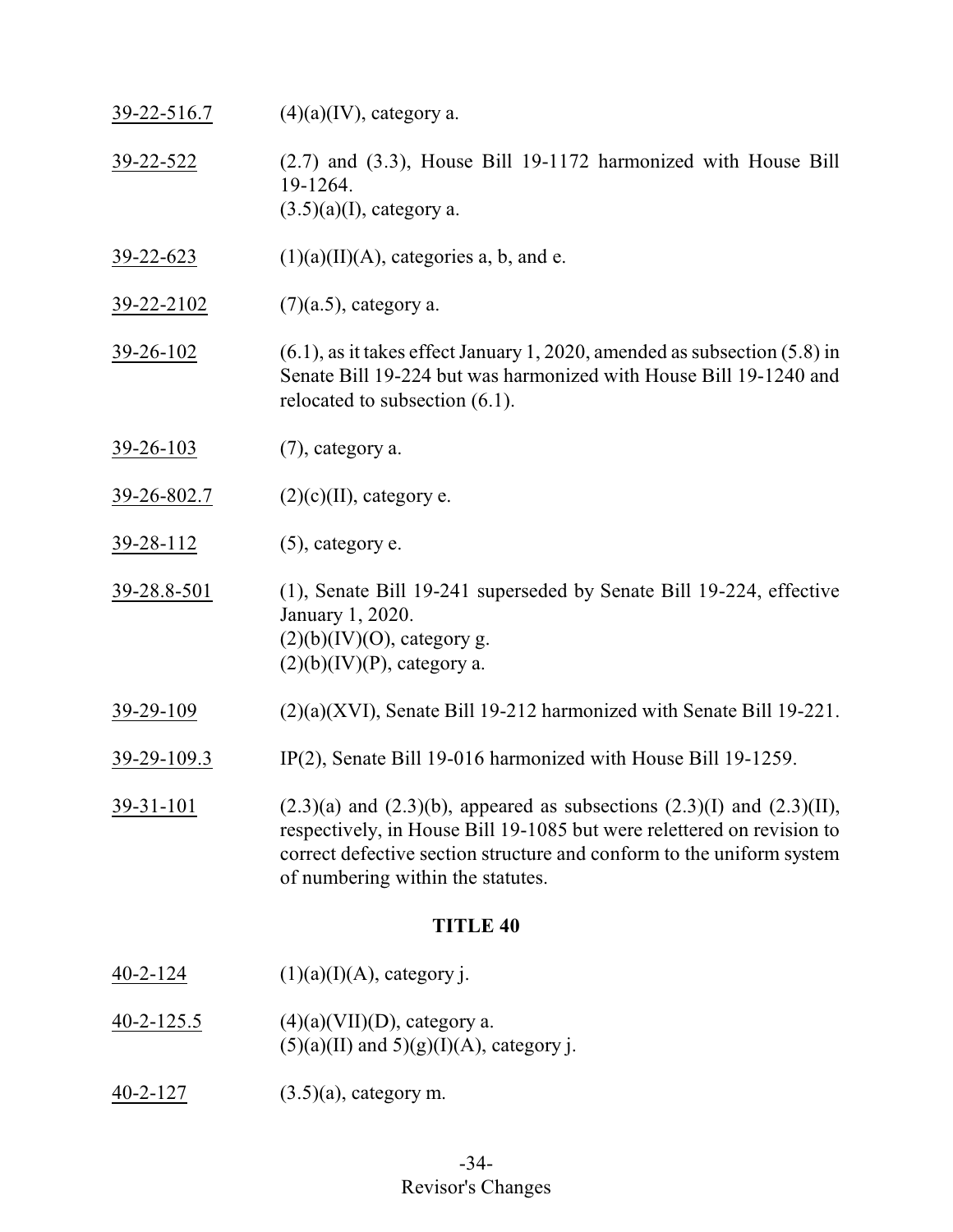| $39 - 22 - 516.7$ | $(4)(a)(IV)$ , category a.                                                                                                                                                                                                                                               |
|-------------------|--------------------------------------------------------------------------------------------------------------------------------------------------------------------------------------------------------------------------------------------------------------------------|
| 39-22-522         | $(2.7)$ and $(3.3)$ , House Bill 19-1172 harmonized with House Bill<br>19-1264.<br>$(3.5)(a)(I)$ , category a.                                                                                                                                                           |
| 39-22-623         | $(1)(a)(II)(A)$ , categories a, b, and e.                                                                                                                                                                                                                                |
| <u>39-22-2102</u> | $(7)(a.5)$ , category a.                                                                                                                                                                                                                                                 |
| <u>39-26-102</u>  | $(6.1)$ , as it takes effect January 1, 2020, amended as subsection $(5.8)$ in<br>Senate Bill 19-224 but was harmonized with House Bill 19-1240 and<br>relocated to subsection $(6.1)$ .                                                                                 |
| $39 - 26 - 103$   | $(7)$ , category a.                                                                                                                                                                                                                                                      |
| 39-26-802.7       | $(2)(c)(II)$ , category e.                                                                                                                                                                                                                                               |
| 39-28-112         | $(5)$ , category e.                                                                                                                                                                                                                                                      |
| 39-28.8-501       | (1), Senate Bill 19-241 superseded by Senate Bill 19-224, effective<br>January 1, 2020.<br>$(2)(b)(IV)(O)$ , category g.<br>$(2)(b)(IV)(P)$ , category a.                                                                                                                |
| 39-29-109         | $(2)(a)(XVI)$ , Senate Bill 19-212 harmonized with Senate Bill 19-221.                                                                                                                                                                                                   |
| 39-29-109.3       | IP(2), Senate Bill 19-016 harmonized with House Bill 19-1259.                                                                                                                                                                                                            |
| $39 - 31 - 101$   | $(2.3)(a)$ and $(2.3)(b)$ , appeared as subsections $(2.3)(I)$ and $(2.3)(II)$ ,<br>respectively, in House Bill 19-1085 but were relettered on revision to<br>correct defective section structure and conform to the uniform system<br>of numbering within the statutes. |
| <b>TITLE 40</b>   |                                                                                                                                                                                                                                                                          |
| $40 - 2 - 124$    | $(1)(a)(I)(A)$ , category j.                                                                                                                                                                                                                                             |

- $40-2-125.5$  (4)(a)(VII)(D), category a.  $(5)(a)(II)$  and  $5)(g)(I)(A)$ , category j.
- 40-2-127 (3.5)(a), category m.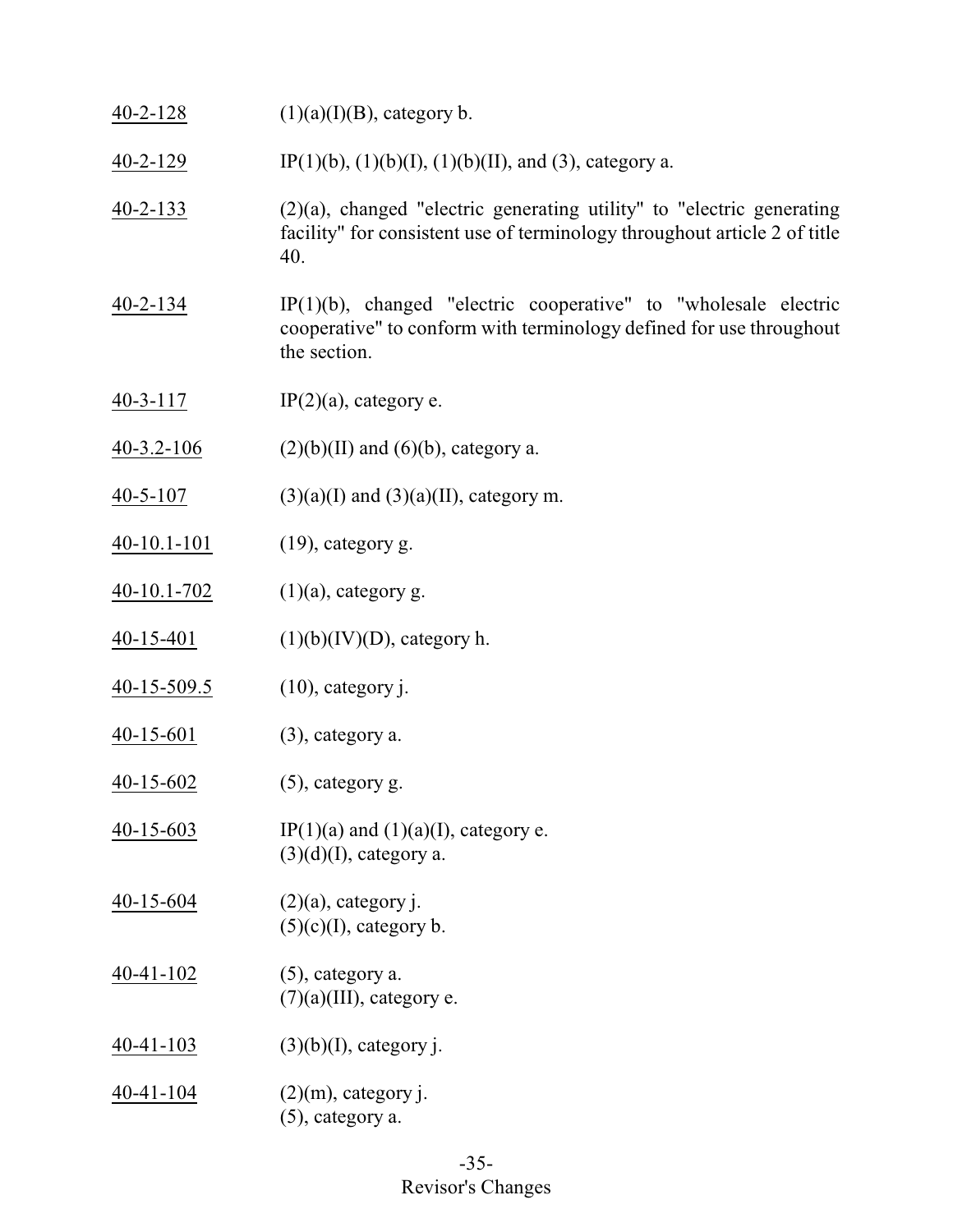| $40 - 2 - 128$  | $(1)(a)(I)(B)$ , category b.                                                                                                                                 |
|-----------------|--------------------------------------------------------------------------------------------------------------------------------------------------------------|
| $40 - 2 - 129$  | IP(1)(b), (1)(b)(I), (1)(b)(II), and (3), category a.                                                                                                        |
| $40 - 2 - 133$  | $(2)(a)$ , changed "electric generating utility" to "electric generating<br>facility" for consistent use of terminology throughout article 2 of title<br>40. |
| $40 - 2 - 134$  | $IP(1)(b)$ , changed "electric cooperative" to "wholesale electric<br>cooperative" to conform with terminology defined for use throughout<br>the section.    |
| $40 - 3 - 117$  | $IP(2)(a)$ , category e.                                                                                                                                     |
| $40-3.2-106$    | $(2)(b)(II)$ and $(6)(b)$ , category a.                                                                                                                      |
| $40 - 5 - 107$  | $(3)(a)(I)$ and $(3)(a)(II)$ , category m.                                                                                                                   |
| $40-10.1-101$   | $(19)$ , category g.                                                                                                                                         |
| $40-10.1-702$   | $(1)(a)$ , category g.                                                                                                                                       |
| $40-15-401$     | $(1)(b)(IV)(D)$ , category h.                                                                                                                                |
| $40-15-509.5$   | $(10)$ , category j.                                                                                                                                         |
| $40 - 15 - 601$ | $(3)$ , category a.                                                                                                                                          |
| $40 - 15 - 602$ | $(5)$ , category g.                                                                                                                                          |
| $40 - 15 - 603$ | IP(1)(a) and (1)(a)(I), category e.<br>$(3)(d)(I)$ , category a.                                                                                             |
| 40-15-604       | $(2)(a)$ , category j.<br>$(5)(c)(I)$ , category b.                                                                                                          |
| $40 - 41 - 102$ | $(5)$ , category a.<br>$(7)(a)(III)$ , category e.                                                                                                           |
| $40 - 41 - 103$ | $(3)(b)(I)$ , category j.                                                                                                                                    |
| $40 - 41 - 104$ | $(2)(m)$ , category j.<br>(5), category a.                                                                                                                   |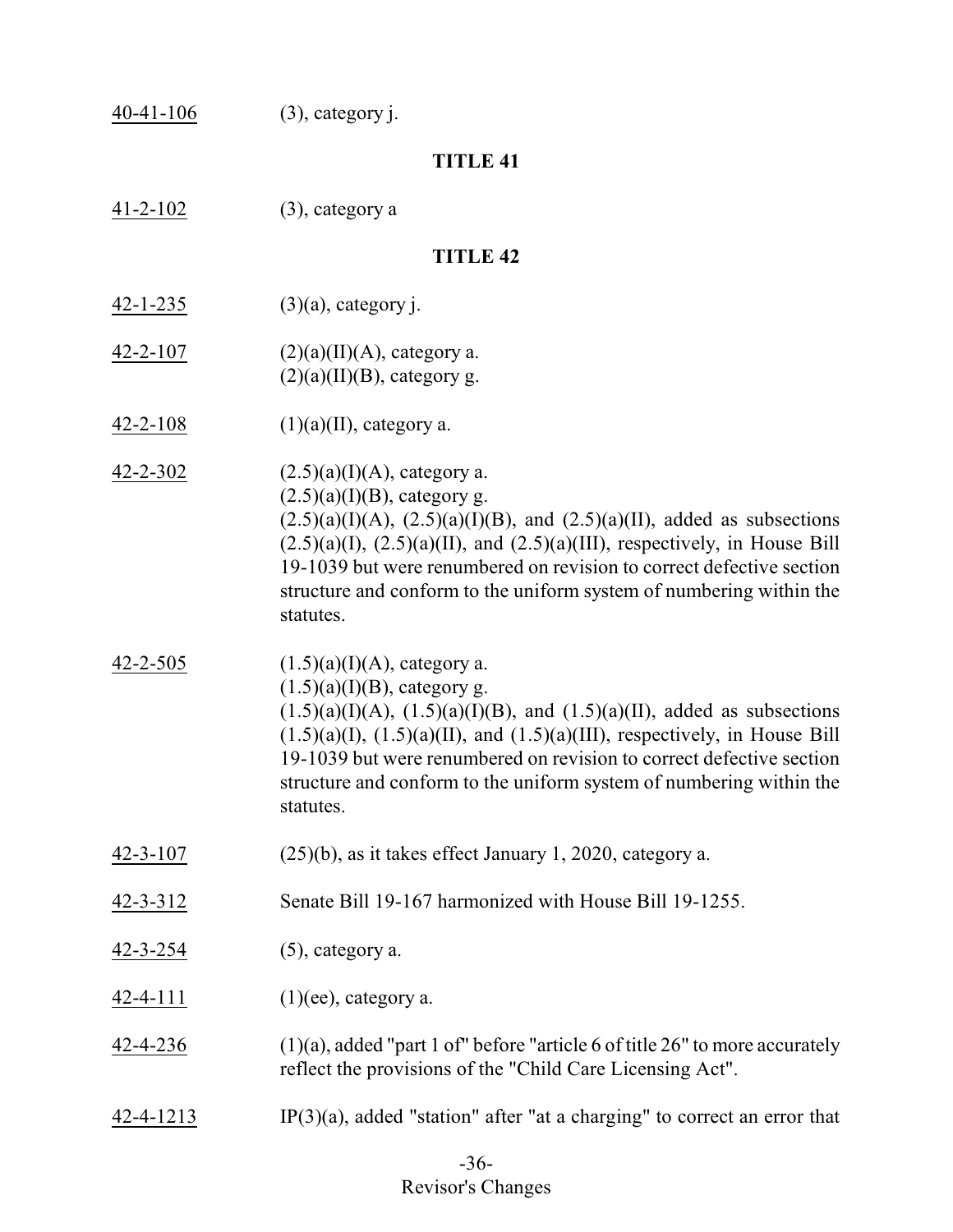| 40-41-106        | $(3)$ , category j.                                                                                                                                                                                                                                                                                                                                                                              |
|------------------|--------------------------------------------------------------------------------------------------------------------------------------------------------------------------------------------------------------------------------------------------------------------------------------------------------------------------------------------------------------------------------------------------|
| <b>TITLE 41</b>  |                                                                                                                                                                                                                                                                                                                                                                                                  |
| $41 - 2 - 102$   | (3), category a                                                                                                                                                                                                                                                                                                                                                                                  |
|                  | <b>TITLE 42</b>                                                                                                                                                                                                                                                                                                                                                                                  |
| $42 - 1 - 235$   | $(3)(a)$ , category j.                                                                                                                                                                                                                                                                                                                                                                           |
| $42 - 2 - 107$   | $(2)(a)(II)(A)$ , category a.<br>$(2)(a)(II)(B)$ , category g.                                                                                                                                                                                                                                                                                                                                   |
| $42 - 2 - 108$   | $(1)(a)(II)$ , category a.                                                                                                                                                                                                                                                                                                                                                                       |
| 42-2-302         | $(2.5)(a)(I)(A)$ , category a.<br>$(2.5)(a)(I)(B)$ , category g.<br>$(2.5)(a)(I)(A), (2.5)(a)(I)(B),$ and $(2.5)(a)(II),$ added as subsections<br>$(2.5)(a)(I)$ , $(2.5)(a)(II)$ , and $(2.5)(a)(III)$ , respectively, in House Bill<br>19-1039 but were renumbered on revision to correct defective section<br>structure and conform to the uniform system of numbering within the<br>statutes. |
| $42 - 2 - 505$   | $(1.5)(a)(I)(A)$ , category a.<br>$(1.5)(a)(I)(B)$ , category g.<br>$(1.5)(a)(I)(A), (1.5)(a)(I)(B),$ and $(1.5)(a)(II),$ added as subsections<br>$(1.5)(a)(I)$ , $(1.5)(a)(II)$ , and $(1.5)(a)(III)$ , respectively, in House Bill<br>19-1039 but were renumbered on revision to correct defective section<br>structure and conform to the uniform system of numbering within the<br>statutes. |
| $42 - 3 - 107$   | $(25)(b)$ , as it takes effect January 1, 2020, category a.                                                                                                                                                                                                                                                                                                                                      |
| $42 - 3 - 312$   | Senate Bill 19-167 harmonized with House Bill 19-1255.                                                                                                                                                                                                                                                                                                                                           |
| $42 - 3 - 254$   | $(5)$ , category a.                                                                                                                                                                                                                                                                                                                                                                              |
| $42 - 4 - 111$   | $(1)$ (ee), category a.                                                                                                                                                                                                                                                                                                                                                                          |
| <u>42-4-236</u>  | $(1)(a)$ , added "part 1 of" before "article 6 of title 26" to more accurately<br>reflect the provisions of the "Child Care Licensing Act".                                                                                                                                                                                                                                                      |
| <u>42-4-1213</u> | $IP(3)(a)$ , added "station" after "at a charging" to correct an error that                                                                                                                                                                                                                                                                                                                      |

# -36- Revisor's Changes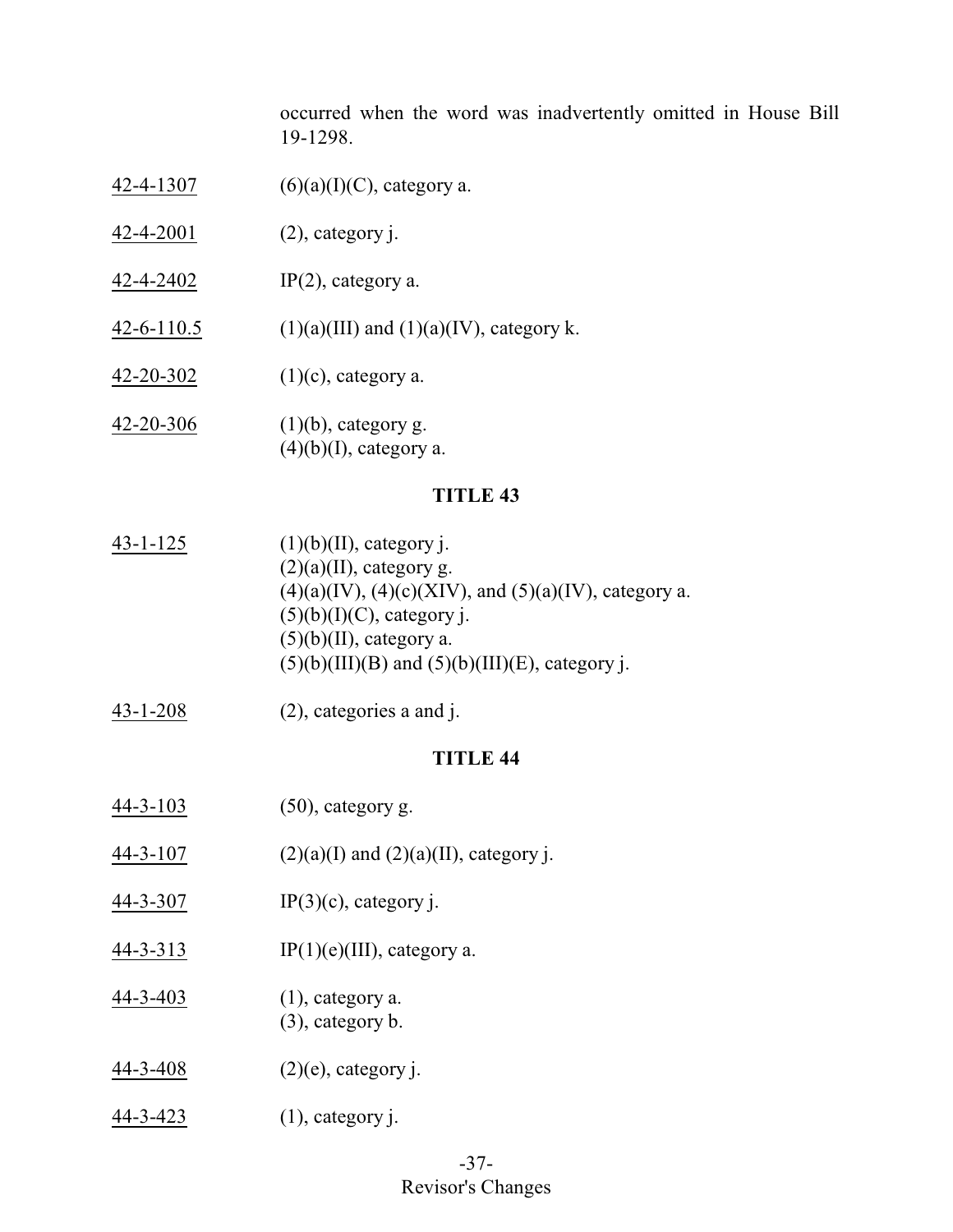occurred when the word was inadvertently omitted in House Bill 19-1298.

- 42-4-1307 (6)(a)(I)(C), category a.
- 42-4-2001 (2), category j.
- 42-4-2402 IP(2), category a.
- 42-6-110.5 (1)(a)(III) and (1)(a)(IV), category k.
- 42-20-302 (1)(c), category a.
- 42-20-306 (1)(b), category g.  $(4)(b)(I)$ , category a.

#### **TITLE 43**

- 43-1-125 (1)(b)(II), category j.  $(2)(a)(II)$ , category g.  $(4)(a)(IV), (4)(c)(XIV),$  and  $(5)(a)(IV),$  category a.  $(5)(b)(I)(C)$ , category j.  $(5)(b)(II)$ , category a.  $(5)(b)(III)(B)$  and  $(5)(b)(III)(E)$ , category j.
- 43-1-208 (2), categories a and j.

- 44-3-103 (50), category g.
- 44-3-107 (2)(a)(I) and (2)(a)(II), category j.
- 44-3-307 IP(3)(c), category j.
- 44-3-313 IP(1)(e)(III), category a.
- 44-3-403 (1), category a. (3), category b.
- 44-3-408 (2)(e), category j.
- 44-3-423 (1), category j.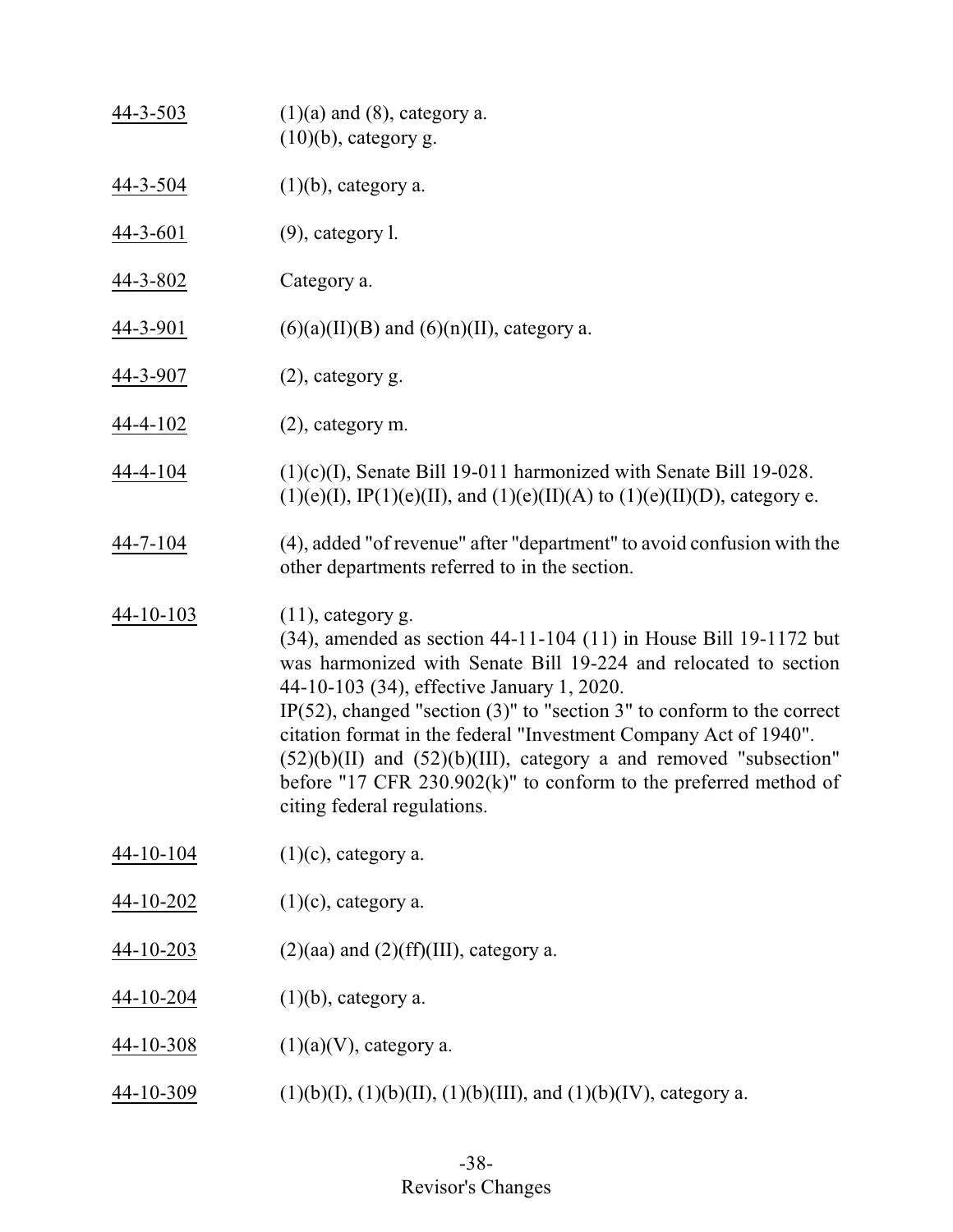| $44 - 3 - 503$  | $(1)(a)$ and $(8)$ , category a.<br>$(10)(b)$ , category g.                                                                                                                                                                                                                                                                                                                                                                                                                                                                                      |
|-----------------|--------------------------------------------------------------------------------------------------------------------------------------------------------------------------------------------------------------------------------------------------------------------------------------------------------------------------------------------------------------------------------------------------------------------------------------------------------------------------------------------------------------------------------------------------|
| $44 - 3 - 504$  | $(1)(b)$ , category a.                                                                                                                                                                                                                                                                                                                                                                                                                                                                                                                           |
| $44 - 3 - 601$  | $(9)$ , category l.                                                                                                                                                                                                                                                                                                                                                                                                                                                                                                                              |
| $44 - 3 - 802$  | Category a.                                                                                                                                                                                                                                                                                                                                                                                                                                                                                                                                      |
| 44-3-901        | $(6)(a)(II)(B)$ and $(6)(n)(II)$ , category a.                                                                                                                                                                                                                                                                                                                                                                                                                                                                                                   |
| <u>44-3-907</u> | $(2)$ , category g.                                                                                                                                                                                                                                                                                                                                                                                                                                                                                                                              |
| $44 - 4 - 102$  | $(2)$ , category m.                                                                                                                                                                                                                                                                                                                                                                                                                                                                                                                              |
| 44-4-104        | $(1)(c)(I)$ , Senate Bill 19-011 harmonized with Senate Bill 19-028.<br>$(1)(e)(I)$ , IP(1)(e)(II), and (1)(e)(II)(A) to (1)(e)(II)(D), category e.                                                                                                                                                                                                                                                                                                                                                                                              |
| $44 - 7 - 104$  | (4), added "of revenue" after "department" to avoid confusion with the<br>other departments referred to in the section.                                                                                                                                                                                                                                                                                                                                                                                                                          |
| $44 - 10 - 103$ | $(11)$ , category g.<br>$(34)$ , amended as section 44-11-104 $(11)$ in House Bill 19-1172 but<br>was harmonized with Senate Bill 19-224 and relocated to section<br>44-10-103 (34), effective January 1, 2020.<br>IP(52), changed "section $(3)$ " to "section 3" to conform to the correct<br>citation format in the federal "Investment Company Act of 1940".<br>$(52)(b)(II)$ and $(52)(b)(III)$ , category a and removed "subsection"<br>before "17 CFR $230.902(k)$ " to conform to the preferred method of<br>citing federal regulations. |
| $44 - 10 - 104$ | $(1)(c)$ , category a.                                                                                                                                                                                                                                                                                                                                                                                                                                                                                                                           |
| $44 - 10 - 202$ | $(1)(c)$ , category a.                                                                                                                                                                                                                                                                                                                                                                                                                                                                                                                           |
| $44 - 10 - 203$ | $(2)(aa)$ and $(2)(ff)(III)$ , category a.                                                                                                                                                                                                                                                                                                                                                                                                                                                                                                       |
| $44 - 10 - 204$ | $(1)(b)$ , category a.                                                                                                                                                                                                                                                                                                                                                                                                                                                                                                                           |
| $44 - 10 - 308$ | $(1)(a)(V)$ , category a.                                                                                                                                                                                                                                                                                                                                                                                                                                                                                                                        |
| $44 - 10 - 309$ | $(1)(b)(I), (1)(b)(II), (1)(b)(III), and (1)(b)(IV), category a.$                                                                                                                                                                                                                                                                                                                                                                                                                                                                                |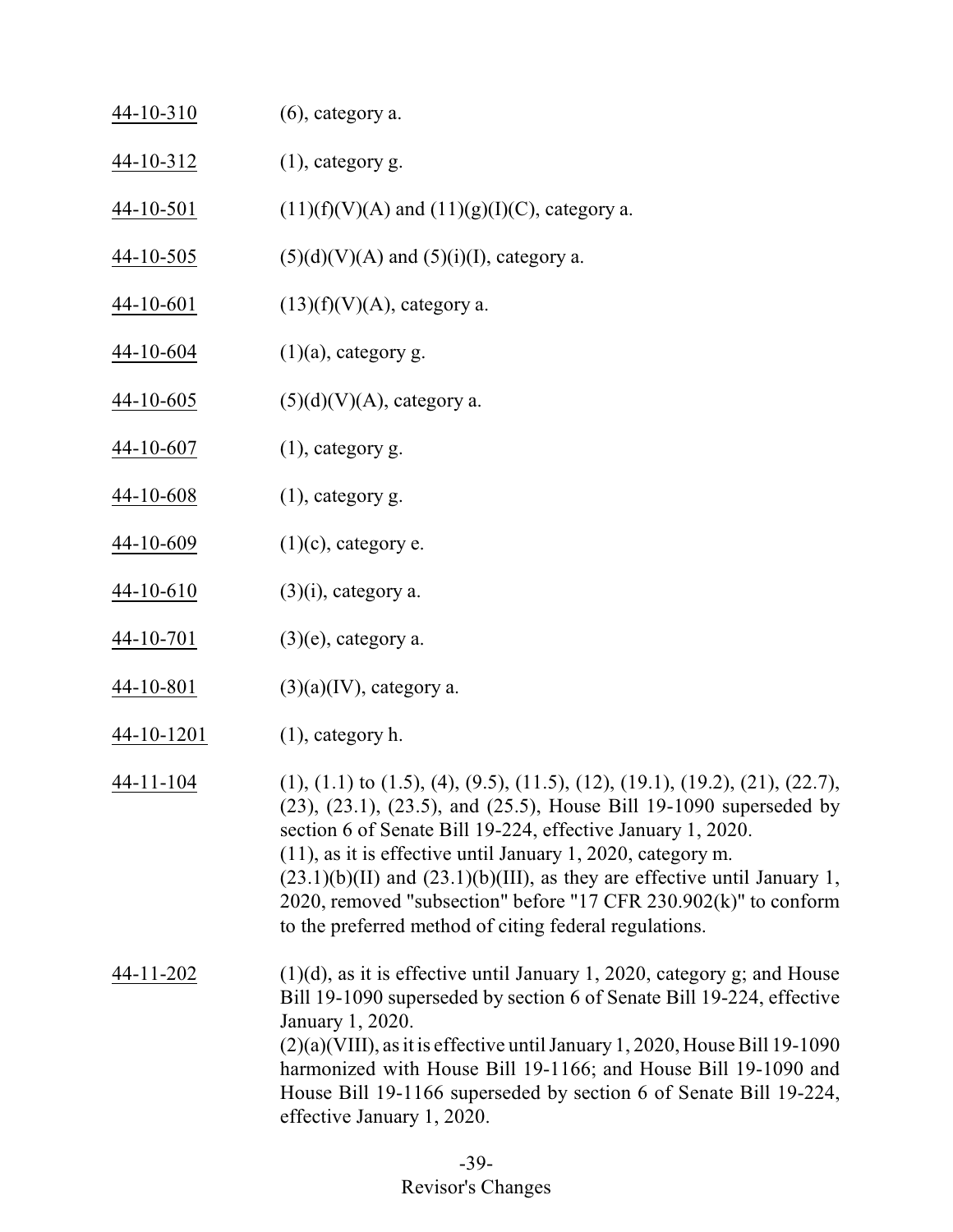# $\frac{44-10-310}{6}$  (6), category a.

44-10-312 (1), category g.

44-10-501 (11)(f)(V)(A) and (11)(g)(I)(C), category a.

44-10-505 (5)(d)(V)(A) and (5)(i)(I), category a.

- $\frac{44-10-601}{(13)(f)(V)(A)}$ , category a.
- 44-10-604 (1)(a), category g.
- $44-10-605$  (5)(d)(V)(A), category a.
- 44-10-607 (1), category g.
- 44-10-608 (1), category g.
- 44-10-609 (1)(c), category e.
- 44-10-610 (3)(i), category a.
- 44-10-70<u>1</u> (3)(e), category a.
- 44-10-801 (3)(a)(IV), category a.
- 44-10-1201 (1), category h.
- 44-11-104 (1), (1.1) to (1.5), (4), (9.5), (11.5), (12), (19.1), (19.2), (21), (22.7), (23), (23.1), (23.5), and (25.5), House Bill 19-1090 superseded by section 6 of Senate Bill 19-224, effective January 1, 2020. (11), as it is effective until January 1, 2020, category m.  $(23.1)(b)(II)$  and  $(23.1)(b)(III)$ , as they are effective until January 1, 2020, removed "subsection" before "17 CFR 230.902(k)" to conform to the preferred method of citing federal regulations.

44-11-202  $(1)(d)$ , as it is effective until January 1, 2020, category g; and House Bill 19-1090 superseded by section 6 of Senate Bill 19-224, effective January 1, 2020. (2)(a)(VIII), as it is effective until January 1, 2020, House Bill 19-1090 harmonized with House Bill 19-1166; and House Bill 19-1090 and House Bill 19-1166 superseded by section 6 of Senate Bill 19-224, effective January 1, 2020.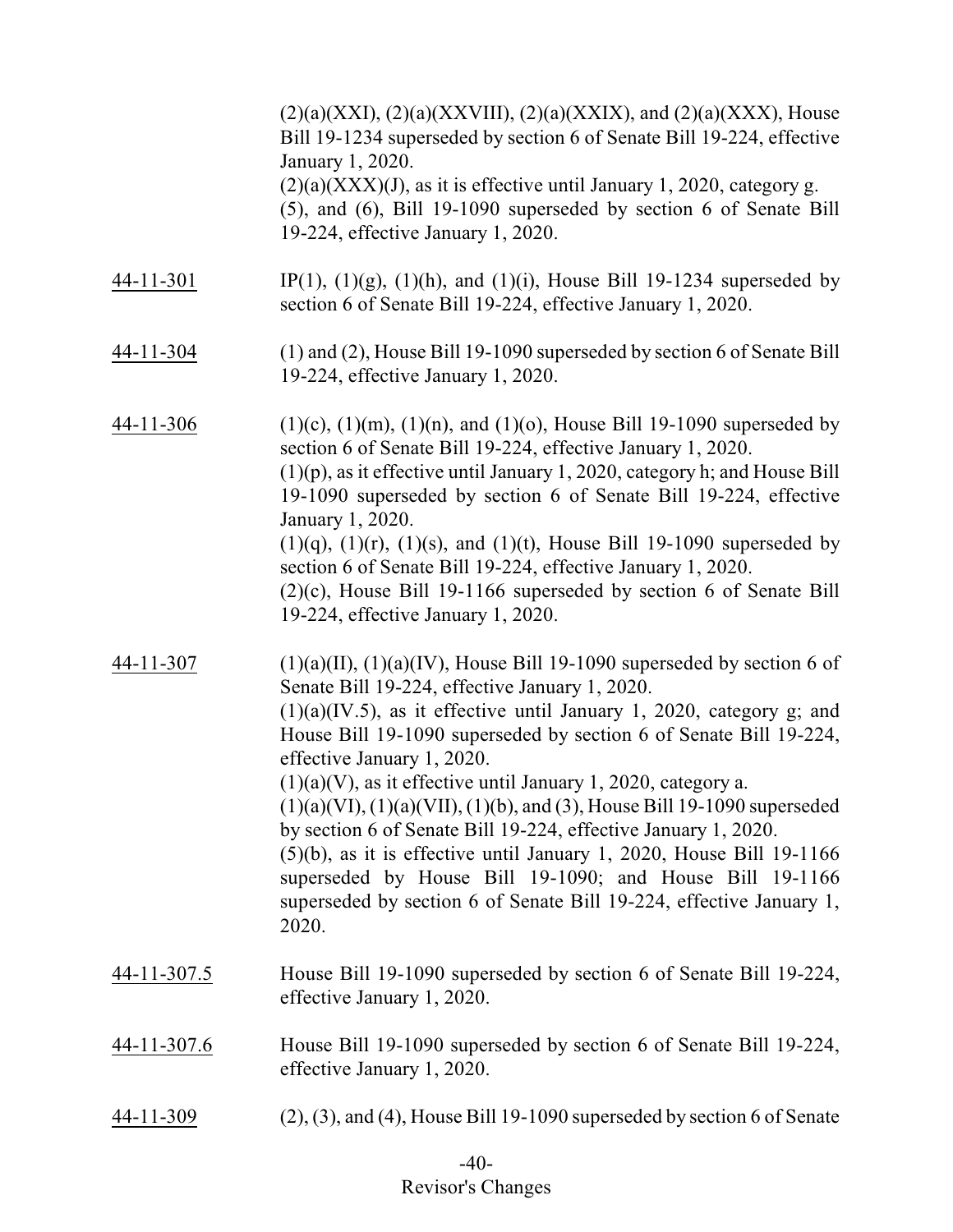$(2)(a)(XXI), (2)(a)(XXVIII), (2)(a)(XXXI), and (2)(a)(XXXI), House$ Bill 19-1234 superseded by section 6 of Senate Bill 19-224, effective January 1, 2020.  $(2)(a)(XXX)(J)$ , as it is effective until January 1, 2020, category g. (5), and (6), Bill 19-1090 superseded by section 6 of Senate Bill 19-224, effective January 1, 2020.

- 44-11-301 IP(1), (1)(g), (1)(h), and (1)(i), House Bill 19-1234 superseded by section 6 of Senate Bill 19-224, effective January 1, 2020.
- 44-11-304 (1) and (2), House Bill 19-1090 superseded by section 6 of Senate Bill 19-224, effective January 1, 2020.
- $\frac{44-11-306}{10}$  (1)(c), (1)(m), (1)(n), and (1)(o), House Bill 19-1090 superseded by section 6 of Senate Bill 19-224, effective January 1, 2020. (1)(p), as it effective until January 1, 2020, category h; and House Bill 19-1090 superseded by section 6 of Senate Bill 19-224, effective January 1, 2020.  $(1)(q)$ ,  $(1)(r)$ ,  $(1)(s)$ , and  $(1)(t)$ , House Bill 19-1090 superseded by section 6 of Senate Bill 19-224, effective January 1, 2020. (2)(c), House Bill 19-1166 superseded by section 6 of Senate Bill 19-224, effective January 1, 2020.
- 44-11-307 (1)(a)(II), (1)(a)(IV), House Bill 19-1090 superseded by section 6 of Senate Bill 19-224, effective January 1, 2020.  $(1)(a)(IV.5)$ , as it effective until January 1, 2020, category g; and House Bill 19-1090 superseded by section 6 of Senate Bill 19-224, effective January 1, 2020.  $(1)(a)(V)$ , as it effective until January 1, 2020, category a. (1)(a)(VI), (1)(a)(VII), (1)(b), and (3), House Bill 19-1090 superseded by section 6 of Senate Bill 19-224, effective January 1, 2020. (5)(b), as it is effective until January 1, 2020, House Bill 19-1166 superseded by House Bill 19-1090; and House Bill 19-1166 superseded by section 6 of Senate Bill 19-224, effective January 1,
- 44-11-307.5 House Bill 19-1090 superseded by section 6 of Senate Bill 19-224, effective January 1, 2020.

2020.

- 44-11-307.6 House Bill 19-1090 superseded by section 6 of Senate Bill 19-224, effective January 1, 2020.
- 44-11-309 (2), (3), and (4), House Bill 19-1090 superseded by section 6 of Senate

# $-40-$ Revisor's Changes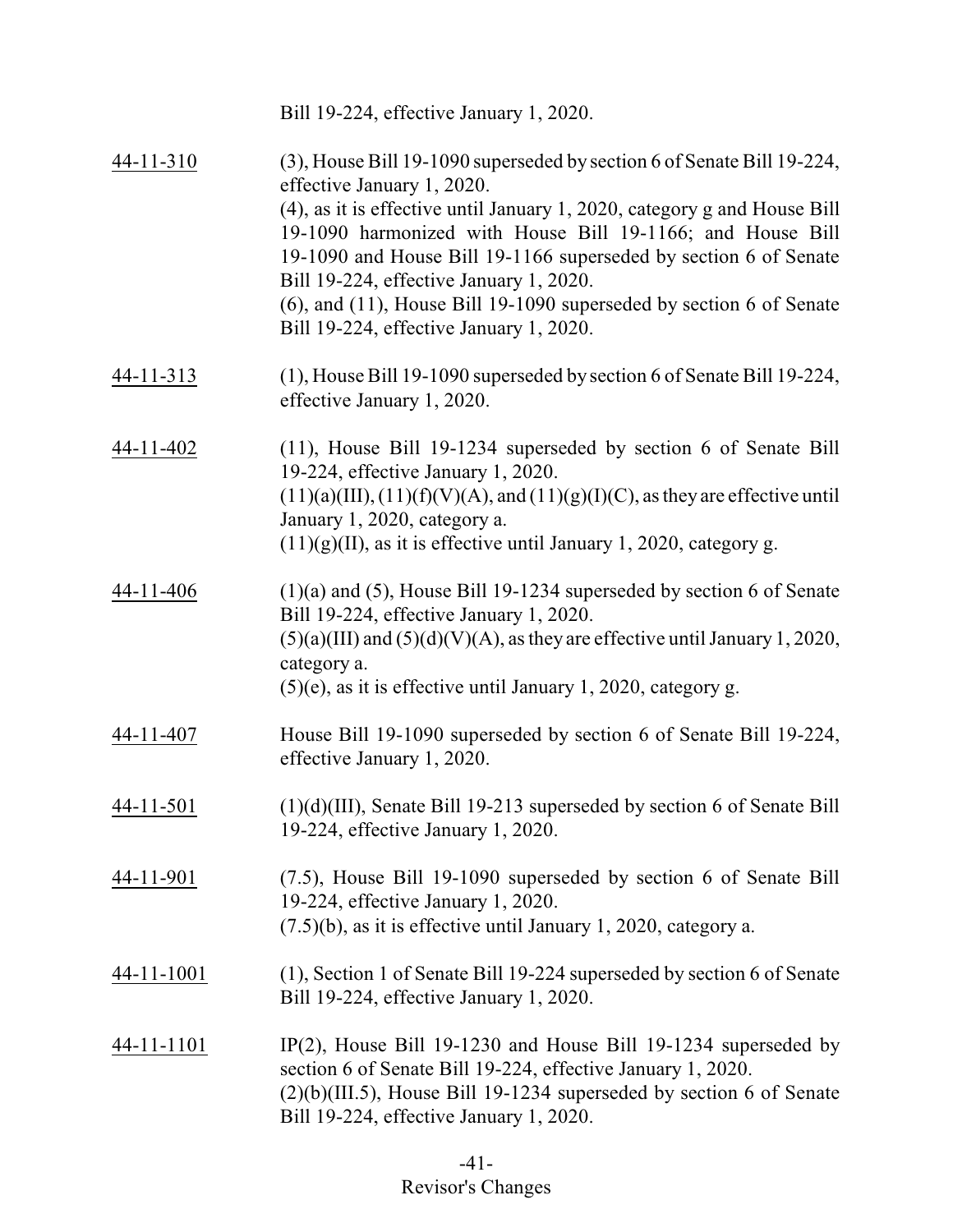Bill 19-224, effective January 1, 2020.

| 44-11-310         | (3), House Bill 19-1090 superseded by section 6 of Senate Bill 19-224,<br>effective January 1, 2020.                                                                                                                                                  |
|-------------------|-------------------------------------------------------------------------------------------------------------------------------------------------------------------------------------------------------------------------------------------------------|
|                   | (4), as it is effective until January 1, 2020, category g and House Bill<br>19-1090 harmonized with House Bill 19-1166; and House Bill<br>19-1090 and House Bill 19-1166 superseded by section 6 of Senate<br>Bill 19-224, effective January 1, 2020. |
|                   | $(6)$ , and $(11)$ , House Bill 19-1090 superseded by section 6 of Senate<br>Bill 19-224, effective January 1, 2020.                                                                                                                                  |
| 44-11-313         | (1), House Bill 19-1090 superseded by section 6 of Senate Bill 19-224,<br>effective January 1, 2020.                                                                                                                                                  |
| 44-11-402         | $(11)$ , House Bill 19-1234 superseded by section 6 of Senate Bill<br>19-224, effective January 1, 2020.                                                                                                                                              |
|                   | $(11)(a)(III)$ , $(11)(f)(V)(A)$ , and $(11)(g)(I)(C)$ , as they are effective until<br>January 1, 2020, category a.<br>$(11)(g)(II)$ , as it is effective until January 1, 2020, category g.                                                         |
| 44-11-406         | $(1)(a)$ and $(5)$ , House Bill 19-1234 superseded by section 6 of Senate<br>Bill 19-224, effective January 1, 2020.                                                                                                                                  |
|                   | $(5)(a)(III)$ and $(5)(d)(V)(A)$ , as they are effective until January 1, 2020,<br>category a.<br>$(5)(e)$ , as it is effective until January 1, 2020, category g.                                                                                    |
| $44 - 11 - 407$   | House Bill 19-1090 superseded by section 6 of Senate Bill 19-224,<br>effective January 1, 2020.                                                                                                                                                       |
| 44-11-501         | $(1)(d)(III)$ , Senate Bill 19-213 superseded by section 6 of Senate Bill<br>19-224, effective January 1, 2020.                                                                                                                                       |
| 44-11-901         | (7.5), House Bill 19-1090 superseded by section 6 of Senate Bill<br>19-224, effective January 1, 2020.<br>$(7.5)(b)$ , as it is effective until January 1, 2020, category a.                                                                          |
| <u>44-11-1001</u> | (1), Section 1 of Senate Bill 19-224 superseded by section 6 of Senate<br>Bill 19-224, effective January 1, 2020.                                                                                                                                     |
| 44-11-1101        | $IP(2)$ , House Bill 19-1230 and House Bill 19-1234 superseded by<br>section 6 of Senate Bill 19-224, effective January 1, 2020.<br>$(2)(b)(III.5)$ , House Bill 19-1234 superseded by section 6 of Senate<br>Bill 19-224, effective January 1, 2020. |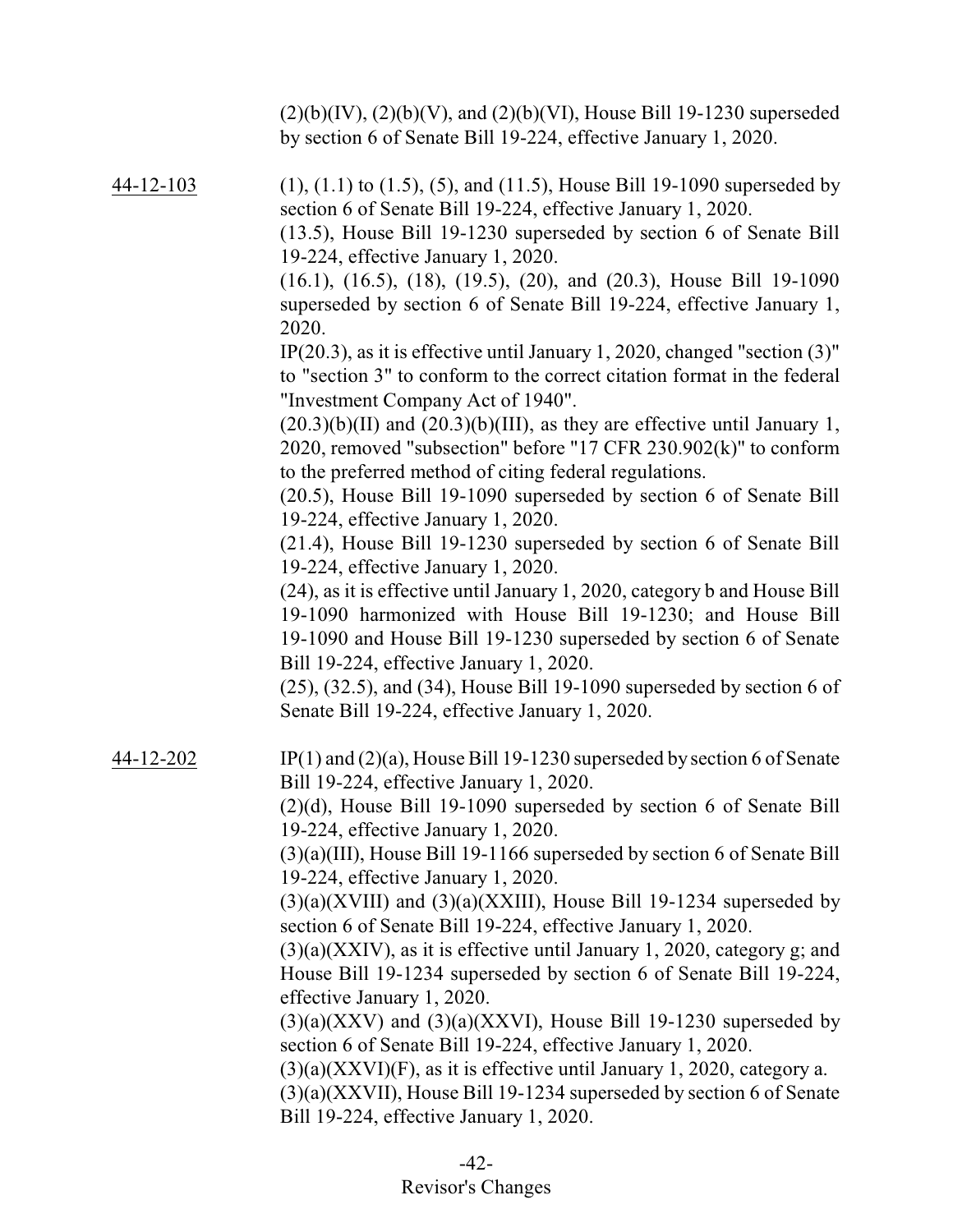$(2)(b)(IV)$ ,  $(2)(b)(V)$ , and  $(2)(b)(VI)$ , House Bill 19-1230 superseded by section 6 of Senate Bill 19-224, effective January 1, 2020.

44-12-103 (1), (1.1) to (1.5), (5), and (11.5), House Bill 19-1090 superseded by section 6 of Senate Bill 19-224, effective January 1, 2020.

> (13.5), House Bill 19-1230 superseded by section 6 of Senate Bill 19-224, effective January 1, 2020.

> (16.1), (16.5), (18), (19.5), (20), and (20.3), House Bill 19-1090 superseded by section 6 of Senate Bill 19-224, effective January 1, 2020.

> IP(20.3), as it is effective until January 1, 2020, changed "section (3)" to "section 3" to conform to the correct citation format in the federal "Investment Company Act of 1940".

> $(20.3)(b)(II)$  and  $(20.3)(b)(III)$ , as they are effective until January 1, 2020, removed "subsection" before "17 CFR 230.902(k)" to conform to the preferred method of citing federal regulations.

> (20.5), House Bill 19-1090 superseded by section 6 of Senate Bill 19-224, effective January 1, 2020.

> (21.4), House Bill 19-1230 superseded by section 6 of Senate Bill 19-224, effective January 1, 2020.

> (24), as it is effective until January 1, 2020, category b and House Bill 19-1090 harmonized with House Bill 19-1230; and House Bill 19-1090 and House Bill 19-1230 superseded by section 6 of Senate Bill 19-224, effective January 1, 2020.

> (25), (32.5), and (34), House Bill 19-1090 superseded by section 6 of Senate Bill 19-224, effective January 1, 2020.

44-12-202 IP(1) and (2)(a), House Bill 19-1230 superseded by section 6 of Senate Bill 19-224, effective January 1, 2020.

(2)(d), House Bill 19-1090 superseded by section 6 of Senate Bill 19-224, effective January 1, 2020.

(3)(a)(III), House Bill 19-1166 superseded by section 6 of Senate Bill 19-224, effective January 1, 2020.

 $(3)(a)(XVIII)$  and  $(3)(a)(XXIII)$ , House Bill 19-1234 superseded by section 6 of Senate Bill 19-224, effective January 1, 2020.

 $(3)(a)(XXIV)$ , as it is effective until January 1, 2020, category g; and House Bill 19-1234 superseded by section 6 of Senate Bill 19-224, effective January 1, 2020.

 $(3)(a)(XXX)$  and  $(3)(a)(XXX)$ , House Bill 19-1230 superseded by section 6 of Senate Bill 19-224, effective January 1, 2020.

 $(3)(a)(XXXI)(F)$ , as it is effective until January 1, 2020, category a.

(3)(a)(XXVII), House Bill 19-1234 superseded by section 6 of Senate Bill 19-224, effective January 1, 2020.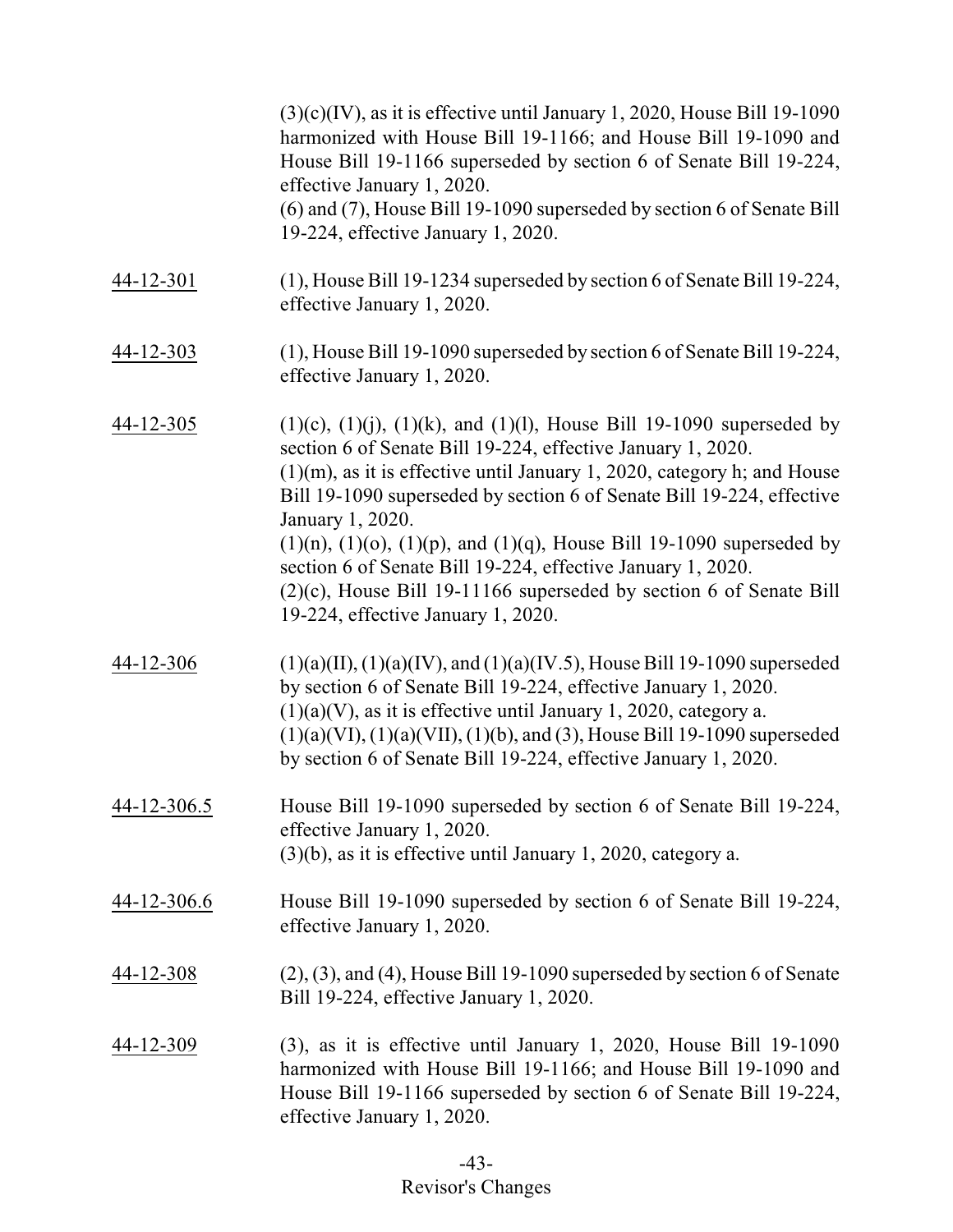|                   | $(3)(c)(IV)$ , as it is effective until January 1, 2020, House Bill 19-1090<br>harmonized with House Bill 19-1166; and House Bill 19-1090 and<br>House Bill 19-1166 superseded by section 6 of Senate Bill 19-224,<br>effective January 1, 2020.<br>(6) and (7), House Bill 19-1090 superseded by section 6 of Senate Bill<br>19-224, effective January 1, 2020.                                                                                                                                                                                                                             |
|-------------------|----------------------------------------------------------------------------------------------------------------------------------------------------------------------------------------------------------------------------------------------------------------------------------------------------------------------------------------------------------------------------------------------------------------------------------------------------------------------------------------------------------------------------------------------------------------------------------------------|
| 44-12-301         | (1), House Bill 19-1234 superseded by section 6 of Senate Bill 19-224,<br>effective January 1, 2020.                                                                                                                                                                                                                                                                                                                                                                                                                                                                                         |
| 44-12-303         | (1), House Bill 19-1090 superseded by section 6 of Senate Bill 19-224,<br>effective January 1, 2020.                                                                                                                                                                                                                                                                                                                                                                                                                                                                                         |
| 44-12-305         | $(1)(c)$ , $(1)(j)$ , $(1)(k)$ , and $(1)(l)$ , House Bill 19-1090 superseded by<br>section 6 of Senate Bill 19-224, effective January 1, 2020.<br>$(1)(m)$ , as it is effective until January 1, 2020, category h; and House<br>Bill 19-1090 superseded by section 6 of Senate Bill 19-224, effective<br>January 1, 2020.<br>$(1)(n)$ , $(1)(o)$ , $(1)(p)$ , and $(1)(q)$ , House Bill 19-1090 superseded by<br>section 6 of Senate Bill 19-224, effective January 1, 2020.<br>$(2)(c)$ , House Bill 19-11166 superseded by section 6 of Senate Bill<br>19-224, effective January 1, 2020. |
| 44-12-306         | $(1)(a)(II), (1)(a)(IV), and (1)(a)(IV.5), House Bill 19-1090 superseded$<br>by section 6 of Senate Bill 19-224, effective January 1, 2020.<br>$(1)(a)(V)$ , as it is effective until January 1, 2020, category a.<br>$(1)(a)(VI), (1)(a)(VII), (1)(b), and (3), House Bill 19-1090 superseded$<br>by section 6 of Senate Bill 19-224, effective January 1, 2020.                                                                                                                                                                                                                            |
| $44 - 12 - 306.5$ | House Bill 19-1090 superseded by section 6 of Senate Bill 19-224,<br>effective January 1, 2020.<br>(3)(b), as it is effective until January 1, 2020, category a.                                                                                                                                                                                                                                                                                                                                                                                                                             |
| 44-12-306.6       | House Bill 19-1090 superseded by section 6 of Senate Bill 19-224,<br>effective January 1, 2020.                                                                                                                                                                                                                                                                                                                                                                                                                                                                                              |
| <u>44-12-308</u>  | $(2)$ , $(3)$ , and $(4)$ , House Bill 19-1090 superseded by section 6 of Senate<br>Bill 19-224, effective January 1, 2020.                                                                                                                                                                                                                                                                                                                                                                                                                                                                  |
| 44-12-309         | $(3)$ , as it is effective until January 1, 2020, House Bill 19-1090<br>harmonized with House Bill 19-1166; and House Bill 19-1090 and<br>House Bill 19-1166 superseded by section 6 of Senate Bill 19-224,<br>effective January 1, 2020.                                                                                                                                                                                                                                                                                                                                                    |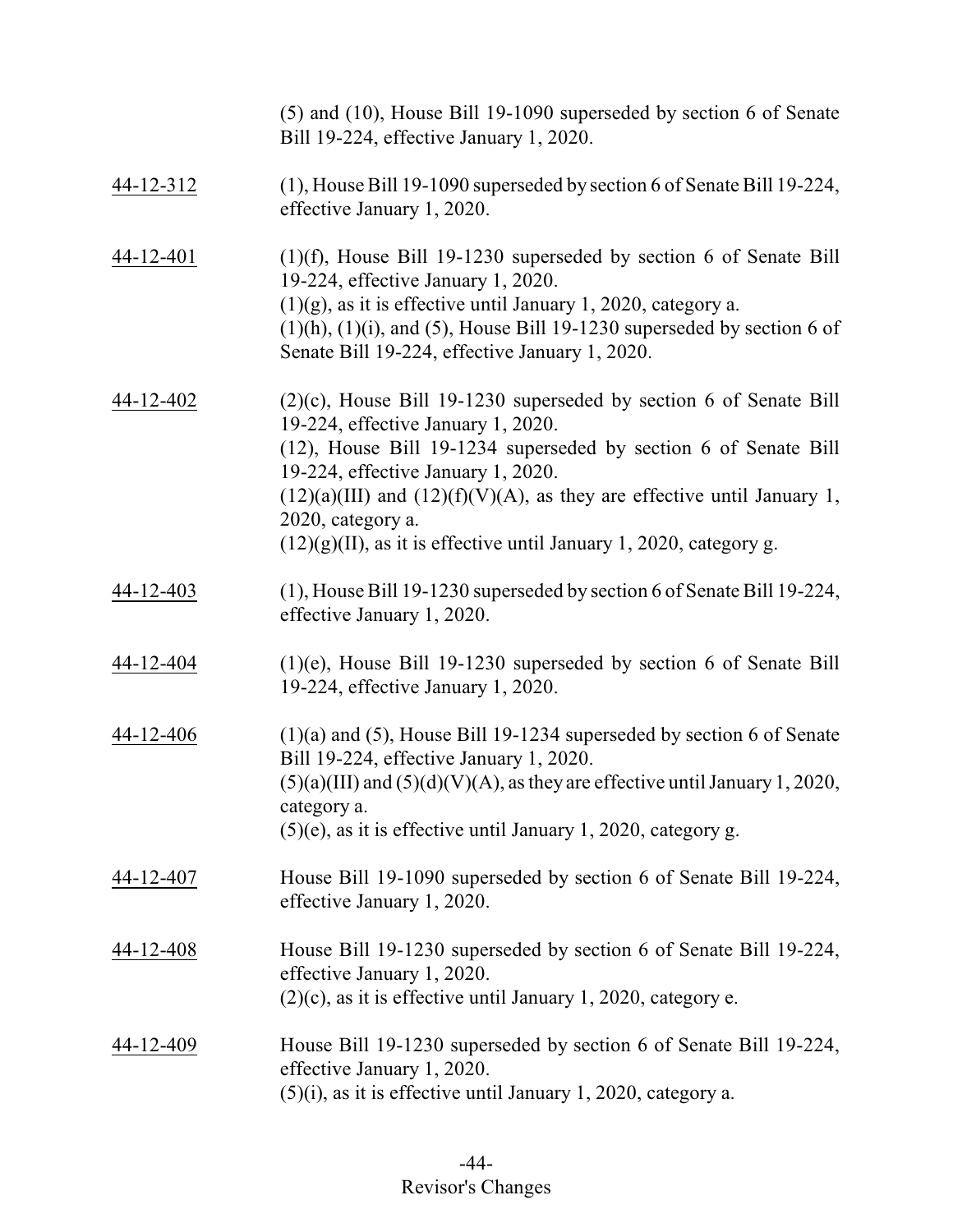|                 | (5) and (10), House Bill 19-1090 superseded by section 6 of Senate<br>Bill 19-224, effective January 1, 2020.                                                                                                                                                                                                                                                                                    |
|-----------------|--------------------------------------------------------------------------------------------------------------------------------------------------------------------------------------------------------------------------------------------------------------------------------------------------------------------------------------------------------------------------------------------------|
| $44 - 12 - 312$ | (1), House Bill 19-1090 superseded by section 6 of Senate Bill 19-224,<br>effective January 1, 2020.                                                                                                                                                                                                                                                                                             |
| 44-12-401       | $(1)(f)$ , House Bill 19-1230 superseded by section 6 of Senate Bill<br>19-224, effective January 1, 2020.<br>$(1)(g)$ , as it is effective until January 1, 2020, category a.<br>$(1)(h)$ , $(1)(i)$ , and $(5)$ , House Bill 19-1230 superseded by section 6 of<br>Senate Bill 19-224, effective January 1, 2020.                                                                              |
| 44-12-402       | $(2)(c)$ , House Bill 19-1230 superseded by section 6 of Senate Bill<br>19-224, effective January 1, 2020.<br>(12), House Bill 19-1234 superseded by section 6 of Senate Bill<br>19-224, effective January 1, 2020.<br>$(12)(a)(III)$ and $(12)(f)(V)(A)$ , as they are effective until January 1,<br>2020, category a.<br>$(12)(g)(II)$ , as it is effective until January 1, 2020, category g. |
| 44-12-403       | (1), House Bill 19-1230 superseded by section 6 of Senate Bill 19-224,<br>effective January 1, 2020.                                                                                                                                                                                                                                                                                             |
| 44-12-404       | $(1)(e)$ , House Bill 19-1230 superseded by section 6 of Senate Bill<br>19-224, effective January 1, 2020.                                                                                                                                                                                                                                                                                       |
| 44-12-406       | $(1)(a)$ and $(5)$ , House Bill 19-1234 superseded by section 6 of Senate<br>Bill 19-224, effective January 1, 2020.<br>$(5)(a)(III)$ and $(5)(d)(V)(A)$ , as they are effective until January 1, 2020,<br>category a.<br>$(5)(e)$ , as it is effective until January 1, 2020, category g.                                                                                                       |
| 44-12-407       | House Bill 19-1090 superseded by section 6 of Senate Bill 19-224,<br>effective January 1, 2020.                                                                                                                                                                                                                                                                                                  |
| 44-12-408       | House Bill 19-1230 superseded by section 6 of Senate Bill 19-224,<br>effective January 1, 2020.<br>$(2)(c)$ , as it is effective until January 1, 2020, category e.                                                                                                                                                                                                                              |
| 44-12-409       | House Bill 19-1230 superseded by section 6 of Senate Bill 19-224,<br>effective January 1, 2020.<br>$(5)(i)$ , as it is effective until January 1, 2020, category a.                                                                                                                                                                                                                              |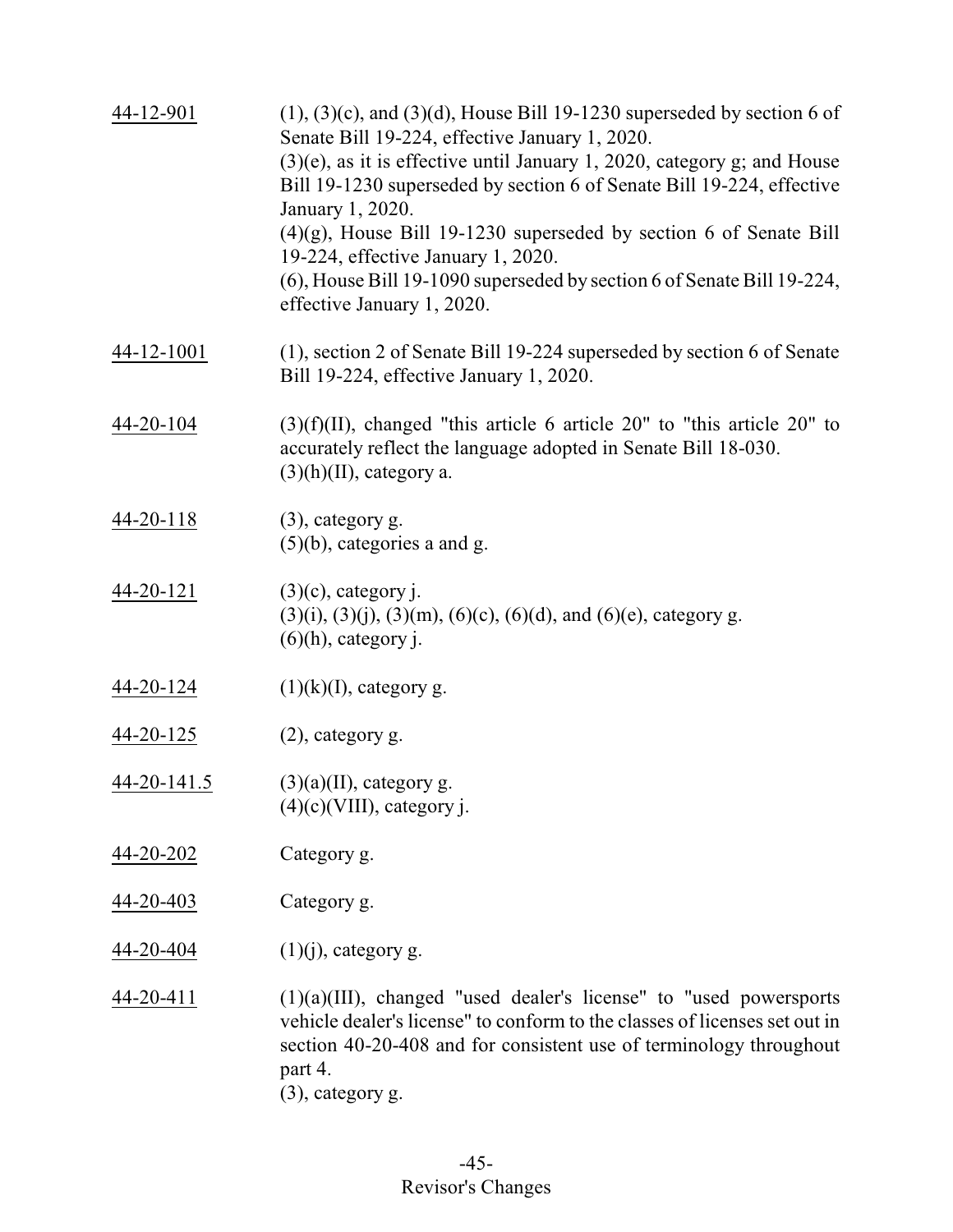| 44-12-901       | $(1)$ , $(3)(c)$ , and $(3)(d)$ , House Bill 19-1230 superseded by section 6 of<br>Senate Bill 19-224, effective January 1, 2020.<br>(3)(e), as it is effective until January 1, 2020, category g; and House<br>Bill 19-1230 superseded by section 6 of Senate Bill 19-224, effective<br>January 1, 2020.<br>$(4)(g)$ , House Bill 19-1230 superseded by section 6 of Senate Bill<br>19-224, effective January 1, 2020.<br>(6), House Bill 19-1090 superseded by section 6 of Senate Bill 19-224,<br>effective January 1, 2020. |
|-----------------|---------------------------------------------------------------------------------------------------------------------------------------------------------------------------------------------------------------------------------------------------------------------------------------------------------------------------------------------------------------------------------------------------------------------------------------------------------------------------------------------------------------------------------|
| 44-12-1001      | (1), section 2 of Senate Bill 19-224 superseded by section 6 of Senate<br>Bill 19-224, effective January 1, 2020.                                                                                                                                                                                                                                                                                                                                                                                                               |
| 44-20-104       | $(3)(f)(II)$ , changed "this article 6 article 20" to "this article 20" to<br>accurately reflect the language adopted in Senate Bill 18-030.<br>$(3)(h)(II)$ , category a.                                                                                                                                                                                                                                                                                                                                                      |
| $44 - 20 - 118$ | $(3)$ , category g.<br>$(5)(b)$ , categories a and g.                                                                                                                                                                                                                                                                                                                                                                                                                                                                           |
| 44-20-121       | $(3)(c)$ , category j.<br>$(3)(i)$ , $(3)(j)$ , $(3)(m)$ , $(6)(c)$ , $(6)(d)$ , and $(6)(e)$ , category g.<br>$(6)$ (h), category j.                                                                                                                                                                                                                                                                                                                                                                                           |
| 44-20-124       | $(1)(k)(I)$ , category g.                                                                                                                                                                                                                                                                                                                                                                                                                                                                                                       |
| 44-20-125       | $(2)$ , category g.                                                                                                                                                                                                                                                                                                                                                                                                                                                                                                             |
| 44-20-141.5     | $(3)(a)(II)$ , category g.<br>$(4)(c)$ (VIII), category j.                                                                                                                                                                                                                                                                                                                                                                                                                                                                      |
| 44-20-202       | Category g.                                                                                                                                                                                                                                                                                                                                                                                                                                                                                                                     |
| 44-20-403       | Category g.                                                                                                                                                                                                                                                                                                                                                                                                                                                                                                                     |
| 44-20-404       | $(1)(j)$ , category g.                                                                                                                                                                                                                                                                                                                                                                                                                                                                                                          |
| 44-20-411       | $(1)(a)(III)$ , changed "used dealer's license" to "used powersports"<br>vehicle dealer's license" to conform to the classes of licenses set out in<br>section 40-20-408 and for consistent use of terminology throughout<br>part 4.<br>(3), category g.                                                                                                                                                                                                                                                                        |